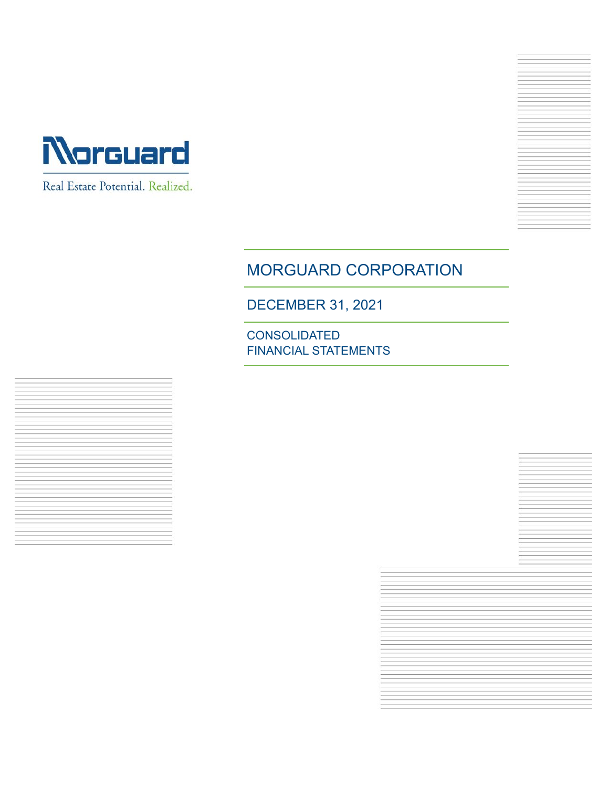

Real Estate Potential. Realized.



DECEMBER 31, 2021

**CONSOLIDATED** FINANCIAL STATEMENTS



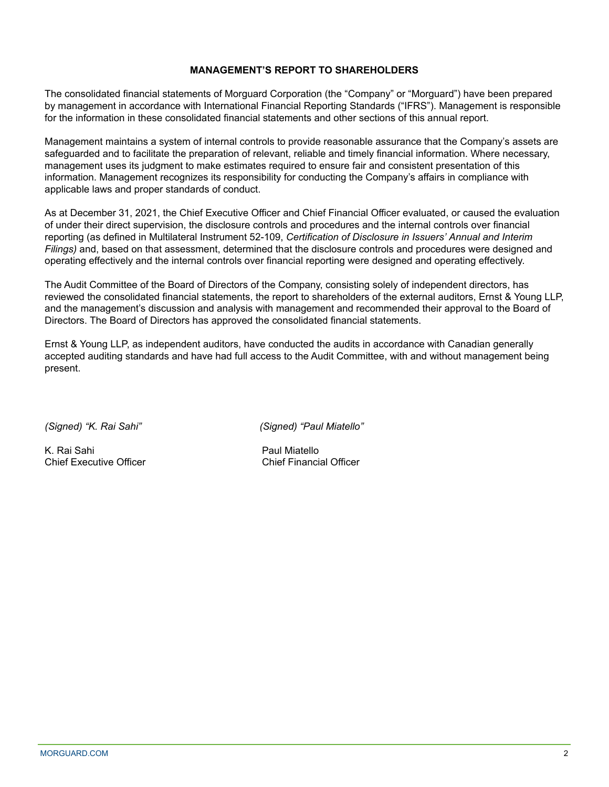# **MANAGEMENT'S REPORT TO SHAREHOLDERS**

The consolidated financial statements of Morguard Corporation (the "Company" or "Morguard") have been prepared by management in accordance with International Financial Reporting Standards ("IFRS"). Management is responsible for the information in these consolidated financial statements and other sections of this annual report.

Management maintains a system of internal controls to provide reasonable assurance that the Company's assets are safeguarded and to facilitate the preparation of relevant, reliable and timely financial information. Where necessary, management uses its judgment to make estimates required to ensure fair and consistent presentation of this information. Management recognizes its responsibility for conducting the Company's affairs in compliance with applicable laws and proper standards of conduct.

As at December 31, 2021, the Chief Executive Officer and Chief Financial Officer evaluated, or caused the evaluation of under their direct supervision, the disclosure controls and procedures and the internal controls over financial reporting (as defined in Multilateral Instrument 52-109, *Certification of Disclosure in Issuers' Annual and Interim Filings)* and, based on that assessment, determined that the disclosure controls and procedures were designed and operating effectively and the internal controls over financial reporting were designed and operating effectively.

The Audit Committee of the Board of Directors of the Company, consisting solely of independent directors, has reviewed the consolidated financial statements, the report to shareholders of the external auditors, Ernst & Young LLP, and the management's discussion and analysis with management and recommended their approval to the Board of Directors. The Board of Directors has approved the consolidated financial statements.

Ernst & Young LLP, as independent auditors, have conducted the audits in accordance with Canadian generally accepted auditing standards and have had full access to the Audit Committee, with and without management being present.

K. Rai Sahi **Paul Miatello** Chief Executive Officer Chief Financial Officer

*(Signed) "K. Rai Sahi" (Signed) "Paul Miatello"*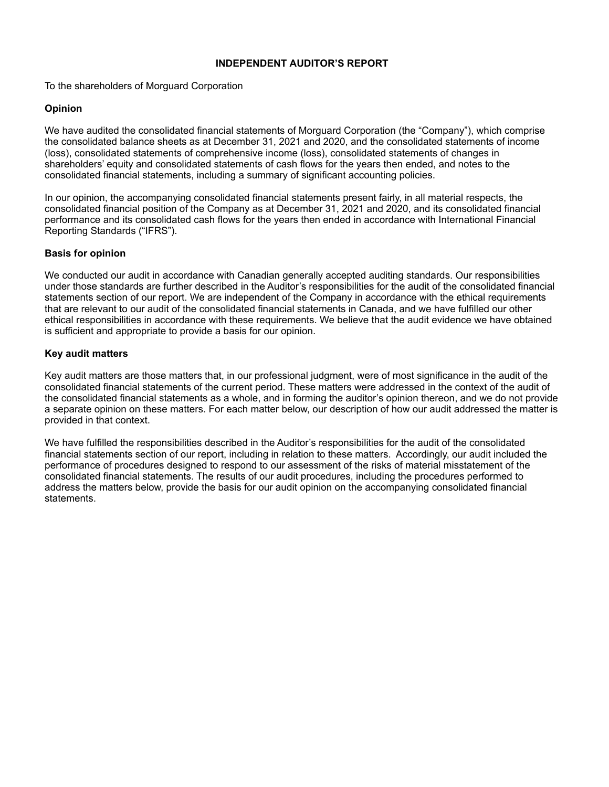#### **INDEPENDENT AUDITOR'S REPORT**

To the shareholders of Morguard Corporation

#### **Opinion**

We have audited the consolidated financial statements of Morguard Corporation (the "Company"), which comprise the consolidated balance sheets as at December 31, 2021 and 2020, and the consolidated statements of income (loss), consolidated statements of comprehensive income (loss), consolidated statements of changes in shareholders' equity and consolidated statements of cash flows for the years then ended, and notes to the consolidated financial statements, including a summary of significant accounting policies.

In our opinion, the accompanying consolidated financial statements present fairly, in all material respects, the consolidated financial position of the Company as at December 31, 2021 and 2020, and its consolidated financial performance and its consolidated cash flows for the years then ended in accordance with International Financial Reporting Standards ("IFRS").

## **Basis for opinion**

We conducted our audit in accordance with Canadian generally accepted auditing standards. Our responsibilities under those standards are further described in the Auditor's responsibilities for the audit of the consolidated financial statements section of our report. We are independent of the Company in accordance with the ethical requirements that are relevant to our audit of the consolidated financial statements in Canada, and we have fulfilled our other ethical responsibilities in accordance with these requirements. We believe that the audit evidence we have obtained is sufficient and appropriate to provide a basis for our opinion.

## **Key audit matters**

Key audit matters are those matters that, in our professional judgment, were of most significance in the audit of the consolidated financial statements of the current period. These matters were addressed in the context of the audit of the consolidated financial statements as a whole, and in forming the auditor's opinion thereon, and we do not provide a separate opinion on these matters. For each matter below, our description of how our audit addressed the matter is provided in that context.

We have fulfilled the responsibilities described in the Auditor's responsibilities for the audit of the consolidated financial statements section of our report, including in relation to these matters. Accordingly, our audit included the performance of procedures designed to respond to our assessment of the risks of material misstatement of the consolidated financial statements. The results of our audit procedures, including the procedures performed to address the matters below, provide the basis for our audit opinion on the accompanying consolidated financial statements.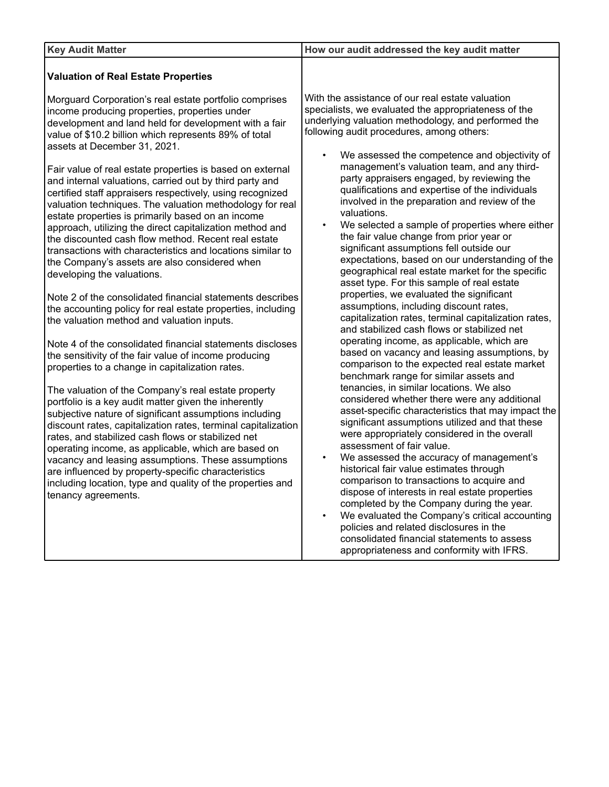| <b>Key Audit Matter</b>                                                                                                                                                                                                                                                                                                                                                                                                                                                                                                                                            | How our audit addressed the key audit matter                                                                                                                                                                                                                                                                                                                                                                                                                                                                                                                                                                                                                                                                                         |  |  |  |
|--------------------------------------------------------------------------------------------------------------------------------------------------------------------------------------------------------------------------------------------------------------------------------------------------------------------------------------------------------------------------------------------------------------------------------------------------------------------------------------------------------------------------------------------------------------------|--------------------------------------------------------------------------------------------------------------------------------------------------------------------------------------------------------------------------------------------------------------------------------------------------------------------------------------------------------------------------------------------------------------------------------------------------------------------------------------------------------------------------------------------------------------------------------------------------------------------------------------------------------------------------------------------------------------------------------------|--|--|--|
| <b>Valuation of Real Estate Properties</b>                                                                                                                                                                                                                                                                                                                                                                                                                                                                                                                         |                                                                                                                                                                                                                                                                                                                                                                                                                                                                                                                                                                                                                                                                                                                                      |  |  |  |
| Morguard Corporation's real estate portfolio comprises<br>income producing properties, properties under<br>development and land held for development with a fair<br>value of \$10.2 billion which represents 89% of total<br>assets at December 31, 2021.                                                                                                                                                                                                                                                                                                          | With the assistance of our real estate valuation<br>specialists, we evaluated the appropriateness of the<br>underlying valuation methodology, and performed the<br>following audit procedures, among others:<br>We assessed the competence and objectivity of<br>$\bullet$                                                                                                                                                                                                                                                                                                                                                                                                                                                           |  |  |  |
| Fair value of real estate properties is based on external<br>and internal valuations, carried out by third party and<br>certified staff appraisers respectively, using recognized<br>valuation techniques. The valuation methodology for real<br>estate properties is primarily based on an income<br>approach, utilizing the direct capitalization method and<br>the discounted cash flow method. Recent real estate<br>transactions with characteristics and locations similar to<br>the Company's assets are also considered when<br>developing the valuations. | management's valuation team, and any third-<br>party appraisers engaged, by reviewing the<br>qualifications and expertise of the individuals<br>involved in the preparation and review of the<br>valuations.<br>We selected a sample of properties where either<br>$\bullet$<br>the fair value change from prior year or<br>significant assumptions fell outside our<br>expectations, based on our understanding of the<br>geographical real estate market for the specific<br>asset type. For this sample of real estate                                                                                                                                                                                                            |  |  |  |
| Note 2 of the consolidated financial statements describes<br>the accounting policy for real estate properties, including<br>the valuation method and valuation inputs.                                                                                                                                                                                                                                                                                                                                                                                             | properties, we evaluated the significant<br>assumptions, including discount rates,<br>capitalization rates, terminal capitalization rates,<br>and stabilized cash flows or stabilized net<br>operating income, as applicable, which are                                                                                                                                                                                                                                                                                                                                                                                                                                                                                              |  |  |  |
| Note 4 of the consolidated financial statements discloses<br>the sensitivity of the fair value of income producing<br>properties to a change in capitalization rates.                                                                                                                                                                                                                                                                                                                                                                                              | based on vacancy and leasing assumptions, by<br>comparison to the expected real estate market<br>benchmark range for similar assets and                                                                                                                                                                                                                                                                                                                                                                                                                                                                                                                                                                                              |  |  |  |
| The valuation of the Company's real estate property<br>portfolio is a key audit matter given the inherently<br>subjective nature of significant assumptions including<br>discount rates, capitalization rates, terminal capitalization<br>rates, and stabilized cash flows or stabilized net<br>operating income, as applicable, which are based on<br>vacancy and leasing assumptions. These assumptions<br>are influenced by property-specific characteristics<br>including location, type and quality of the properties and<br>tenancy agreements.              | tenancies, in similar locations. We also<br>considered whether there were any additional<br>asset-specific characteristics that may impact the<br>significant assumptions utilized and that these<br>were appropriately considered in the overall<br>assessment of fair value.<br>We assessed the accuracy of management's<br>$\bullet$<br>historical fair value estimates through<br>comparison to transactions to acquire and<br>dispose of interests in real estate properties<br>completed by the Company during the year.<br>We evaluated the Company's critical accounting<br>$\bullet$<br>policies and related disclosures in the<br>consolidated financial statements to assess<br>appropriateness and conformity with IFRS. |  |  |  |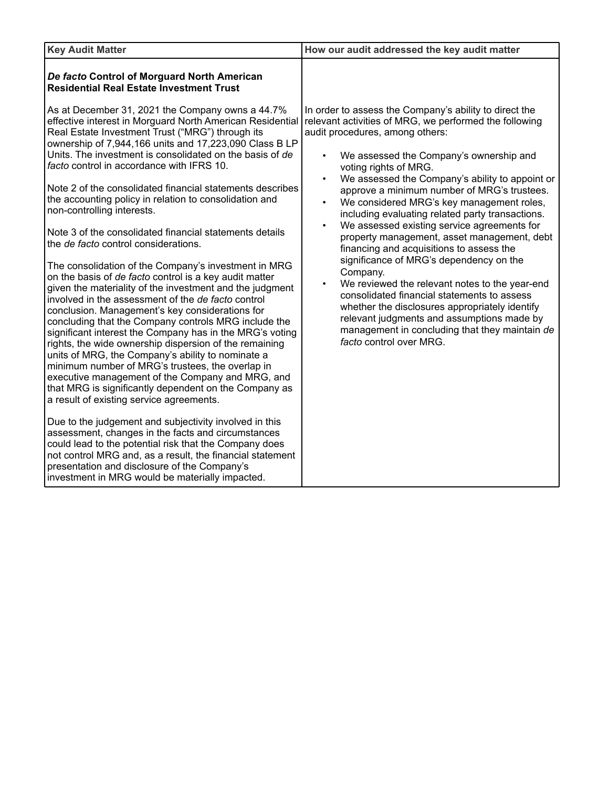| <b>Key Audit Matter</b>                                                                                                                                                                                                                                                                                                                                                                                                                                                                                                                                                                                                                                                                                                             | How our audit addressed the key audit matter                                                                                                                                                                                                                                                                                                   |
|-------------------------------------------------------------------------------------------------------------------------------------------------------------------------------------------------------------------------------------------------------------------------------------------------------------------------------------------------------------------------------------------------------------------------------------------------------------------------------------------------------------------------------------------------------------------------------------------------------------------------------------------------------------------------------------------------------------------------------------|------------------------------------------------------------------------------------------------------------------------------------------------------------------------------------------------------------------------------------------------------------------------------------------------------------------------------------------------|
| De facto Control of Morguard North American<br><b>Residential Real Estate Investment Trust</b><br>As at December 31, 2021 the Company owns a 44.7%                                                                                                                                                                                                                                                                                                                                                                                                                                                                                                                                                                                  | In order to assess the Company's ability to direct the                                                                                                                                                                                                                                                                                         |
| effective interest in Morguard North American Residential<br>Real Estate Investment Trust ("MRG") through its<br>ownership of 7,944,166 units and 17,223,090 Class B LP<br>Units. The investment is consolidated on the basis of de<br>facto control in accordance with IFRS 10.                                                                                                                                                                                                                                                                                                                                                                                                                                                    | relevant activities of MRG, we performed the following<br>audit procedures, among others:<br>We assessed the Company's ownership and<br>$\bullet$<br>voting rights of MRG.                                                                                                                                                                     |
| Note 2 of the consolidated financial statements describes<br>the accounting policy in relation to consolidation and<br>non-controlling interests.                                                                                                                                                                                                                                                                                                                                                                                                                                                                                                                                                                                   | We assessed the Company's ability to appoint or<br>$\bullet$<br>approve a minimum number of MRG's trustees.<br>We considered MRG's key management roles,<br>$\bullet$<br>including evaluating related party transactions.                                                                                                                      |
| Note 3 of the consolidated financial statements details<br>the de facto control considerations.                                                                                                                                                                                                                                                                                                                                                                                                                                                                                                                                                                                                                                     | We assessed existing service agreements for<br>$\bullet$<br>property management, asset management, debt<br>financing and acquisitions to assess the                                                                                                                                                                                            |
| The consolidation of the Company's investment in MRG<br>on the basis of de facto control is a key audit matter<br>given the materiality of the investment and the judgment<br>involved in the assessment of the de facto control<br>conclusion. Management's key considerations for<br>concluding that the Company controls MRG include the<br>significant interest the Company has in the MRG's voting<br>rights, the wide ownership dispersion of the remaining<br>units of MRG, the Company's ability to nominate a<br>minimum number of MRG's trustees, the overlap in<br>executive management of the Company and MRG, and<br>that MRG is significantly dependent on the Company as<br>a result of existing service agreements. | significance of MRG's dependency on the<br>Company.<br>We reviewed the relevant notes to the year-end<br>$\bullet$<br>consolidated financial statements to assess<br>whether the disclosures appropriately identify<br>relevant judgments and assumptions made by<br>management in concluding that they maintain de<br>facto control over MRG. |
| Due to the judgement and subjectivity involved in this<br>assessment, changes in the facts and circumstances<br>could lead to the potential risk that the Company does<br>not control MRG and, as a result, the financial statement<br>presentation and disclosure of the Company's<br>investment in MRG would be materially impacted.                                                                                                                                                                                                                                                                                                                                                                                              |                                                                                                                                                                                                                                                                                                                                                |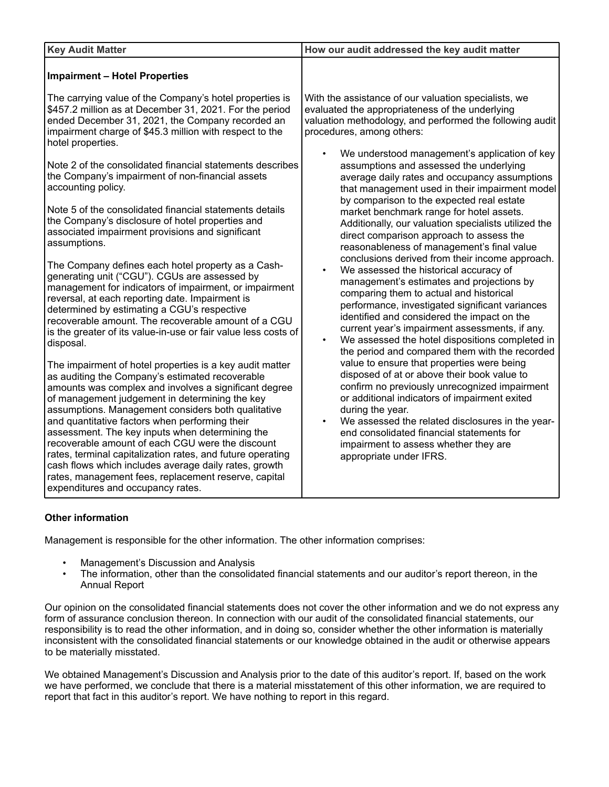| <b>Key Audit Matter</b>                                                                                                                                                                                                                                                                                                                                                                                                                                                                                                                                                                                                                                                                                                                                                                                                                                                                                                                                                                                                                                                                                                                                                                                                                                                                                                                                                                                                                                                                                                                                                                                                                                | How our audit addressed the key audit matter                                                                                                                                                                                                                                                                                                                                                                                                                                                                                                                                                                                                                                                                                                                                                                                                                                                                                                                                                                                                                                                                                                                                                                                                                                                                                                                                                                                                                                                               |  |  |
|--------------------------------------------------------------------------------------------------------------------------------------------------------------------------------------------------------------------------------------------------------------------------------------------------------------------------------------------------------------------------------------------------------------------------------------------------------------------------------------------------------------------------------------------------------------------------------------------------------------------------------------------------------------------------------------------------------------------------------------------------------------------------------------------------------------------------------------------------------------------------------------------------------------------------------------------------------------------------------------------------------------------------------------------------------------------------------------------------------------------------------------------------------------------------------------------------------------------------------------------------------------------------------------------------------------------------------------------------------------------------------------------------------------------------------------------------------------------------------------------------------------------------------------------------------------------------------------------------------------------------------------------------------|------------------------------------------------------------------------------------------------------------------------------------------------------------------------------------------------------------------------------------------------------------------------------------------------------------------------------------------------------------------------------------------------------------------------------------------------------------------------------------------------------------------------------------------------------------------------------------------------------------------------------------------------------------------------------------------------------------------------------------------------------------------------------------------------------------------------------------------------------------------------------------------------------------------------------------------------------------------------------------------------------------------------------------------------------------------------------------------------------------------------------------------------------------------------------------------------------------------------------------------------------------------------------------------------------------------------------------------------------------------------------------------------------------------------------------------------------------------------------------------------------------|--|--|
| <b>Impairment - Hotel Properties</b>                                                                                                                                                                                                                                                                                                                                                                                                                                                                                                                                                                                                                                                                                                                                                                                                                                                                                                                                                                                                                                                                                                                                                                                                                                                                                                                                                                                                                                                                                                                                                                                                                   |                                                                                                                                                                                                                                                                                                                                                                                                                                                                                                                                                                                                                                                                                                                                                                                                                                                                                                                                                                                                                                                                                                                                                                                                                                                                                                                                                                                                                                                                                                            |  |  |
| The carrying value of the Company's hotel properties is<br>\$457.2 million as at December 31, 2021. For the period<br>ended December 31, 2021, the Company recorded an<br>impairment charge of \$45.3 million with respect to the<br>hotel properties.<br>Note 2 of the consolidated financial statements describes<br>the Company's impairment of non-financial assets<br>accounting policy.<br>Note 5 of the consolidated financial statements details<br>the Company's disclosure of hotel properties and<br>associated impairment provisions and significant<br>assumptions.<br>The Company defines each hotel property as a Cash-<br>generating unit ("CGU"). CGUs are assessed by<br>management for indicators of impairment, or impairment<br>reversal, at each reporting date. Impairment is<br>determined by estimating a CGU's respective<br>recoverable amount. The recoverable amount of a CGU<br>is the greater of its value-in-use or fair value less costs of<br>disposal.<br>The impairment of hotel properties is a key audit matter<br>as auditing the Company's estimated recoverable<br>amounts was complex and involves a significant degree<br>of management judgement in determining the key<br>assumptions. Management considers both qualitative<br>and quantitative factors when performing their<br>assessment. The key inputs when determining the<br>recoverable amount of each CGU were the discount<br>rates, terminal capitalization rates, and future operating<br>cash flows which includes average daily rates, growth<br>rates, management fees, replacement reserve, capital<br>expenditures and occupancy rates. | With the assistance of our valuation specialists, we<br>evaluated the appropriateness of the underlying<br>valuation methodology, and performed the following audit<br>procedures, among others:<br>We understood management's application of key<br>assumptions and assessed the underlying<br>average daily rates and occupancy assumptions<br>that management used in their impairment model<br>by comparison to the expected real estate<br>market benchmark range for hotel assets.<br>Additionally, our valuation specialists utilized the<br>direct comparison approach to assess the<br>reasonableness of management's final value<br>conclusions derived from their income approach.<br>We assessed the historical accuracy of<br>$\bullet$<br>management's estimates and projections by<br>comparing them to actual and historical<br>performance, investigated significant variances<br>identified and considered the impact on the<br>current year's impairment assessments, if any.<br>We assessed the hotel dispositions completed in<br>the period and compared them with the recorded<br>value to ensure that properties were being<br>disposed of at or above their book value to<br>confirm no previously unrecognized impairment<br>or additional indicators of impairment exited<br>during the year.<br>We assessed the related disclosures in the year-<br>$\bullet$<br>end consolidated financial statements for<br>impairment to assess whether they are<br>appropriate under IFRS. |  |  |

# **Other information**

Management is responsible for the other information. The other information comprises:

- Management's Discussion and Analysis
- The information, other than the consolidated financial statements and our auditor's report thereon, in the Annual Report

Our opinion on the consolidated financial statements does not cover the other information and we do not express any form of assurance conclusion thereon. In connection with our audit of the consolidated financial statements, our responsibility is to read the other information, and in doing so, consider whether the other information is materially inconsistent with the consolidated financial statements or our knowledge obtained in the audit or otherwise appears to be materially misstated.

We obtained Management's Discussion and Analysis prior to the date of this auditor's report. If, based on the work we have performed, we conclude that there is a material misstatement of this other information, we are required to report that fact in this auditor's report. We have nothing to report in this regard.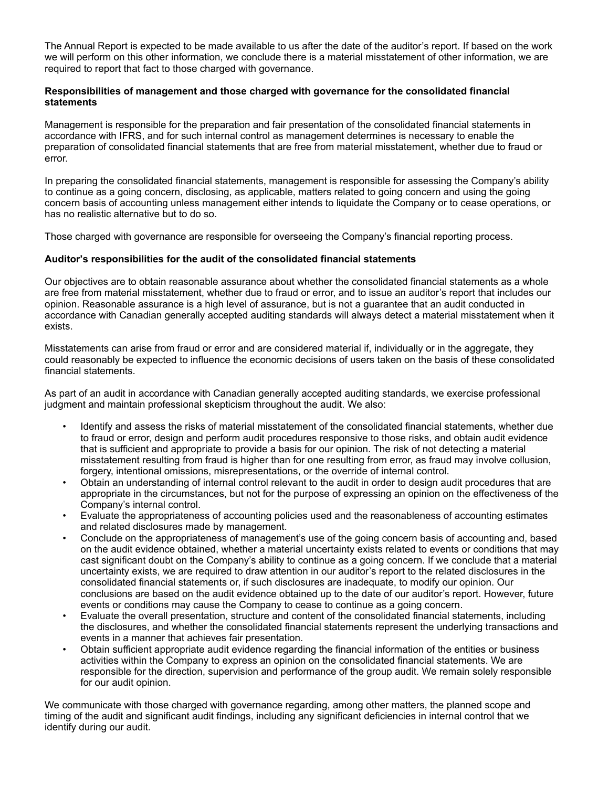The Annual Report is expected to be made available to us after the date of the auditor's report. If based on the work we will perform on this other information, we conclude there is a material misstatement of other information, we are required to report that fact to those charged with governance.

### **Responsibilities of management and those charged with governance for the consolidated financial statements**

Management is responsible for the preparation and fair presentation of the consolidated financial statements in accordance with IFRS, and for such internal control as management determines is necessary to enable the preparation of consolidated financial statements that are free from material misstatement, whether due to fraud or error.

In preparing the consolidated financial statements, management is responsible for assessing the Company's ability to continue as a going concern, disclosing, as applicable, matters related to going concern and using the going concern basis of accounting unless management either intends to liquidate the Company or to cease operations, or has no realistic alternative but to do so.

Those charged with governance are responsible for overseeing the Company's financial reporting process.

## **Auditor's responsibilities for the audit of the consolidated financial statements**

Our objectives are to obtain reasonable assurance about whether the consolidated financial statements as a whole are free from material misstatement, whether due to fraud or error, and to issue an auditor's report that includes our opinion. Reasonable assurance is a high level of assurance, but is not a guarantee that an audit conducted in accordance with Canadian generally accepted auditing standards will always detect a material misstatement when it exists.

Misstatements can arise from fraud or error and are considered material if, individually or in the aggregate, they could reasonably be expected to influence the economic decisions of users taken on the basis of these consolidated financial statements.

As part of an audit in accordance with Canadian generally accepted auditing standards, we exercise professional judgment and maintain professional skepticism throughout the audit. We also:

- Identify and assess the risks of material misstatement of the consolidated financial statements, whether due to fraud or error, design and perform audit procedures responsive to those risks, and obtain audit evidence that is sufficient and appropriate to provide a basis for our opinion. The risk of not detecting a material misstatement resulting from fraud is higher than for one resulting from error, as fraud may involve collusion, forgery, intentional omissions, misrepresentations, or the override of internal control.
- Obtain an understanding of internal control relevant to the audit in order to design audit procedures that are appropriate in the circumstances, but not for the purpose of expressing an opinion on the effectiveness of the Company's internal control.
- Evaluate the appropriateness of accounting policies used and the reasonableness of accounting estimates and related disclosures made by management.
- Conclude on the appropriateness of management's use of the going concern basis of accounting and, based on the audit evidence obtained, whether a material uncertainty exists related to events or conditions that may cast significant doubt on the Company's ability to continue as a going concern. If we conclude that a material uncertainty exists, we are required to draw attention in our auditor's report to the related disclosures in the consolidated financial statements or, if such disclosures are inadequate, to modify our opinion. Our conclusions are based on the audit evidence obtained up to the date of our auditor's report. However, future events or conditions may cause the Company to cease to continue as a going concern.
- Evaluate the overall presentation, structure and content of the consolidated financial statements, including the disclosures, and whether the consolidated financial statements represent the underlying transactions and events in a manner that achieves fair presentation.
- Obtain sufficient appropriate audit evidence regarding the financial information of the entities or business activities within the Company to express an opinion on the consolidated financial statements. We are responsible for the direction, supervision and performance of the group audit. We remain solely responsible for our audit opinion.

We communicate with those charged with governance regarding, among other matters, the planned scope and timing of the audit and significant audit findings, including any significant deficiencies in internal control that we identify during our audit.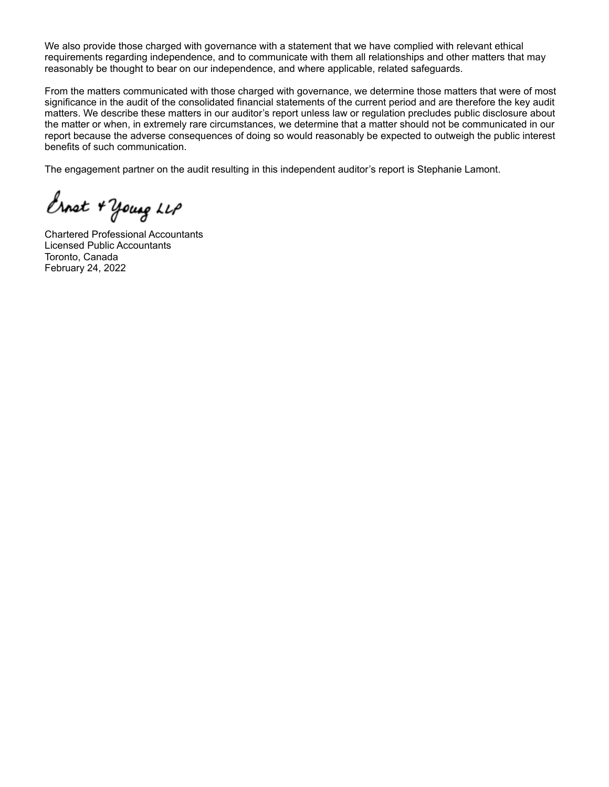We also provide those charged with governance with a statement that we have complied with relevant ethical requirements regarding independence, and to communicate with them all relationships and other matters that may reasonably be thought to bear on our independence, and where applicable, related safeguards.

From the matters communicated with those charged with governance, we determine those matters that were of most significance in the audit of the consolidated financial statements of the current period and are therefore the key audit matters. We describe these matters in our auditor's report unless law or regulation precludes public disclosure about the matter or when, in extremely rare circumstances, we determine that a matter should not be communicated in our report because the adverse consequences of doing so would reasonably be expected to outweigh the public interest benefits of such communication.

The engagement partner on the audit resulting in this independent auditor's report is Stephanie Lamont.

Ernst + Young LLP

Chartered Professional Accountants Licensed Public Accountants Toronto, Canada February 24, 2022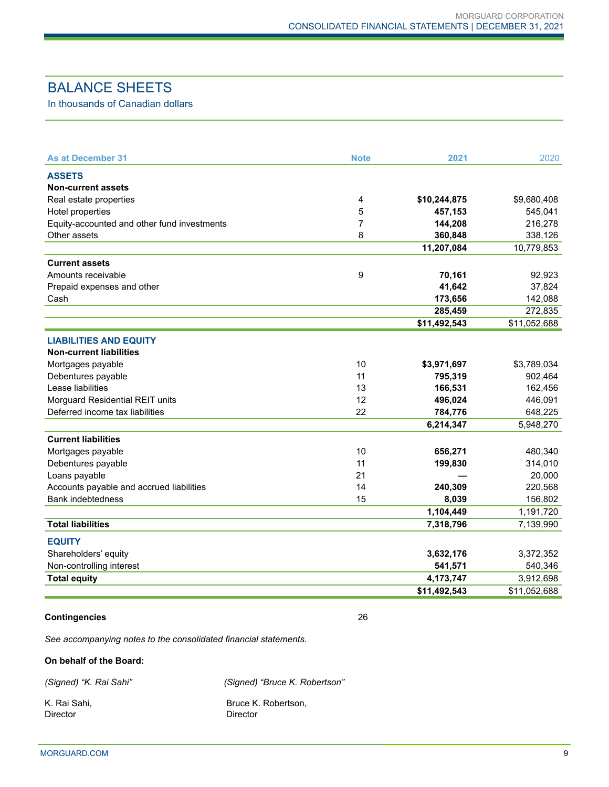# BALANCE SHEETS

In thousands of Canadian dollars

| <b>As at December 31</b>                    | <b>Note</b> | 2021         | 2020         |
|---------------------------------------------|-------------|--------------|--------------|
| <b>ASSETS</b>                               |             |              |              |
| <b>Non-current assets</b>                   |             |              |              |
| Real estate properties                      | 4           | \$10,244,875 | \$9,680,408  |
| Hotel properties                            | 5           | 457,153      | 545,041      |
| Equity-accounted and other fund investments | 7           | 144,208      | 216,278      |
| Other assets                                | 8           | 360,848      | 338,126      |
|                                             |             | 11,207,084   | 10,779,853   |
| <b>Current assets</b>                       |             |              |              |
| Amounts receivable                          | 9           | 70,161       | 92,923       |
| Prepaid expenses and other                  |             | 41,642       | 37,824       |
| Cash                                        |             | 173,656      | 142,088      |
|                                             |             | 285,459      | 272,835      |
|                                             |             | \$11,492,543 | \$11,052,688 |
| <b>LIABILITIES AND EQUITY</b>               |             |              |              |
| <b>Non-current liabilities</b>              |             |              |              |
| Mortgages payable                           | 10          | \$3,971,697  | \$3,789,034  |
| Debentures payable                          | 11          | 795,319      | 902,464      |
| Lease liabilities                           | 13          | 166,531      | 162,456      |
| Morguard Residential REIT units             | 12          | 496,024      | 446,091      |
| Deferred income tax liabilities             | 22          | 784,776      | 648,225      |
|                                             |             | 6,214,347    | 5,948,270    |
| <b>Current liabilities</b>                  |             |              |              |
| Mortgages payable                           | 10          | 656,271      | 480,340      |
| Debentures payable                          | 11          | 199,830      | 314,010      |
| Loans payable                               | 21          |              | 20,000       |
| Accounts payable and accrued liabilities    | 14          | 240,309      | 220,568      |
| <b>Bank indebtedness</b>                    | 15          | 8,039        | 156,802      |
|                                             |             | 1,104,449    | 1,191,720    |
| <b>Total liabilities</b>                    |             | 7,318,796    | 7,139,990    |
| <b>EQUITY</b>                               |             |              |              |
| Shareholders' equity                        |             | 3,632,176    | 3,372,352    |
| Non-controlling interest                    |             | 541,571      | 540,346      |
| <b>Total equity</b>                         |             | 4,173,747    | 3,912,698    |
|                                             |             | \$11,492,543 | \$11,052,688 |
|                                             |             |              |              |

#### **Contingencies** 26

*See accompanying notes to the consolidated financial statements.*

#### **On behalf of the Board:**

*(Signed) "K. Rai Sahi" (Signed) "Bruce K. Robertson"* 

K. Rai Sahi, **Bruce K. Robertson**, Director Director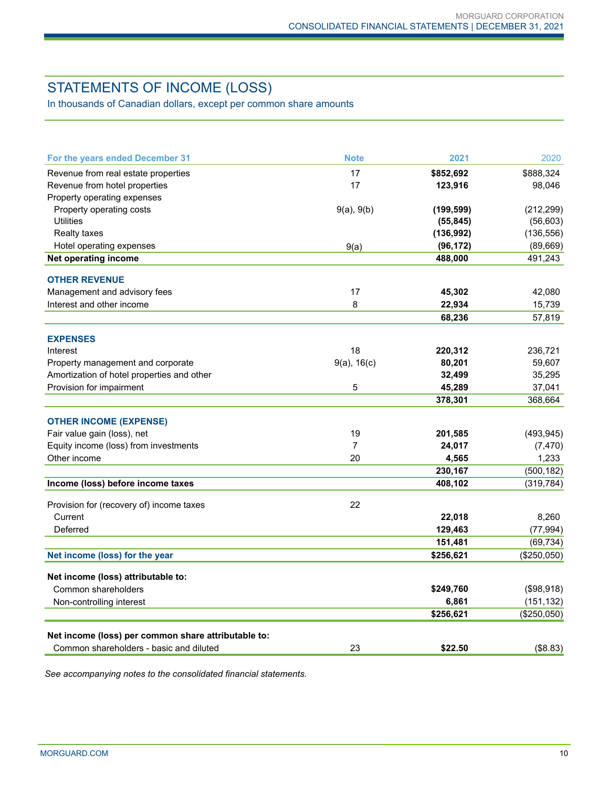# STATEMENTS OF INCOME (LOSS)

In thousands of Canadian dollars, except per common share amounts

| For the years ended December 31                     | <b>Note</b>      | 2021       | 2020        |
|-----------------------------------------------------|------------------|------------|-------------|
| Revenue from real estate properties                 | 17               | \$852,692  | \$888,324   |
| Revenue from hotel properties                       | 17               | 123,916    | 98,046      |
| Property operating expenses                         |                  |            |             |
| Property operating costs                            | 9(a), 9(b)       | (199, 599) | (212, 299)  |
| <b>Utilities</b>                                    |                  | (55, 845)  | (56, 603)   |
| <b>Realty taxes</b>                                 |                  | (136, 992) | (136, 556)  |
| Hotel operating expenses                            | 9(a)             | (96, 172)  | (89, 669)   |
| Net operating income                                |                  | 488,000    | 491,243     |
| <b>OTHER REVENUE</b>                                |                  |            |             |
| Management and advisory fees                        | 17               | 45,302     | 42,080      |
| Interest and other income                           | 8                | 22,934     | 15,739      |
|                                                     |                  | 68,236     | 57,819      |
| <b>EXPENSES</b>                                     |                  |            |             |
| Interest                                            | 18               | 220,312    | 236,721     |
| Property management and corporate                   | $9(a)$ , $16(c)$ | 80,201     | 59,607      |
| Amortization of hotel properties and other          |                  | 32,499     | 35,295      |
| Provision for impairment                            | $\overline{5}$   | 45,289     | 37,041      |
|                                                     |                  | 378,301    | 368,664     |
| <b>OTHER INCOME (EXPENSE)</b>                       |                  |            |             |
| Fair value gain (loss), net                         | 19               | 201,585    | (493, 945)  |
| Equity income (loss) from investments               | $\overline{7}$   | 24,017     | (7, 470)    |
| Other income                                        | 20               | 4,565      | 1,233       |
|                                                     |                  | 230,167    | (500, 182)  |
| Income (loss) before income taxes                   |                  | 408,102    | (319, 784)  |
| Provision for (recovery of) income taxes            | 22               |            |             |
| Current                                             |                  | 22,018     | 8,260       |
| Deferred                                            |                  | 129,463    | (77, 994)   |
|                                                     |                  | 151,481    | (69, 734)   |
| Net income (loss) for the year                      |                  | \$256,621  | (\$250,050) |
| Net income (loss) attributable to:                  |                  |            |             |
| Common shareholders                                 |                  | \$249,760  | (\$98,918)  |
| Non-controlling interest                            |                  | 6,861      | (151, 132)  |
|                                                     |                  | \$256,621  | (\$250,050) |
| Net income (loss) per common share attributable to: |                  |            |             |
| Common shareholders - basic and diluted             | 23               | \$22.50    | (\$8.83)    |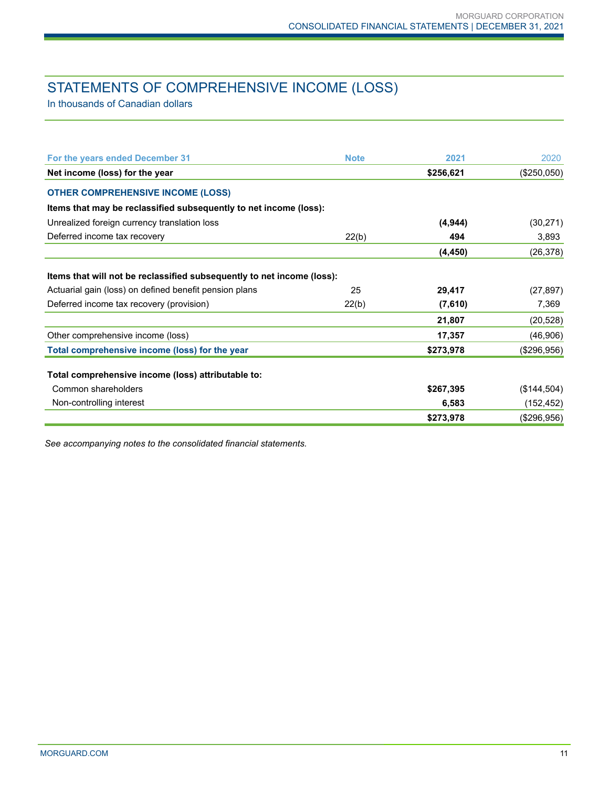# STATEMENTS OF COMPREHENSIVE INCOME (LOSS)

In thousands of Canadian dollars

| For the years ended December 31                                        | <b>Note</b> | 2021      | 2020        |
|------------------------------------------------------------------------|-------------|-----------|-------------|
| Net income (loss) for the year                                         |             | \$256,621 | (\$250,050) |
| <b>OTHER COMPREHENSIVE INCOME (LOSS)</b>                               |             |           |             |
| Items that may be reclassified subsequently to net income (loss):      |             |           |             |
| Unrealized foreign currency translation loss                           |             | (4, 944)  | (30, 271)   |
| Deferred income tax recovery                                           | 22(b)       | 494       | 3,893       |
|                                                                        |             | (4, 450)  | (26, 378)   |
| Items that will not be reclassified subsequently to net income (loss): |             |           |             |
| Actuarial gain (loss) on defined benefit pension plans                 | 25          | 29,417    | (27, 897)   |
| Deferred income tax recovery (provision)                               | 22(b)       | (7,610)   | 7,369       |
|                                                                        |             | 21,807    | (20, 528)   |
| Other comprehensive income (loss)                                      |             | 17,357    | (46,906)    |
| Total comprehensive income (loss) for the year                         |             | \$273,978 | (\$296,956) |
| Total comprehensive income (loss) attributable to:                     |             |           |             |
| Common shareholders                                                    |             | \$267,395 | (\$144,504) |
| Non-controlling interest                                               |             | 6,583     | (152, 452)  |
|                                                                        |             | \$273,978 | (\$296,956) |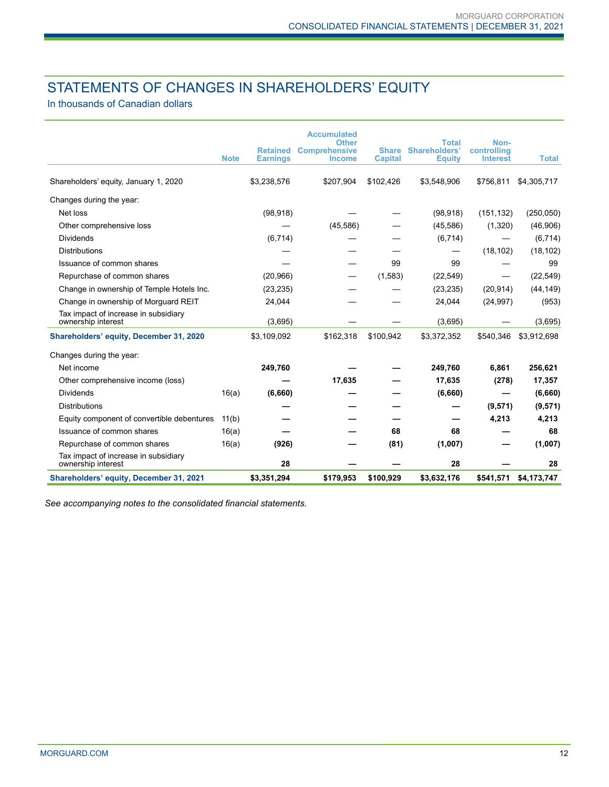# STATEMENTS OF CHANGES IN SHAREHOLDERS' EQUITY

In thousands of Canadian dollars

|                                                            | <b>Note</b> | <b>Retained</b><br><b>Earnings</b> | <b>Accumulated</b><br><b>Other</b><br><b>Comprehensive</b><br><b>Income</b> | <b>Share</b><br><b>Capital</b> | <b>Total</b><br><b>Shareholders'</b><br><b>Equity</b> | Non-<br>controlling<br><b>Interest</b> | <b>Total</b> |
|------------------------------------------------------------|-------------|------------------------------------|-----------------------------------------------------------------------------|--------------------------------|-------------------------------------------------------|----------------------------------------|--------------|
| Shareholders' equity, January 1, 2020                      |             | \$3,238,576                        | \$207,904                                                                   | \$102,426                      | \$3,548,906                                           | \$756.811                              | \$4,305,717  |
| Changes during the year:                                   |             |                                    |                                                                             |                                |                                                       |                                        |              |
| Net loss                                                   |             | (98, 918)                          |                                                                             |                                | (98, 918)                                             | (151, 132)                             | (250, 050)   |
| Other comprehensive loss                                   |             |                                    | (45, 586)                                                                   |                                | (45, 586)                                             | (1,320)                                | (46,906)     |
| <b>Dividends</b>                                           |             | (6, 714)                           |                                                                             |                                | (6, 714)                                              |                                        | (6, 714)     |
| <b>Distributions</b>                                       |             |                                    |                                                                             |                                | $\overbrace{\phantom{13333}}$                         | (18, 102)                              | (18, 102)    |
| Issuance of common shares                                  |             |                                    |                                                                             | 99                             | 99                                                    |                                        | 99           |
| Repurchase of common shares                                |             | (20, 966)                          |                                                                             | (1, 583)                       | (22, 549)                                             |                                        | (22, 549)    |
| Change in ownership of Temple Hotels Inc.                  |             | (23, 235)                          |                                                                             |                                | (23, 235)                                             | (20, 914)                              | (44, 149)    |
| Change in ownership of Morguard REIT                       |             | 24,044                             |                                                                             |                                | 24,044                                                | (24, 997)                              | (953)        |
| Tax impact of increase in subsidiary<br>ownership interest |             | (3,695)                            |                                                                             |                                | (3,695)                                               |                                        | (3,695)      |
| Shareholders' equity, December 31, 2020                    |             | \$3,109,092                        | \$162,318                                                                   | \$100.942                      | \$3,372,352                                           | \$540,346                              | \$3,912,698  |
| Changes during the year:                                   |             |                                    |                                                                             |                                |                                                       |                                        |              |
| Net income                                                 |             | 249,760                            |                                                                             |                                | 249,760                                               | 6.861                                  | 256,621      |
| Other comprehensive income (loss)                          |             |                                    | 17,635                                                                      |                                | 17,635                                                | (278)                                  | 17,357       |
| <b>Dividends</b>                                           | 16(a)       | (6,660)                            |                                                                             |                                | (6,660)                                               |                                        | (6,660)      |
| <b>Distributions</b>                                       |             |                                    |                                                                             |                                |                                                       | (9,571)                                | (9,571)      |
| Equity component of convertible debentures                 | 11(b)       |                                    |                                                                             |                                |                                                       | 4,213                                  | 4,213        |
| Issuance of common shares                                  | 16(a)       |                                    |                                                                             | 68                             | 68                                                    |                                        | 68           |
| Repurchase of common shares                                | 16(a)       | (926)                              |                                                                             | (81)                           | (1,007)                                               |                                        | (1,007)      |
| Tax impact of increase in subsidiary<br>ownership interest |             | 28                                 |                                                                             |                                | 28                                                    |                                        | 28           |
| <b>Shareholders' equity, December 31, 2021</b>             |             | \$3,351,294                        | \$179,953                                                                   | \$100,929                      | \$3,632,176                                           | \$541,571                              | \$4,173,747  |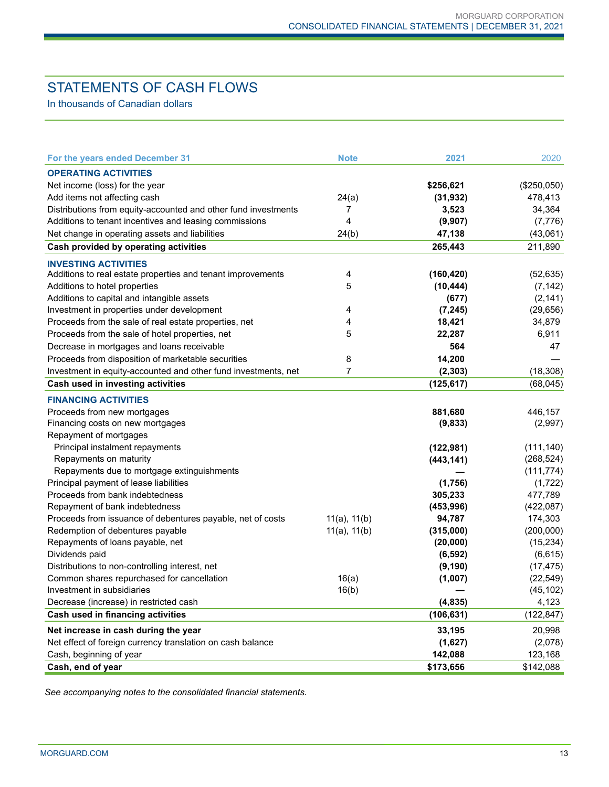# STATEMENTS OF CASH FLOWS

In thousands of Canadian dollars

| For the years ended December 31                                | <b>Note</b>       | 2021       | 2020        |
|----------------------------------------------------------------|-------------------|------------|-------------|
| <b>OPERATING ACTIVITIES</b>                                    |                   |            |             |
| Net income (loss) for the year                                 |                   | \$256,621  | (\$250,050) |
| Add items not affecting cash                                   | 24(a)             | (31, 932)  | 478,413     |
| Distributions from equity-accounted and other fund investments | 7                 | 3,523      | 34,364      |
| Additions to tenant incentives and leasing commissions         | 4                 | (9,907)    | (7, 776)    |
| Net change in operating assets and liabilities                 | 24(b)             | 47,138     | (43,061)    |
| Cash provided by operating activities                          |                   | 265,443    | 211,890     |
| <b>INVESTING ACTIVITIES</b>                                    |                   |            |             |
| Additions to real estate properties and tenant improvements    | 4                 | (160, 420) | (52, 635)   |
| Additions to hotel properties                                  | 5                 | (10, 444)  | (7, 142)    |
| Additions to capital and intangible assets                     |                   | (677)      | (2, 141)    |
| Investment in properties under development                     | 4                 | (7, 245)   | (29, 656)   |
| Proceeds from the sale of real estate properties, net          | 4                 | 18,421     | 34,879      |
| Proceeds from the sale of hotel properties, net                | 5                 | 22,287     | 6,911       |
| Decrease in mortgages and loans receivable                     |                   | 564        | 47          |
| Proceeds from disposition of marketable securities             | 8                 | 14,200     |             |
| Investment in equity-accounted and other fund investments, net | 7                 | (2, 303)   | (18, 308)   |
| Cash used in investing activities                              |                   | (125, 617) | (68, 045)   |
| <b>FINANCING ACTIVITIES</b>                                    |                   |            |             |
| Proceeds from new mortgages                                    |                   | 881,680    | 446,157     |
| Financing costs on new mortgages                               |                   | (9,833)    | (2,997)     |
| Repayment of mortgages                                         |                   |            |             |
| Principal instalment repayments                                |                   | (122, 981) | (111, 140)  |
| Repayments on maturity                                         |                   | (443, 141) | (268, 524)  |
| Repayments due to mortgage extinguishments                     |                   |            | (111, 774)  |
| Principal payment of lease liabilities                         |                   | (1,756)    | (1,722)     |
| Proceeds from bank indebtedness                                |                   | 305,233    | 477,789     |
| Repayment of bank indebtedness                                 |                   | (453, 996) | (422,087)   |
| Proceeds from issuance of debentures payable, net of costs     | $11(a)$ , $11(b)$ | 94,787     | 174,303     |
| Redemption of debentures payable                               | $11(a)$ , $11(b)$ | (315,000)  | (200,000)   |
| Repayments of loans payable, net                               |                   | (20,000)   | (15, 234)   |
| Dividends paid                                                 |                   | (6, 592)   | (6,615)     |
| Distributions to non-controlling interest, net                 |                   | (9, 190)   | (17, 475)   |
| Common shares repurchased for cancellation                     | 16(a)             | (1,007)    | (22, 549)   |
| Investment in subsidiaries                                     | 16(b)             |            | (45, 102)   |
| Decrease (increase) in restricted cash                         |                   | (4, 835)   | 4,123       |
| Cash used in financing activities                              |                   | (106, 631) | (122, 847)  |
| Net increase in cash during the year                           |                   | 33,195     | 20,998      |
| Net effect of foreign currency translation on cash balance     |                   | (1,627)    | (2,078)     |
| Cash, beginning of year                                        |                   | 142,088    | 123,168     |
| Cash, end of year                                              |                   | \$173,656  | \$142,088   |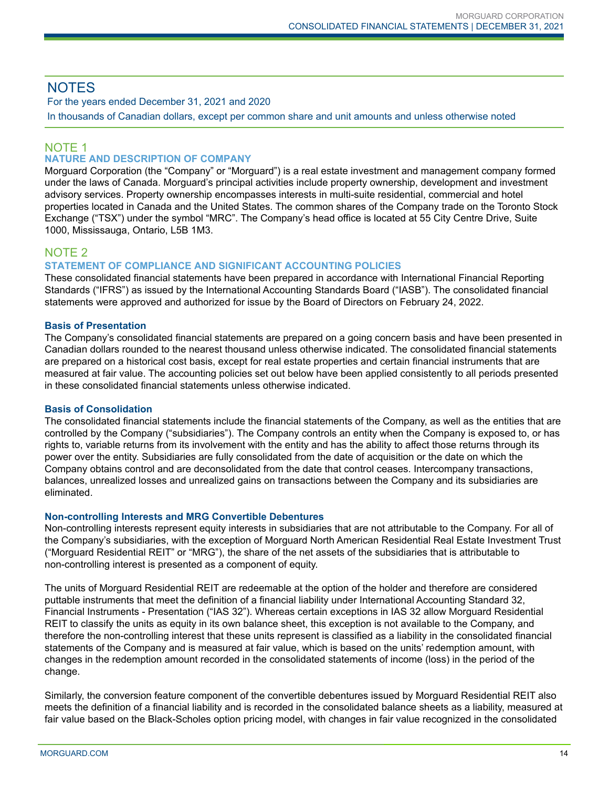# **NOTES**

For the years ended December 31, 2021 and 2020

In thousands of Canadian dollars, except per common share and unit amounts and unless otherwise noted

# NOTE 1

# **NATURE AND DESCRIPTION OF COMPANY**

Morguard Corporation (the "Company" or "Morguard") is a real estate investment and management company formed under the laws of Canada. Morguard's principal activities include property ownership, development and investment advisory services. Property ownership encompasses interests in multi-suite residential, commercial and hotel properties located in Canada and the United States. The common shares of the Company trade on the Toronto Stock Exchange ("TSX") under the symbol "MRC". The Company's head office is located at 55 City Centre Drive, Suite 1000, Mississauga, Ontario, L5B 1M3.

# NOTE 2

# **STATEMENT OF COMPLIANCE AND SIGNIFICANT ACCOUNTING POLICIES**

These consolidated financial statements have been prepared in accordance with International Financial Reporting Standards ("IFRS") as issued by the International Accounting Standards Board ("IASB"). The consolidated financial statements were approved and authorized for issue by the Board of Directors on February 24, 2022.

# **Basis of Presentation**

The Company's consolidated financial statements are prepared on a going concern basis and have been presented in Canadian dollars rounded to the nearest thousand unless otherwise indicated. The consolidated financial statements are prepared on a historical cost basis, except for real estate properties and certain financial instruments that are measured at fair value. The accounting policies set out below have been applied consistently to all periods presented in these consolidated financial statements unless otherwise indicated.

# **Basis of Consolidation**

The consolidated financial statements include the financial statements of the Company, as well as the entities that are controlled by the Company ("subsidiaries"). The Company controls an entity when the Company is exposed to, or has rights to, variable returns from its involvement with the entity and has the ability to affect those returns through its power over the entity. Subsidiaries are fully consolidated from the date of acquisition or the date on which the Company obtains control and are deconsolidated from the date that control ceases. Intercompany transactions, balances, unrealized losses and unrealized gains on transactions between the Company and its subsidiaries are eliminated.

# **Non-controlling Interests and MRG Convertible Debentures**

Non-controlling interests represent equity interests in subsidiaries that are not attributable to the Company. For all of the Company's subsidiaries, with the exception of Morguard North American Residential Real Estate Investment Trust ("Morguard Residential REIT" or "MRG"), the share of the net assets of the subsidiaries that is attributable to non-controlling interest is presented as a component of equity.

The units of Morguard Residential REIT are redeemable at the option of the holder and therefore are considered puttable instruments that meet the definition of a financial liability under International Accounting Standard 32, Financial Instruments - Presentation ("IAS 32"). Whereas certain exceptions in IAS 32 allow Morguard Residential REIT to classify the units as equity in its own balance sheet, this exception is not available to the Company, and therefore the non-controlling interest that these units represent is classified as a liability in the consolidated financial statements of the Company and is measured at fair value, which is based on the units' redemption amount, with changes in the redemption amount recorded in the consolidated statements of income (loss) in the period of the change.

Similarly, the conversion feature component of the convertible debentures issued by Morguard Residential REIT also meets the definition of a financial liability and is recorded in the consolidated balance sheets as a liability, measured at fair value based on the Black-Scholes option pricing model, with changes in fair value recognized in the consolidated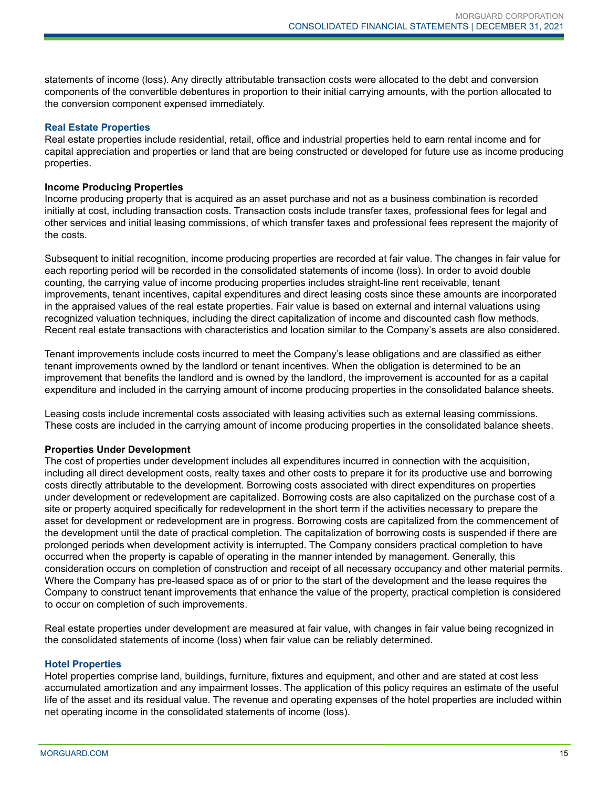statements of income (loss). Any directly attributable transaction costs were allocated to the debt and conversion components of the convertible debentures in proportion to their initial carrying amounts, with the portion allocated to the conversion component expensed immediately.

#### **Real Estate Properties**

Real estate properties include residential, retail, office and industrial properties held to earn rental income and for capital appreciation and properties or land that are being constructed or developed for future use as income producing properties.

## **Income Producing Properties**

Income producing property that is acquired as an asset purchase and not as a business combination is recorded initially at cost, including transaction costs. Transaction costs include transfer taxes, professional fees for legal and other services and initial leasing commissions, of which transfer taxes and professional fees represent the majority of the costs.

Subsequent to initial recognition, income producing properties are recorded at fair value. The changes in fair value for each reporting period will be recorded in the consolidated statements of income (loss). In order to avoid double counting, the carrying value of income producing properties includes straight-line rent receivable, tenant improvements, tenant incentives, capital expenditures and direct leasing costs since these amounts are incorporated in the appraised values of the real estate properties. Fair value is based on external and internal valuations using recognized valuation techniques, including the direct capitalization of income and discounted cash flow methods. Recent real estate transactions with characteristics and location similar to the Company's assets are also considered.

Tenant improvements include costs incurred to meet the Company's lease obligations and are classified as either tenant improvements owned by the landlord or tenant incentives. When the obligation is determined to be an improvement that benefits the landlord and is owned by the landlord, the improvement is accounted for as a capital expenditure and included in the carrying amount of income producing properties in the consolidated balance sheets.

Leasing costs include incremental costs associated with leasing activities such as external leasing commissions. These costs are included in the carrying amount of income producing properties in the consolidated balance sheets.

#### **Properties Under Development**

The cost of properties under development includes all expenditures incurred in connection with the acquisition, including all direct development costs, realty taxes and other costs to prepare it for its productive use and borrowing costs directly attributable to the development. Borrowing costs associated with direct expenditures on properties under development or redevelopment are capitalized. Borrowing costs are also capitalized on the purchase cost of a site or property acquired specifically for redevelopment in the short term if the activities necessary to prepare the asset for development or redevelopment are in progress. Borrowing costs are capitalized from the commencement of the development until the date of practical completion. The capitalization of borrowing costs is suspended if there are prolonged periods when development activity is interrupted. The Company considers practical completion to have occurred when the property is capable of operating in the manner intended by management. Generally, this consideration occurs on completion of construction and receipt of all necessary occupancy and other material permits. Where the Company has pre-leased space as of or prior to the start of the development and the lease requires the Company to construct tenant improvements that enhance the value of the property, practical completion is considered to occur on completion of such improvements.

Real estate properties under development are measured at fair value, with changes in fair value being recognized in the consolidated statements of income (loss) when fair value can be reliably determined.

#### **Hotel Properties**

Hotel properties comprise land, buildings, furniture, fixtures and equipment, and other and are stated at cost less accumulated amortization and any impairment losses. The application of this policy requires an estimate of the useful life of the asset and its residual value. The revenue and operating expenses of the hotel properties are included within net operating income in the consolidated statements of income (loss).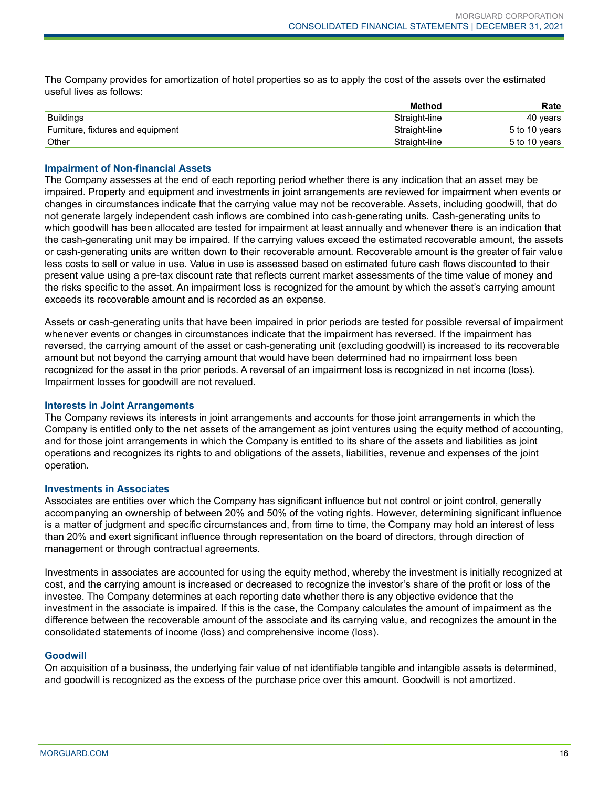The Company provides for amortization of hotel properties so as to apply the cost of the assets over the estimated useful lives as follows:

|               | Rate          |
|---------------|---------------|
| Straight-line | 40 years      |
| Straight-line | 5 to 10 years |
| Straight-line | 5 to 10 years |
|               | <b>Method</b> |

#### **Impairment of Non-financial Assets**

The Company assesses at the end of each reporting period whether there is any indication that an asset may be impaired. Property and equipment and investments in joint arrangements are reviewed for impairment when events or changes in circumstances indicate that the carrying value may not be recoverable. Assets, including goodwill, that do not generate largely independent cash inflows are combined into cash-generating units. Cash-generating units to which goodwill has been allocated are tested for impairment at least annually and whenever there is an indication that the cash-generating unit may be impaired. If the carrying values exceed the estimated recoverable amount, the assets or cash-generating units are written down to their recoverable amount. Recoverable amount is the greater of fair value less costs to sell or value in use. Value in use is assessed based on estimated future cash flows discounted to their present value using a pre-tax discount rate that reflects current market assessments of the time value of money and the risks specific to the asset. An impairment loss is recognized for the amount by which the asset's carrying amount exceeds its recoverable amount and is recorded as an expense.

Assets or cash-generating units that have been impaired in prior periods are tested for possible reversal of impairment whenever events or changes in circumstances indicate that the impairment has reversed. If the impairment has reversed, the carrying amount of the asset or cash-generating unit (excluding goodwill) is increased to its recoverable amount but not beyond the carrying amount that would have been determined had no impairment loss been recognized for the asset in the prior periods. A reversal of an impairment loss is recognized in net income (loss). Impairment losses for goodwill are not revalued.

#### **Interests in Joint Arrangements**

The Company reviews its interests in joint arrangements and accounts for those joint arrangements in which the Company is entitled only to the net assets of the arrangement as joint ventures using the equity method of accounting, and for those joint arrangements in which the Company is entitled to its share of the assets and liabilities as joint operations and recognizes its rights to and obligations of the assets, liabilities, revenue and expenses of the joint operation.

#### **Investments in Associates**

Associates are entities over which the Company has significant influence but not control or joint control, generally accompanying an ownership of between 20% and 50% of the voting rights. However, determining significant influence is a matter of judgment and specific circumstances and, from time to time, the Company may hold an interest of less than 20% and exert significant influence through representation on the board of directors, through direction of management or through contractual agreements.

Investments in associates are accounted for using the equity method, whereby the investment is initially recognized at cost, and the carrying amount is increased or decreased to recognize the investor's share of the profit or loss of the investee. The Company determines at each reporting date whether there is any objective evidence that the investment in the associate is impaired. If this is the case, the Company calculates the amount of impairment as the difference between the recoverable amount of the associate and its carrying value, and recognizes the amount in the consolidated statements of income (loss) and comprehensive income (loss).

#### **Goodwill**

On acquisition of a business, the underlying fair value of net identifiable tangible and intangible assets is determined, and goodwill is recognized as the excess of the purchase price over this amount. Goodwill is not amortized.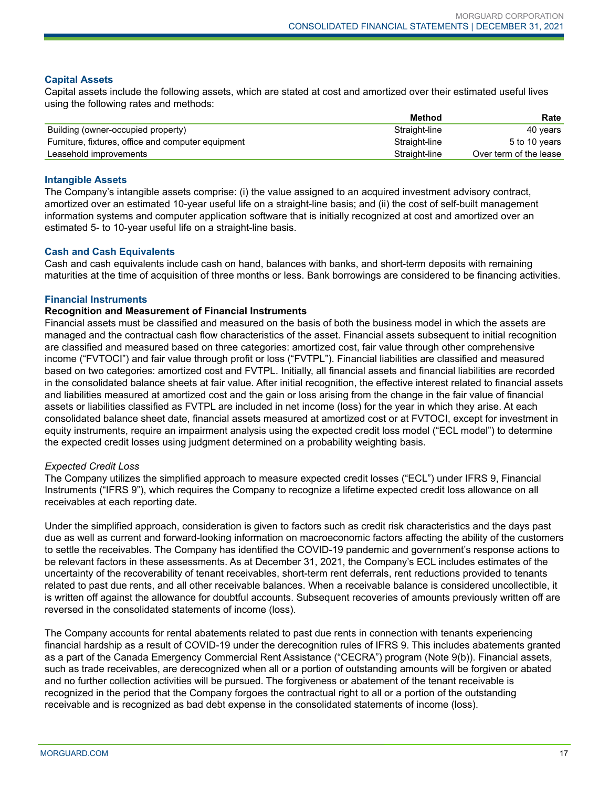#### **Capital Assets**

Capital assets include the following assets, which are stated at cost and amortized over their estimated useful lives using the following rates and methods:

|                                                    | <b>Method</b> | Rate                   |
|----------------------------------------------------|---------------|------------------------|
| Building (owner-occupied property)                 | Straight-line | 40 years               |
| Furniture, fixtures, office and computer equipment | Straight-line | 5 to 10 years          |
| Leasehold improvements                             | Straight-line | Over term of the lease |

#### **Intangible Assets**

The Company's intangible assets comprise: (i) the value assigned to an acquired investment advisory contract, amortized over an estimated 10-year useful life on a straight-line basis; and (ii) the cost of self-built management information systems and computer application software that is initially recognized at cost and amortized over an estimated 5- to 10-year useful life on a straight-line basis.

#### **Cash and Cash Equivalents**

Cash and cash equivalents include cash on hand, balances with banks, and short-term deposits with remaining maturities at the time of acquisition of three months or less. Bank borrowings are considered to be financing activities.

#### **Financial Instruments**

#### **Recognition and Measurement of Financial Instruments**

Financial assets must be classified and measured on the basis of both the business model in which the assets are managed and the contractual cash flow characteristics of the asset. Financial assets subsequent to initial recognition are classified and measured based on three categories: amortized cost, fair value through other comprehensive income ("FVTOCI") and fair value through profit or loss ("FVTPL"). Financial liabilities are classified and measured based on two categories: amortized cost and FVTPL. Initially, all financial assets and financial liabilities are recorded in the consolidated balance sheets at fair value. After initial recognition, the effective interest related to financial assets and liabilities measured at amortized cost and the gain or loss arising from the change in the fair value of financial assets or liabilities classified as FVTPL are included in net income (loss) for the year in which they arise. At each consolidated balance sheet date, financial assets measured at amortized cost or at FVTOCI, except for investment in equity instruments, require an impairment analysis using the expected credit loss model ("ECL model") to determine the expected credit losses using judgment determined on a probability weighting basis.

#### *Expected Credit Loss*

The Company utilizes the simplified approach to measure expected credit losses ("ECL") under IFRS 9, Financial Instruments ("IFRS 9"), which requires the Company to recognize a lifetime expected credit loss allowance on all receivables at each reporting date.

Under the simplified approach, consideration is given to factors such as credit risk characteristics and the days past due as well as current and forward-looking information on macroeconomic factors affecting the ability of the customers to settle the receivables. The Company has identified the COVID-19 pandemic and government's response actions to be relevant factors in these assessments. As at December 31, 2021, the Company's ECL includes estimates of the uncertainty of the recoverability of tenant receivables, short-term rent deferrals, rent reductions provided to tenants related to past due rents, and all other receivable balances. When a receivable balance is considered uncollectible, it is written off against the allowance for doubtful accounts. Subsequent recoveries of amounts previously written off are reversed in the consolidated statements of income (loss).

The Company accounts for rental abatements related to past due rents in connection with tenants experiencing financial hardship as a result of COVID-19 under the derecognition rules of IFRS 9. This includes abatements granted as a part of the Canada Emergency Commercial Rent Assistance ("CECRA") program (Note 9(b)). Financial assets, such as trade receivables, are derecognized when all or a portion of outstanding amounts will be forgiven or abated and no further collection activities will be pursued. The forgiveness or abatement of the tenant receivable is recognized in the period that the Company forgoes the contractual right to all or a portion of the outstanding receivable and is recognized as bad debt expense in the consolidated statements of income (loss).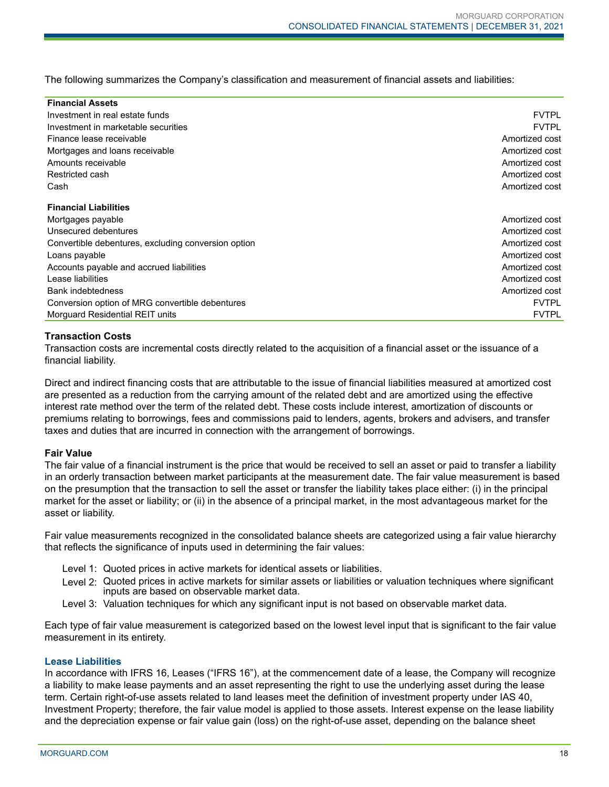The following summarizes the Company's classification and measurement of financial assets and liabilities:

| <b>Financial Assets</b>                             |                |
|-----------------------------------------------------|----------------|
| Investment in real estate funds                     | <b>FVTPL</b>   |
| Investment in marketable securities                 | <b>FVTPL</b>   |
| Finance lease receivable                            | Amortized cost |
| Mortgages and loans receivable                      | Amortized cost |
| Amounts receivable                                  | Amortized cost |
| Restricted cash                                     | Amortized cost |
| Cash                                                | Amortized cost |
| <b>Financial Liabilities</b>                        |                |
| Mortgages payable                                   | Amortized cost |
| Unsecured debentures                                | Amortized cost |
| Convertible debentures, excluding conversion option | Amortized cost |
| Loans payable                                       | Amortized cost |
| Accounts payable and accrued liabilities            | Amortized cost |
| Lease liabilities                                   | Amortized cost |
| <b>Bank indebtedness</b>                            | Amortized cost |
| Conversion option of MRG convertible debentures     | <b>FVTPL</b>   |
| Morguard Residential REIT units                     | <b>FVTPL</b>   |

## **Transaction Costs**

Transaction costs are incremental costs directly related to the acquisition of a financial asset or the issuance of a financial liability.

Direct and indirect financing costs that are attributable to the issue of financial liabilities measured at amortized cost are presented as a reduction from the carrying amount of the related debt and are amortized using the effective interest rate method over the term of the related debt. These costs include interest, amortization of discounts or premiums relating to borrowings, fees and commissions paid to lenders, agents, brokers and advisers, and transfer taxes and duties that are incurred in connection with the arrangement of borrowings.

#### **Fair Value**

The fair value of a financial instrument is the price that would be received to sell an asset or paid to transfer a liability in an orderly transaction between market participants at the measurement date. The fair value measurement is based on the presumption that the transaction to sell the asset or transfer the liability takes place either: (i) in the principal market for the asset or liability; or (ii) in the absence of a principal market, in the most advantageous market for the asset or liability.

Fair value measurements recognized in the consolidated balance sheets are categorized using a fair value hierarchy that reflects the significance of inputs used in determining the fair values:

- Level 1: Quoted prices in active markets for identical assets or liabilities.
- Level 2: Quoted prices in active markets for similar assets or liabilities or valuation techniques where significant inputs are based on observable market data.
- Level 3: Valuation techniques for which any significant input is not based on observable market data.

Each type of fair value measurement is categorized based on the lowest level input that is significant to the fair value measurement in its entirety.

#### **Lease Liabilities**

In accordance with IFRS 16, Leases ("IFRS 16"), at the commencement date of a lease, the Company will recognize a liability to make lease payments and an asset representing the right to use the underlying asset during the lease term. Certain right-of-use assets related to land leases meet the definition of investment property under IAS 40, Investment Property; therefore, the fair value model is applied to those assets. Interest expense on the lease liability and the depreciation expense or fair value gain (loss) on the right-of-use asset, depending on the balance sheet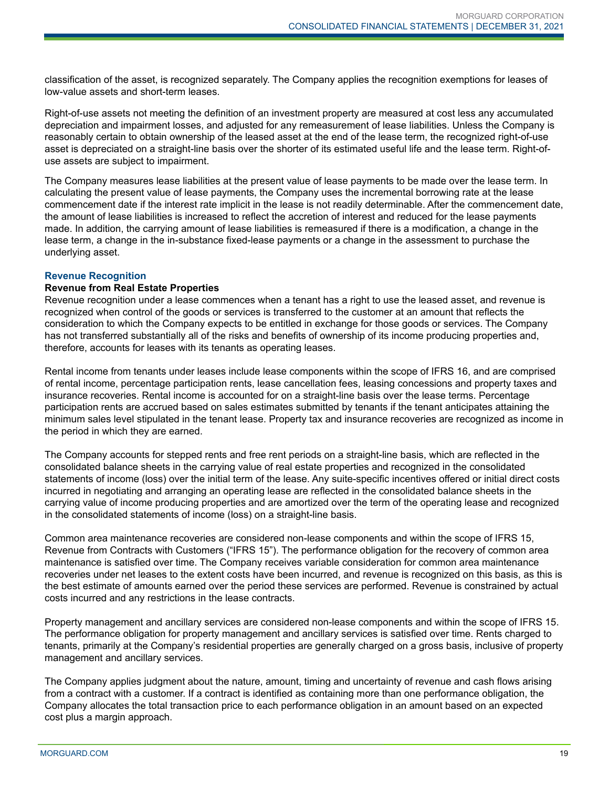classification of the asset, is recognized separately. The Company applies the recognition exemptions for leases of low-value assets and short-term leases.

Right-of-use assets not meeting the definition of an investment property are measured at cost less any accumulated depreciation and impairment losses, and adjusted for any remeasurement of lease liabilities. Unless the Company is reasonably certain to obtain ownership of the leased asset at the end of the lease term, the recognized right-of-use asset is depreciated on a straight-line basis over the shorter of its estimated useful life and the lease term. Right-ofuse assets are subject to impairment.

The Company measures lease liabilities at the present value of lease payments to be made over the lease term. In calculating the present value of lease payments, the Company uses the incremental borrowing rate at the lease commencement date if the interest rate implicit in the lease is not readily determinable. After the commencement date, the amount of lease liabilities is increased to reflect the accretion of interest and reduced for the lease payments made. In addition, the carrying amount of lease liabilities is remeasured if there is a modification, a change in the lease term, a change in the in-substance fixed-lease payments or a change in the assessment to purchase the underlying asset.

#### **Revenue Recognition**

#### **Revenue from Real Estate Properties**

Revenue recognition under a lease commences when a tenant has a right to use the leased asset, and revenue is recognized when control of the goods or services is transferred to the customer at an amount that reflects the consideration to which the Company expects to be entitled in exchange for those goods or services. The Company has not transferred substantially all of the risks and benefits of ownership of its income producing properties and, therefore, accounts for leases with its tenants as operating leases.

Rental income from tenants under leases include lease components within the scope of IFRS 16, and are comprised of rental income, percentage participation rents, lease cancellation fees, leasing concessions and property taxes and insurance recoveries. Rental income is accounted for on a straight-line basis over the lease terms. Percentage participation rents are accrued based on sales estimates submitted by tenants if the tenant anticipates attaining the minimum sales level stipulated in the tenant lease. Property tax and insurance recoveries are recognized as income in the period in which they are earned.

The Company accounts for stepped rents and free rent periods on a straight-line basis, which are reflected in the consolidated balance sheets in the carrying value of real estate properties and recognized in the consolidated statements of income (loss) over the initial term of the lease. Any suite-specific incentives offered or initial direct costs incurred in negotiating and arranging an operating lease are reflected in the consolidated balance sheets in the carrying value of income producing properties and are amortized over the term of the operating lease and recognized in the consolidated statements of income (loss) on a straight-line basis.

Common area maintenance recoveries are considered non-lease components and within the scope of IFRS 15, Revenue from Contracts with Customers ("IFRS 15"). The performance obligation for the recovery of common area maintenance is satisfied over time. The Company receives variable consideration for common area maintenance recoveries under net leases to the extent costs have been incurred, and revenue is recognized on this basis, as this is the best estimate of amounts earned over the period these services are performed. Revenue is constrained by actual costs incurred and any restrictions in the lease contracts.

Property management and ancillary services are considered non-lease components and within the scope of IFRS 15. The performance obligation for property management and ancillary services is satisfied over time. Rents charged to tenants, primarily at the Company's residential properties are generally charged on a gross basis, inclusive of property management and ancillary services.

The Company applies judgment about the nature, amount, timing and uncertainty of revenue and cash flows arising from a contract with a customer. If a contract is identified as containing more than one performance obligation, the Company allocates the total transaction price to each performance obligation in an amount based on an expected cost plus a margin approach.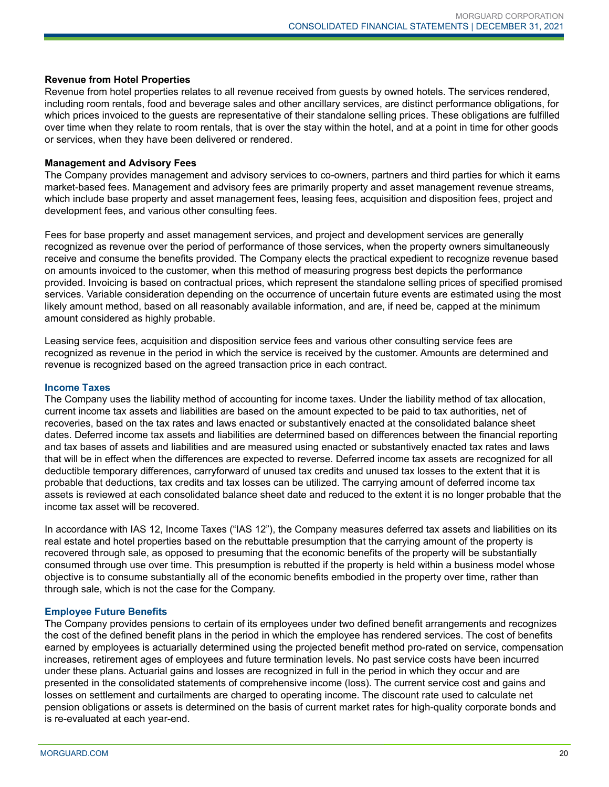#### **Revenue from Hotel Properties**

Revenue from hotel properties relates to all revenue received from guests by owned hotels. The services rendered, including room rentals, food and beverage sales and other ancillary services, are distinct performance obligations, for which prices invoiced to the guests are representative of their standalone selling prices. These obligations are fulfilled over time when they relate to room rentals, that is over the stay within the hotel, and at a point in time for other goods or services, when they have been delivered or rendered.

#### **Management and Advisory Fees**

The Company provides management and advisory services to co-owners, partners and third parties for which it earns market-based fees. Management and advisory fees are primarily property and asset management revenue streams, which include base property and asset management fees, leasing fees, acquisition and disposition fees, project and development fees, and various other consulting fees.

Fees for base property and asset management services, and project and development services are generally recognized as revenue over the period of performance of those services, when the property owners simultaneously receive and consume the benefits provided. The Company elects the practical expedient to recognize revenue based on amounts invoiced to the customer, when this method of measuring progress best depicts the performance provided. Invoicing is based on contractual prices, which represent the standalone selling prices of specified promised services. Variable consideration depending on the occurrence of uncertain future events are estimated using the most likely amount method, based on all reasonably available information, and are, if need be, capped at the minimum amount considered as highly probable.

Leasing service fees, acquisition and disposition service fees and various other consulting service fees are recognized as revenue in the period in which the service is received by the customer. Amounts are determined and revenue is recognized based on the agreed transaction price in each contract.

#### **Income Taxes**

The Company uses the liability method of accounting for income taxes. Under the liability method of tax allocation, current income tax assets and liabilities are based on the amount expected to be paid to tax authorities, net of recoveries, based on the tax rates and laws enacted or substantively enacted at the consolidated balance sheet dates. Deferred income tax assets and liabilities are determined based on differences between the financial reporting and tax bases of assets and liabilities and are measured using enacted or substantively enacted tax rates and laws that will be in effect when the differences are expected to reverse. Deferred income tax assets are recognized for all deductible temporary differences, carryforward of unused tax credits and unused tax losses to the extent that it is probable that deductions, tax credits and tax losses can be utilized. The carrying amount of deferred income tax assets is reviewed at each consolidated balance sheet date and reduced to the extent it is no longer probable that the income tax asset will be recovered.

In accordance with IAS 12, Income Taxes ("IAS 12"), the Company measures deferred tax assets and liabilities on its real estate and hotel properties based on the rebuttable presumption that the carrying amount of the property is recovered through sale, as opposed to presuming that the economic benefits of the property will be substantially consumed through use over time. This presumption is rebutted if the property is held within a business model whose objective is to consume substantially all of the economic benefits embodied in the property over time, rather than through sale, which is not the case for the Company.

#### **Employee Future Benefits**

The Company provides pensions to certain of its employees under two defined benefit arrangements and recognizes the cost of the defined benefit plans in the period in which the employee has rendered services. The cost of benefits earned by employees is actuarially determined using the projected benefit method pro-rated on service, compensation increases, retirement ages of employees and future termination levels. No past service costs have been incurred under these plans. Actuarial gains and losses are recognized in full in the period in which they occur and are presented in the consolidated statements of comprehensive income (loss). The current service cost and gains and losses on settlement and curtailments are charged to operating income. The discount rate used to calculate net pension obligations or assets is determined on the basis of current market rates for high-quality corporate bonds and is re-evaluated at each year-end.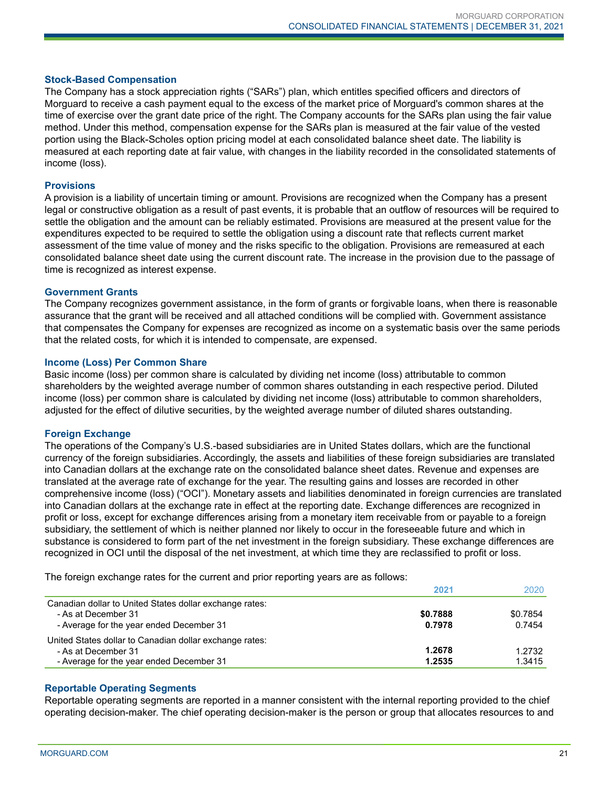#### **Stock-Based Compensation**

The Company has a stock appreciation rights ("SARs") plan, which entitles specified officers and directors of Morguard to receive a cash payment equal to the excess of the market price of Morguard's common shares at the time of exercise over the grant date price of the right. The Company accounts for the SARs plan using the fair value method. Under this method, compensation expense for the SARs plan is measured at the fair value of the vested portion using the Black-Scholes option pricing model at each consolidated balance sheet date. The liability is measured at each reporting date at fair value, with changes in the liability recorded in the consolidated statements of income (loss).

#### **Provisions**

A provision is a liability of uncertain timing or amount. Provisions are recognized when the Company has a present legal or constructive obligation as a result of past events, it is probable that an outflow of resources will be required to settle the obligation and the amount can be reliably estimated. Provisions are measured at the present value for the expenditures expected to be required to settle the obligation using a discount rate that reflects current market assessment of the time value of money and the risks specific to the obligation. Provisions are remeasured at each consolidated balance sheet date using the current discount rate. The increase in the provision due to the passage of time is recognized as interest expense.

#### **Government Grants**

The Company recognizes government assistance, in the form of grants or forgivable loans, when there is reasonable assurance that the grant will be received and all attached conditions will be complied with. Government assistance that compensates the Company for expenses are recognized as income on a systematic basis over the same periods that the related costs, for which it is intended to compensate, are expensed.

#### **Income (Loss) Per Common Share**

Basic income (loss) per common share is calculated by dividing net income (loss) attributable to common shareholders by the weighted average number of common shares outstanding in each respective period. Diluted income (loss) per common share is calculated by dividing net income (loss) attributable to common shareholders, adjusted for the effect of dilutive securities, by the weighted average number of diluted shares outstanding.

#### **Foreign Exchange**

The operations of the Company's U.S.-based subsidiaries are in United States dollars, which are the functional currency of the foreign subsidiaries. Accordingly, the assets and liabilities of these foreign subsidiaries are translated into Canadian dollars at the exchange rate on the consolidated balance sheet dates. Revenue and expenses are translated at the average rate of exchange for the year. The resulting gains and losses are recorded in other comprehensive income (loss) ("OCI"). Monetary assets and liabilities denominated in foreign currencies are translated into Canadian dollars at the exchange rate in effect at the reporting date. Exchange differences are recognized in profit or loss, except for exchange differences arising from a monetary item receivable from or payable to a foreign subsidiary, the settlement of which is neither planned nor likely to occur in the foreseeable future and which in substance is considered to form part of the net investment in the foreign subsidiary. These exchange differences are recognized in OCI until the disposal of the net investment, at which time they are reclassified to profit or loss.

The foreign exchange rates for the current and prior reporting years are as follows:

|                                                         | 2021     | 2020     |
|---------------------------------------------------------|----------|----------|
| Canadian dollar to United States dollar exchange rates: |          |          |
| - As at December 31                                     | \$0.7888 | \$0.7854 |
| - Average for the year ended December 31                | 0.7978   | 0.7454   |
| United States dollar to Canadian dollar exchange rates: |          |          |
| - As at December 31                                     | 1.2678   | 1.2732   |
| - Average for the year ended December 31                | 1.2535   | 1.3415   |

#### **Reportable Operating Segments**

Reportable operating segments are reported in a manner consistent with the internal reporting provided to the chief operating decision-maker. The chief operating decision-maker is the person or group that allocates resources to and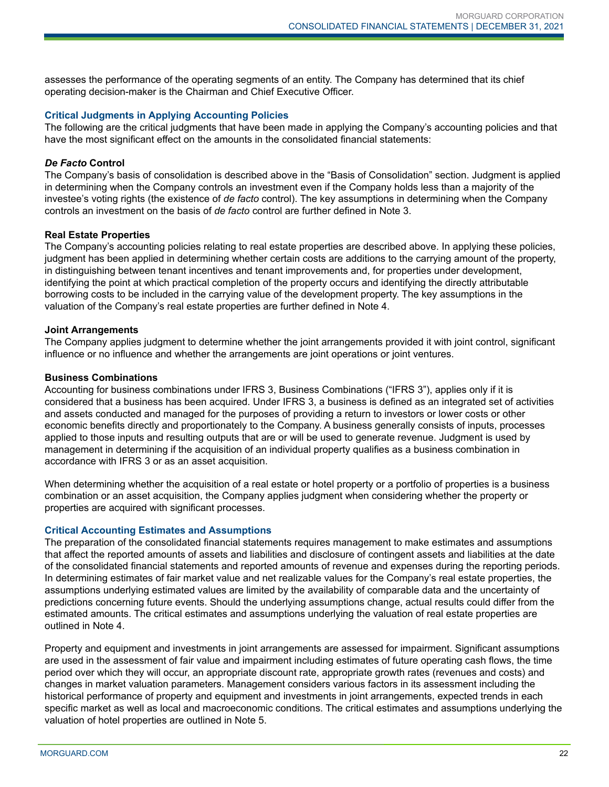assesses the performance of the operating segments of an entity. The Company has determined that its chief operating decision-maker is the Chairman and Chief Executive Officer.

#### **Critical Judgments in Applying Accounting Policies**

The following are the critical judgments that have been made in applying the Company's accounting policies and that have the most significant effect on the amounts in the consolidated financial statements:

#### *De Facto* **Control**

The Company's basis of consolidation is described above in the "Basis of Consolidation" section. Judgment is applied in determining when the Company controls an investment even if the Company holds less than a majority of the investee's voting rights (the existence of *de facto* control). The key assumptions in determining when the Company controls an investment on the basis of *de facto* control are further defined in Note 3.

## **Real Estate Properties**

The Company's accounting policies relating to real estate properties are described above. In applying these policies, judgment has been applied in determining whether certain costs are additions to the carrying amount of the property, in distinguishing between tenant incentives and tenant improvements and, for properties under development, identifying the point at which practical completion of the property occurs and identifying the directly attributable borrowing costs to be included in the carrying value of the development property. The key assumptions in the valuation of the Company's real estate properties are further defined in Note 4.

#### **Joint Arrangements**

The Company applies judgment to determine whether the joint arrangements provided it with joint control, significant influence or no influence and whether the arrangements are joint operations or joint ventures.

#### **Business Combinations**

Accounting for business combinations under IFRS 3, Business Combinations ("IFRS 3"), applies only if it is considered that a business has been acquired. Under IFRS 3, a business is defined as an integrated set of activities and assets conducted and managed for the purposes of providing a return to investors or lower costs or other economic benefits directly and proportionately to the Company. A business generally consists of inputs, processes applied to those inputs and resulting outputs that are or will be used to generate revenue. Judgment is used by management in determining if the acquisition of an individual property qualifies as a business combination in accordance with IFRS 3 or as an asset acquisition.

When determining whether the acquisition of a real estate or hotel property or a portfolio of properties is a business combination or an asset acquisition, the Company applies judgment when considering whether the property or properties are acquired with significant processes.

#### **Critical Accounting Estimates and Assumptions**

The preparation of the consolidated financial statements requires management to make estimates and assumptions that affect the reported amounts of assets and liabilities and disclosure of contingent assets and liabilities at the date of the consolidated financial statements and reported amounts of revenue and expenses during the reporting periods. In determining estimates of fair market value and net realizable values for the Company's real estate properties, the assumptions underlying estimated values are limited by the availability of comparable data and the uncertainty of predictions concerning future events. Should the underlying assumptions change, actual results could differ from the estimated amounts. The critical estimates and assumptions underlying the valuation of real estate properties are outlined in Note 4.

Property and equipment and investments in joint arrangements are assessed for impairment. Significant assumptions are used in the assessment of fair value and impairment including estimates of future operating cash flows, the time period over which they will occur, an appropriate discount rate, appropriate growth rates (revenues and costs) and changes in market valuation parameters. Management considers various factors in its assessment including the historical performance of property and equipment and investments in joint arrangements, expected trends in each specific market as well as local and macroeconomic conditions. The critical estimates and assumptions underlying the valuation of hotel properties are outlined in Note 5.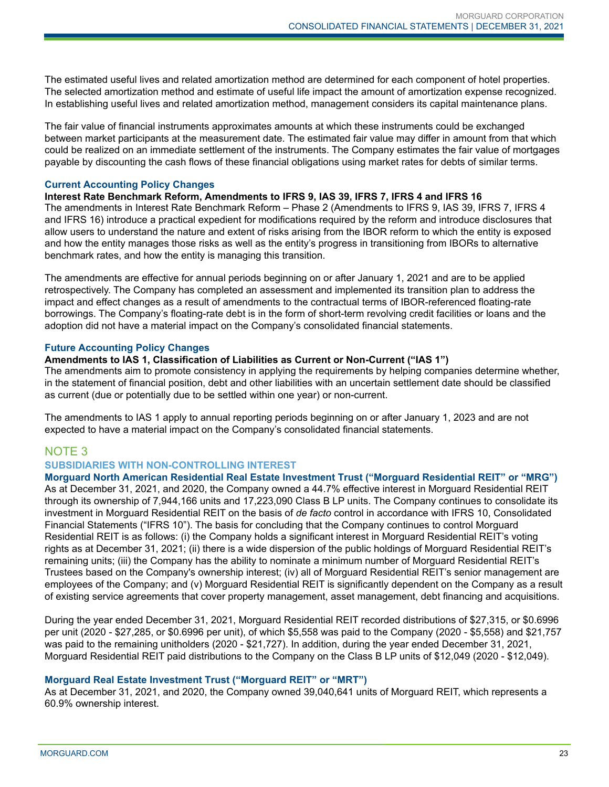The estimated useful lives and related amortization method are determined for each component of hotel properties. The selected amortization method and estimate of useful life impact the amount of amortization expense recognized. In establishing useful lives and related amortization method, management considers its capital maintenance plans.

The fair value of financial instruments approximates amounts at which these instruments could be exchanged between market participants at the measurement date. The estimated fair value may differ in amount from that which could be realized on an immediate settlement of the instruments. The Company estimates the fair value of mortgages payable by discounting the cash flows of these financial obligations using market rates for debts of similar terms.

#### **Current Accounting Policy Changes**

**Interest Rate Benchmark Reform, Amendments to IFRS 9, IAS 39, IFRS 7, IFRS 4 and IFRS 16** The amendments in Interest Rate Benchmark Reform – Phase 2 (Amendments to IFRS 9, IAS 39, IFRS 7, IFRS 4 and IFRS 16) introduce a practical expedient for modifications required by the reform and introduce disclosures that allow users to understand the nature and extent of risks arising from the IBOR reform to which the entity is exposed and how the entity manages those risks as well as the entity's progress in transitioning from IBORs to alternative benchmark rates, and how the entity is managing this transition.

The amendments are effective for annual periods beginning on or after January 1, 2021 and are to be applied retrospectively. The Company has completed an assessment and implemented its transition plan to address the impact and effect changes as a result of amendments to the contractual terms of IBOR-referenced floating-rate borrowings. The Company's floating-rate debt is in the form of short-term revolving credit facilities or loans and the adoption did not have a material impact on the Company's consolidated financial statements.

## **Future Accounting Policy Changes**

**Amendments to IAS 1, Classification of Liabilities as Current or Non-Current ("IAS 1")**

The amendments aim to promote consistency in applying the requirements by helping companies determine whether, in the statement of financial position, debt and other liabilities with an uncertain settlement date should be classified as current (due or potentially due to be settled within one year) or non-current.

The amendments to IAS 1 apply to annual reporting periods beginning on or after January 1, 2023 and are not expected to have a material impact on the Company's consolidated financial statements.

# NOTE 3

#### **SUBSIDIARIES WITH NON-CONTROLLING INTEREST**

**Morguard North American Residential Real Estate Investment Trust ("Morguard Residential REIT" or "MRG")** As at December 31, 2021, and 2020, the Company owned a 44.7% effective interest in Morguard Residential REIT through its ownership of 7,944,166 units and 17,223,090 Class B LP units. The Company continues to consolidate its investment in Morguard Residential REIT on the basis of *de facto* control in accordance with IFRS 10, Consolidated Financial Statements ("IFRS 10"). The basis for concluding that the Company continues to control Morguard Residential REIT is as follows: (i) the Company holds a significant interest in Morguard Residential REIT's voting rights as at December 31, 2021; (ii) there is a wide dispersion of the public holdings of Morguard Residential REIT's remaining units; (iii) the Company has the ability to nominate a minimum number of Morguard Residential REIT's Trustees based on the Company's ownership interest; (iv) all of Morguard Residential REIT's senior management are employees of the Company; and (v) Morguard Residential REIT is significantly dependent on the Company as a result of existing service agreements that cover property management, asset management, debt financing and acquisitions.

During the year ended December 31, 2021, Morguard Residential REIT recorded distributions of \$27,315, or \$0.6996 per unit (2020 - \$27,285, or \$0.6996 per unit), of which \$5,558 was paid to the Company (2020 - \$5,558) and \$21,757 was paid to the remaining unitholders (2020 - \$21,727). In addition, during the year ended December 31, 2021, Morguard Residential REIT paid distributions to the Company on the Class B LP units of \$12,049 (2020 - \$12,049).

# **Morguard Real Estate Investment Trust ("Morguard REIT" or "MRT")**

As at December 31, 2021, and 2020, the Company owned 39,040,641 units of Morguard REIT, which represents a 60.9% ownership interest.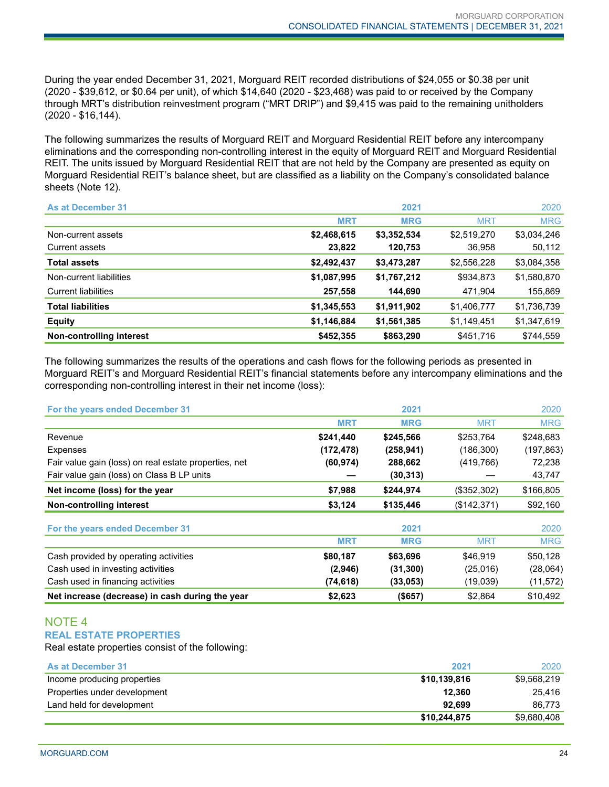During the year ended December 31, 2021, Morguard REIT recorded distributions of \$24,055 or \$0.38 per unit (2020 - \$39,612, or \$0.64 per unit), of which \$14,640 (2020 - \$23,468) was paid to or received by the Company through MRT's distribution reinvestment program ("MRT DRIP") and \$9,415 was paid to the remaining unitholders (2020 - \$16,144).

The following summarizes the results of Morguard REIT and Morguard Residential REIT before any intercompany eliminations and the corresponding non-controlling interest in the equity of Morguard REIT and Morguard Residential REIT. The units issued by Morguard Residential REIT that are not held by the Company are presented as equity on Morguard Residential REIT's balance sheet, but are classified as a liability on the Company's consolidated balance sheets (Note 12).

| <b>As at December 31</b>   |             | 2021        |             | 2020        |
|----------------------------|-------------|-------------|-------------|-------------|
|                            | <b>MRT</b>  | <b>MRG</b>  | <b>MRT</b>  | <b>MRG</b>  |
| Non-current assets         | \$2,468,615 | \$3,352,534 | \$2,519,270 | \$3,034,246 |
| <b>Current assets</b>      | 23,822      | 120,753     | 36,958      | 50,112      |
| <b>Total assets</b>        | \$2,492,437 | \$3,473,287 | \$2,556,228 | \$3,084,358 |
| Non-current liabilities    | \$1,087,995 | \$1,767,212 | \$934,873   | \$1,580,870 |
| <b>Current liabilities</b> | 257,558     | 144,690     | 471,904     | 155,869     |
| <b>Total liabilities</b>   | \$1,345,553 | \$1,911,902 | \$1,406,777 | \$1,736,739 |
| <b>Equity</b>              | \$1,146,884 | \$1,561,385 | \$1,149,451 | \$1,347,619 |
| Non-controlling interest   | \$452,355   | \$863,290   | \$451,716   | \$744,559   |

The following summarizes the results of the operations and cash flows for the following periods as presented in Morguard REIT's and Morguard Residential REIT's financial statements before any intercompany eliminations and the corresponding non-controlling interest in their net income (loss):

| For the years ended December 31                       |                                                                                                                                                                                                                                                                                                                                                                                                                 | 2021       |            | 2020       |
|-------------------------------------------------------|-----------------------------------------------------------------------------------------------------------------------------------------------------------------------------------------------------------------------------------------------------------------------------------------------------------------------------------------------------------------------------------------------------------------|------------|------------|------------|
|                                                       | <b>MRT</b>                                                                                                                                                                                                                                                                                                                                                                                                      | <b>MRG</b> | <b>MRT</b> | <b>MRG</b> |
| Revenue                                               | \$241,440<br>\$245,566<br>\$253,764<br>(172, 478)<br>(258, 941)<br>(186, 300)<br>(419, 766)<br>(60, 974)<br>288,662<br>(30, 313)<br>\$7,988<br>\$244,974<br>(\$352,302)<br>\$135,446<br>(\$142, 371)<br>\$3,124<br>2021<br><b>MRT</b><br><b>MRT</b><br><b>MRG</b><br>\$46.919<br>\$80,187<br>\$63,696<br>(31, 300)<br>(2,946)<br>(25,016)<br>(74, 618)<br>(33,053)<br>(19,039)<br>(\$657)<br>\$2,864<br>\$2,623 | \$248,683  |            |            |
| Expenses                                              |                                                                                                                                                                                                                                                                                                                                                                                                                 |            |            | (197, 863) |
| Fair value gain (loss) on real estate properties, net |                                                                                                                                                                                                                                                                                                                                                                                                                 |            |            | 72,238     |
| Fair value gain (loss) on Class B LP units            |                                                                                                                                                                                                                                                                                                                                                                                                                 |            |            | 43,747     |
| Net income (loss) for the year                        |                                                                                                                                                                                                                                                                                                                                                                                                                 |            |            | \$166,805  |
| Non-controlling interest                              |                                                                                                                                                                                                                                                                                                                                                                                                                 |            |            | \$92,160   |
| For the years ended December 31                       |                                                                                                                                                                                                                                                                                                                                                                                                                 |            |            | 2020       |
|                                                       |                                                                                                                                                                                                                                                                                                                                                                                                                 |            |            | <b>MRG</b> |
| Cash provided by operating activities                 |                                                                                                                                                                                                                                                                                                                                                                                                                 |            |            | \$50,128   |
| Cash used in investing activities                     |                                                                                                                                                                                                                                                                                                                                                                                                                 |            |            | (28,064)   |
| Cash used in financing activities                     |                                                                                                                                                                                                                                                                                                                                                                                                                 |            |            | (11, 572)  |
| Net increase (decrease) in cash during the year       |                                                                                                                                                                                                                                                                                                                                                                                                                 |            |            | \$10,492   |

# NOTE 4 **REAL ESTATE PROPERTIES**

Real estate properties consist of the following:

| <b>As at December 31</b>     | 2021         | 2020        |
|------------------------------|--------------|-------------|
| Income producing properties  | \$10,139,816 | \$9,568,219 |
| Properties under development | 12.360       | 25.416      |
| Land held for development    | 92.699       | 86.773      |
|                              | \$10,244,875 | \$9,680,408 |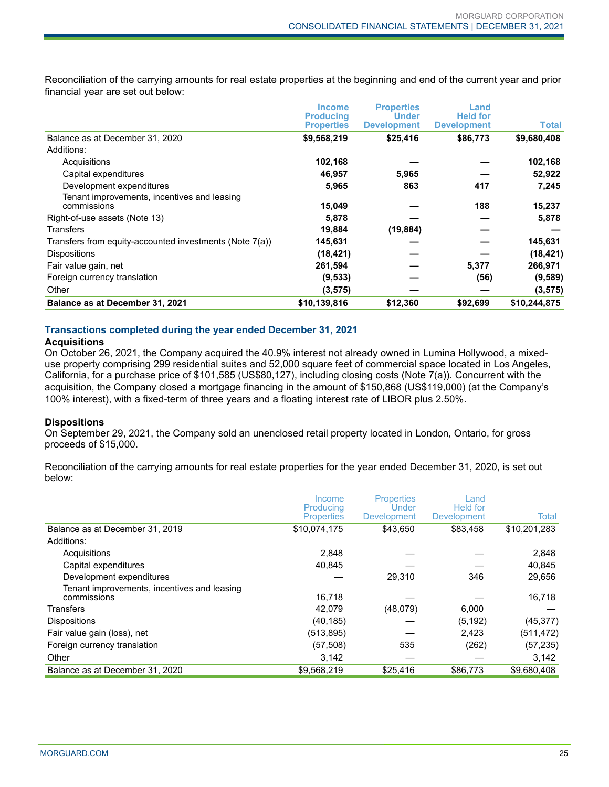Reconciliation of the carrying amounts for real estate properties at the beginning and end of the current year and prior financial year are set out below:

|                                                            | <b>Income</b>                         | <b>Properties</b>                  | Land                                  |              |
|------------------------------------------------------------|---------------------------------------|------------------------------------|---------------------------------------|--------------|
|                                                            | <b>Producing</b><br><b>Properties</b> | <b>Under</b><br><b>Development</b> | <b>Held for</b><br><b>Development</b> | Total        |
| Balance as at December 31, 2020                            | \$9,568,219                           | \$25,416                           | \$86,773                              | \$9,680,408  |
| Additions:                                                 |                                       |                                    |                                       |              |
| Acquisitions                                               | 102,168                               |                                    |                                       | 102,168      |
| Capital expenditures                                       | 46,957                                | 5,965                              |                                       | 52,922       |
| Development expenditures                                   | 5,965                                 | 863                                | 417                                   | 7,245        |
| Tenant improvements, incentives and leasing<br>commissions | 15,049                                |                                    | 188                                   | 15,237       |
| Right-of-use assets (Note 13)                              | 5,878                                 |                                    |                                       | 5,878        |
| Transfers                                                  | 19,884                                | (19, 884)                          |                                       |              |
| Transfers from equity-accounted investments (Note 7(a))    | 145,631                               |                                    |                                       | 145,631      |
| <b>Dispositions</b>                                        | (18, 421)                             |                                    |                                       | (18, 421)    |
| Fair value gain, net                                       | 261,594                               |                                    | 5,377                                 | 266,971      |
| Foreign currency translation                               | (9,533)                               |                                    | (56)                                  | (9, 589)     |
| Other                                                      | (3, 575)                              |                                    |                                       | (3, 575)     |
| <b>Balance as at December 31, 2021</b>                     | \$10,139,816                          | \$12,360                           | \$92,699                              | \$10,244,875 |

# **Transactions completed during the year ended December 31, 2021**

#### **Acquisitions**

On October 26, 2021, the Company acquired the 40.9% interest not already owned in Lumina Hollywood, a mixeduse property comprising 299 residential suites and 52,000 square feet of commercial space located in Los Angeles, California, for a purchase price of \$101,585 (US\$80,127), including closing costs (Note 7(a)). Concurrent with the acquisition, the Company closed a mortgage financing in the amount of \$150,868 (US\$119,000) (at the Company's 100% interest), with a fixed-term of three years and a floating interest rate of LIBOR plus 2.50%.

#### **Dispositions**

On September 29, 2021, the Company sold an unenclosed retail property located in London, Ontario, for gross proceeds of \$15,000.

Reconciliation of the carrying amounts for real estate properties for the year ended December 31, 2020, is set out below:

|                                                            | Income<br>Producing<br><b>Properties</b> | <b>Properties</b><br>Under<br><b>Development</b> | Land<br><b>Held for</b><br><b>Development</b> | Total        |
|------------------------------------------------------------|------------------------------------------|--------------------------------------------------|-----------------------------------------------|--------------|
| Balance as at December 31, 2019                            | \$10,074,175                             | \$43.650                                         | \$83,458                                      | \$10,201,283 |
| Additions:                                                 |                                          |                                                  |                                               |              |
| Acquisitions                                               | 2.848                                    |                                                  |                                               | 2,848        |
| Capital expenditures                                       | 40.845                                   |                                                  |                                               | 40,845       |
| Development expenditures                                   |                                          | 29,310                                           | 346                                           | 29,656       |
| Tenant improvements, incentives and leasing<br>commissions | 16,718                                   |                                                  |                                               | 16,718       |
| <b>Transfers</b>                                           | 42,079                                   | (48,079)                                         | 6,000                                         |              |
| <b>Dispositions</b>                                        | (40, 185)                                |                                                  | (5, 192)                                      | (45, 377)    |
| Fair value gain (loss), net                                | (513, 895)                               |                                                  | 2,423                                         | (511, 472)   |
| Foreign currency translation                               | (57, 508)                                | 535                                              | (262)                                         | (57, 235)    |
| Other                                                      | 3,142                                    |                                                  |                                               | 3,142        |
| Balance as at December 31, 2020                            | \$9.568.219                              | \$25,416                                         | \$86,773                                      | \$9,680,408  |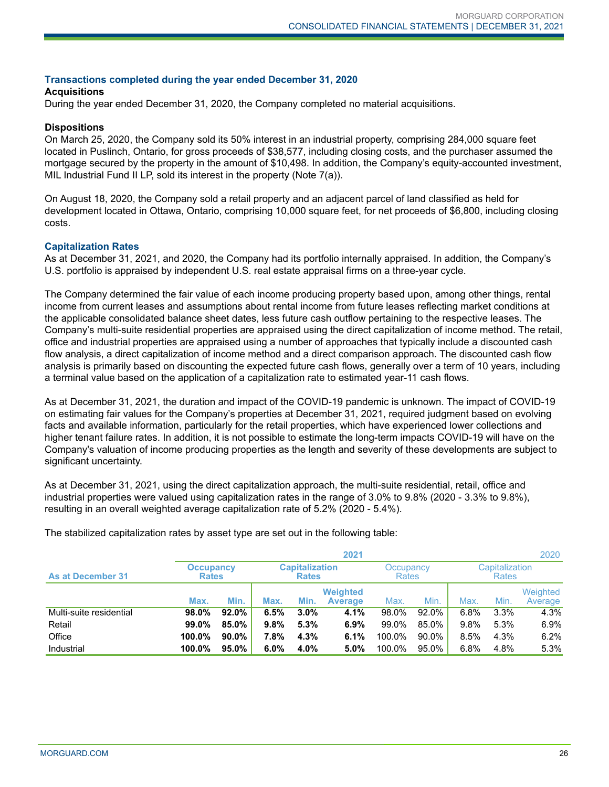## **Transactions completed during the year ended December 31, 2020**

#### **Acquisitions**

During the year ended December 31, 2020, the Company completed no material acquisitions.

### **Dispositions**

On March 25, 2020, the Company sold its 50% interest in an industrial property, comprising 284,000 square feet located in Puslinch, Ontario, for gross proceeds of \$38,577, including closing costs, and the purchaser assumed the mortgage secured by the property in the amount of \$10,498. In addition, the Company's equity-accounted investment, MIL Industrial Fund II LP, sold its interest in the property (Note 7(a)).

On August 18, 2020, the Company sold a retail property and an adjacent parcel of land classified as held for development located in Ottawa, Ontario, comprising 10,000 square feet, for net proceeds of \$6,800, including closing costs.

#### **Capitalization Rates**

As at December 31, 2021, and 2020, the Company had its portfolio internally appraised. In addition, the Company's U.S. portfolio is appraised by independent U.S. real estate appraisal firms on a three-year cycle.

The Company determined the fair value of each income producing property based upon, among other things, rental income from current leases and assumptions about rental income from future leases reflecting market conditions at the applicable consolidated balance sheet dates, less future cash outflow pertaining to the respective leases. The Company's multi-suite residential properties are appraised using the direct capitalization of income method. The retail, office and industrial properties are appraised using a number of approaches that typically include a discounted cash flow analysis, a direct capitalization of income method and a direct comparison approach. The discounted cash flow analysis is primarily based on discounting the expected future cash flows, generally over a term of 10 years, including a terminal value based on the application of a capitalization rate to estimated year-11 cash flows.

As at December 31, 2021, the duration and impact of the COVID-19 pandemic is unknown. The impact of COVID-19 on estimating fair values for the Company's properties at December 31, 2021, required judgment based on evolving facts and available information, particularly for the retail properties, which have experienced lower collections and higher tenant failure rates. In addition, it is not possible to estimate the long-term impacts COVID-19 will have on the Company's valuation of income producing properties as the length and severity of these developments are subject to significant uncertainty.

As at December 31, 2021, using the direct capitalization approach, the multi-suite residential, retail, office and industrial properties were valued using capitalization rates in the range of 3.0% to 9.8% (2020 - 3.3% to 9.8%), resulting in an overall weighted average capitalization rate of 5.2% (2020 - 5.4%).

|                          | 2021                             |          |                                       |      |                            |        |                                |      |      | 2020                |
|--------------------------|----------------------------------|----------|---------------------------------------|------|----------------------------|--------|--------------------------------|------|------|---------------------|
| <b>As at December 31</b> | <b>Occupancy</b><br><b>Rates</b> |          | <b>Capitalization</b><br><b>Rates</b> |      | Occupancy<br><b>Rates</b>  |        | Capitalization<br><b>Rates</b> |      |      |                     |
|                          | Max.                             | Min.     | Max.                                  | Min. | Weighted<br><b>Average</b> | Max.   | Min.                           | Max. | Min. | Weighted<br>Average |
| Multi-suite residential  | 98.0%                            | 92.0%    | 6.5%                                  | 3.0% | 4.1%                       | 98.0%  | 92.0%                          | 6.8% | 3.3% | 4.3%                |
| Retail                   | 99.0%                            | 85.0%    | 9.8%                                  | 5.3% | 6.9%                       | 99.0%  | 85.0%                          | 9.8% | 5.3% | 6.9%                |
| Office                   | 100.0%                           | $90.0\%$ | 7.8%                                  | 4.3% | 6.1%                       | 100.0% | 90.0%                          | 8.5% | 4.3% | 6.2%                |
| Industrial               | 100.0%                           | 95.0%    | 6.0%                                  | 4.0% | 5.0%                       | 100.0% | 95.0%                          | 6.8% | 4.8% | 5.3%                |

The stabilized capitalization rates by asset type are set out in the following table: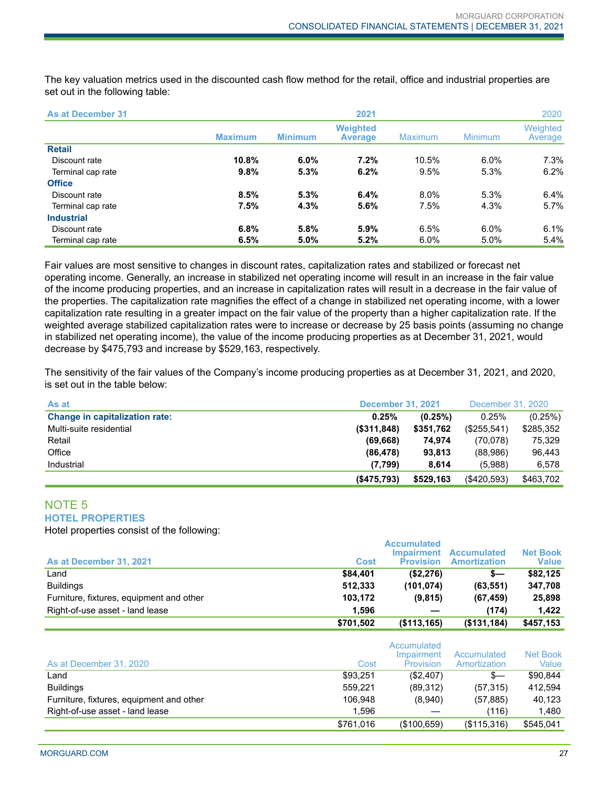The key valuation metrics used in the discounted cash flow method for the retail, office and industrial properties are set out in the following table:

| <b>As at December 31</b> |                |                | 2021                              |                |                | 2020                |
|--------------------------|----------------|----------------|-----------------------------------|----------------|----------------|---------------------|
|                          | <b>Maximum</b> | <b>Minimum</b> | <b>Weighted</b><br><b>Average</b> | <b>Maximum</b> | <b>Minimum</b> | Weighted<br>Average |
| <b>Retail</b>            |                |                |                                   |                |                |                     |
| Discount rate            | 10.8%          | $6.0\%$        | 7.2%                              | 10.5%          | 6.0%           | $7.3\%$             |
| Terminal cap rate        | 9.8%           | 5.3%           | 6.2%                              | 9.5%           | 5.3%           | 6.2%                |
| <b>Office</b>            |                |                |                                   |                |                |                     |
| Discount rate            | 8.5%           | 5.3%           | 6.4%                              | 8.0%           | 5.3%           | 6.4%                |
| Terminal cap rate        | 7.5%           | 4.3%           | 5.6%                              | 7.5%           | 4.3%           | 5.7%                |
| <b>Industrial</b>        |                |                |                                   |                |                |                     |
| Discount rate            | 6.8%           | 5.8%           | 5.9%                              | 6.5%           | 6.0%           | 6.1%                |
| Terminal cap rate        | 6.5%           | 5.0%           | 5.2%                              | $6.0\%$        | 5.0%           | 5.4%                |

Fair values are most sensitive to changes in discount rates, capitalization rates and stabilized or forecast net operating income. Generally, an increase in stabilized net operating income will result in an increase in the fair value of the income producing properties, and an increase in capitalization rates will result in a decrease in the fair value of the properties. The capitalization rate magnifies the effect of a change in stabilized net operating income, with a lower capitalization rate resulting in a greater impact on the fair value of the property than a higher capitalization rate. If the weighted average stabilized capitalization rates were to increase or decrease by 25 basis points (assuming no change in stabilized net operating income), the value of the income producing properties as at December 31, 2021, would decrease by \$475,793 and increase by \$529,163, respectively.

The sensitivity of the fair values of the Company's income producing properties as at December 31, 2021, and 2020, is set out in the table below:

| As at                                 | <b>December 31, 2021</b> | December 31, 2020 |             |           |
|---------------------------------------|--------------------------|-------------------|-------------|-----------|
| <b>Change in capitalization rate:</b> | 0.25%                    | (0.25%)           | 0.25%       | (0.25%)   |
| Multi-suite residential               | (S311, 848)              | \$351,762         | (\$255,541) | \$285,352 |
| Retail                                | (69, 668)                | 74.974            | (70,078)    | 75,329    |
| Office                                | (86, 478)                | 93,813            | (88,986)    | 96.443    |
| Industrial                            | (7,799)                  | 8.614             | (5,988)     | 6,578     |
|                                       | $($ \$475,793)           | \$529,163         | (\$420,593) | \$463,702 |

## NOTE 5 **HOTEL PROPERTIES**

Hotel properties consist of the following:

| As at December 31, 2021                  | Cost      | <b>Accumulated</b><br><b>Impairment</b><br><b>Provision</b> | <b>Accumulated</b><br><b>Amortization</b> | <b>Net Book</b><br><b>Value</b> |
|------------------------------------------|-----------|-------------------------------------------------------------|-------------------------------------------|---------------------------------|
| ∟and                                     | \$84.401  | ( \$2,276)                                                  | s—                                        | \$82,125                        |
| <b>Buildings</b>                         | 512.333   | (101, 074)                                                  | (63, 551)                                 | 347.708                         |
| Furniture, fixtures, equipment and other | 103.172   | (9,815)                                                     | (67, 459)                                 | 25,898                          |
| Right-of-use asset - land lease          | 1.596     |                                                             | (174)                                     | 1.422                           |
|                                          | \$701,502 | (\$113,165)                                                 | (\$131,184)                               | \$457,153                       |

| As at December 31, 2020                  | Cost      | Accumulated<br>Impairment<br><b>Provision</b> | Accumulated<br>Amortization | Net Book<br>Value |
|------------------------------------------|-----------|-----------------------------------------------|-----------------------------|-------------------|
| ∟and                                     | \$93,251  | (\$2,407)                                     | $s-$                        | \$90.844          |
| <b>Buildings</b>                         | 559.221   | (89,312)                                      | (57, 315)                   | 412,594           |
| Furniture, fixtures, equipment and other | 106.948   | (8,940)                                       | (57, 885)                   | 40,123            |
| Right-of-use asset - land lease          | 1.596     |                                               | (116)                       | 1,480             |
|                                          | \$761,016 | (\$100,659)                                   | (\$115,316)                 | \$545,041         |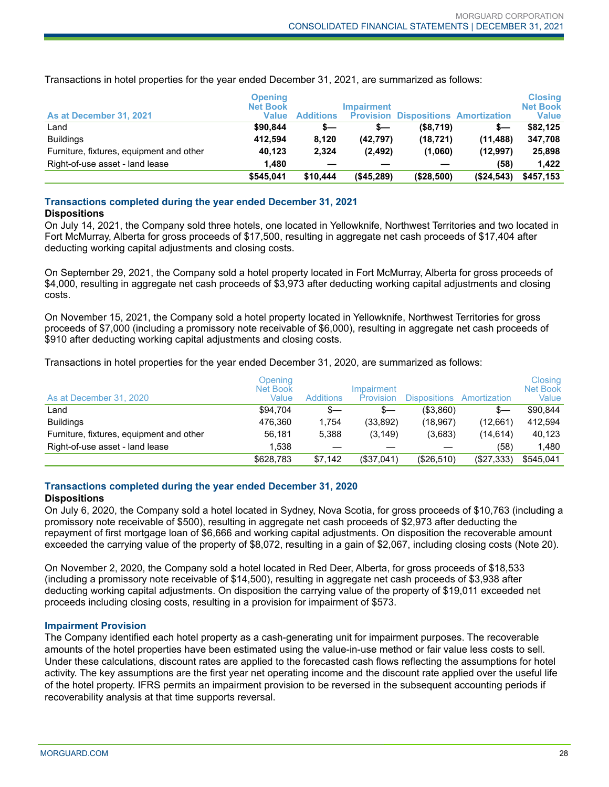| As at December 31, 2021                  | <b>Opening</b><br><b>Net Book</b><br>Value | <b>Additions</b> | <b>Impairment</b><br><b>Provision</b> | <b>Dispositions Amortization</b> |              | <b>Closing</b><br><b>Net Book</b><br><b>Value</b> |
|------------------------------------------|--------------------------------------------|------------------|---------------------------------------|----------------------------------|--------------|---------------------------------------------------|
| Land                                     | \$90.844                                   | $s-$             | s—                                    | ( \$8,719)                       | s—           | \$82.125                                          |
| <b>Buildings</b>                         | 412.594                                    | 8.120            | (42, 797)                             | (18, 721)                        | (11, 488)    | 347.708                                           |
| Furniture, fixtures, equipment and other | 40.123                                     | 2,324            | (2, 492)                              | (1,060)                          | (12,997)     | 25,898                                            |
| Right-of-use asset - land lease          | 1.480                                      |                  |                                       |                                  | (58)         | 1.422                                             |
|                                          | \$545.041                                  | \$10.444         | $($ \$45,289)                         | (\$28,500)                       | ( \$24, 543) | \$457,153                                         |

Transactions in hotel properties for the year ended December 31, 2021, are summarized as follows:

#### **Transactions completed during the year ended December 31, 2021**

#### **Dispositions**

On July 14, 2021, the Company sold three hotels, one located in Yellowknife, Northwest Territories and two located in Fort McMurray, Alberta for gross proceeds of \$17,500, resulting in aggregate net cash proceeds of \$17,404 after deducting working capital adjustments and closing costs.

On September 29, 2021, the Company sold a hotel property located in Fort McMurray, Alberta for gross proceeds of \$4,000, resulting in aggregate net cash proceeds of \$3,973 after deducting working capital adjustments and closing costs.

On November 15, 2021, the Company sold a hotel property located in Yellowknife, Northwest Territories for gross proceeds of \$7,000 (including a promissory note receivable of \$6,000), resulting in aggregate net cash proceeds of \$910 after deducting working capital adjustments and closing costs.

Transactions in hotel properties for the year ended December 31, 2020, are summarized as follows:

| As at December 31, 2020                  | Openina<br><b>Net Book</b><br>Value | <b>Additions</b> | Impairment<br>Provision | <b>Dispositions</b> | Amortization | Closing<br><b>Net Book</b><br>Value |
|------------------------------------------|-------------------------------------|------------------|-------------------------|---------------------|--------------|-------------------------------------|
| Land                                     | \$94.704                            | S—               | $s-$                    | ( \$3,860)          | s—           | \$90.844                            |
| <b>Buildings</b>                         | 476.360                             | 1.754            | (33, 892)               | (18.967)            | (12,661)     | 412,594                             |
| Furniture, fixtures, equipment and other | 56,181                              | 5.388            | (3, 149)                | (3,683)             | (14, 614)    | 40,123                              |
| Right-of-use asset - land lease          | 1.538                               |                  |                         |                     | (58)         | 1.480                               |
|                                          | \$628,783                           | \$7,142          | (\$37,041)              | (\$26,510)          | (\$27,333)   | \$545.041                           |

#### **Transactions completed during the year ended December 31, 2020**

#### **Dispositions**

On July 6, 2020, the Company sold a hotel located in Sydney, Nova Scotia, for gross proceeds of \$10,763 (including a promissory note receivable of \$500), resulting in aggregate net cash proceeds of \$2,973 after deducting the repayment of first mortgage loan of \$6,666 and working capital adjustments. On disposition the recoverable amount exceeded the carrying value of the property of \$8,072, resulting in a gain of \$2,067, including closing costs (Note 20).

On November 2, 2020, the Company sold a hotel located in Red Deer, Alberta, for gross proceeds of \$18,533 (including a promissory note receivable of \$14,500), resulting in aggregate net cash proceeds of \$3,938 after deducting working capital adjustments. On disposition the carrying value of the property of \$19,011 exceeded net proceeds including closing costs, resulting in a provision for impairment of \$573.

#### **Impairment Provision**

The Company identified each hotel property as a cash-generating unit for impairment purposes. The recoverable amounts of the hotel properties have been estimated using the value-in-use method or fair value less costs to sell. Under these calculations, discount rates are applied to the forecasted cash flows reflecting the assumptions for hotel activity. The key assumptions are the first year net operating income and the discount rate applied over the useful life of the hotel property. IFRS permits an impairment provision to be reversed in the subsequent accounting periods if recoverability analysis at that time supports reversal.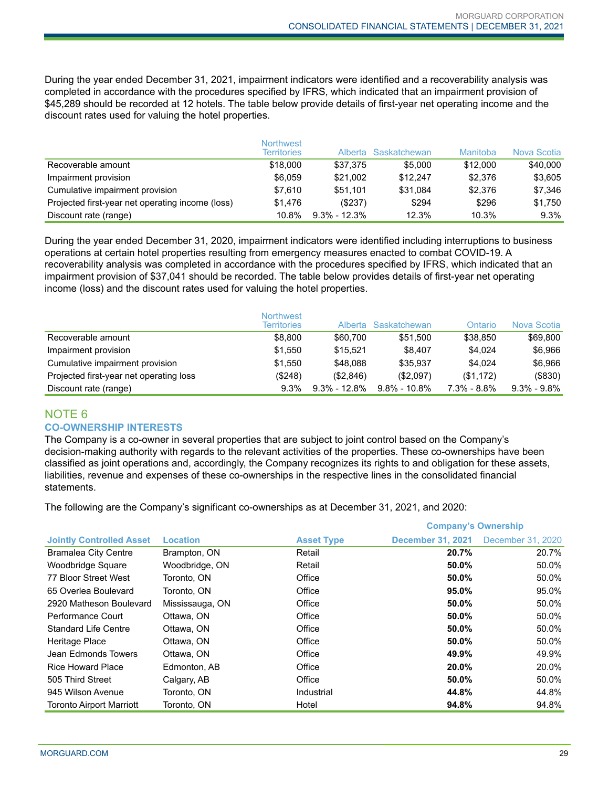During the year ended December 31, 2021, impairment indicators were identified and a recoverability analysis was completed in accordance with the procedures specified by IFRS, which indicated that an impairment provision of \$45,289 should be recorded at 12 hotels. The table below provide details of first-year net operating income and the discount rates used for valuing the hotel properties.

|                                                  | <b>Northwest</b><br><b>Territories</b> |                  | Alberta Saskatchewan | <b>Manitoba</b> | Nova Scotia |
|--------------------------------------------------|----------------------------------------|------------------|----------------------|-----------------|-------------|
| Recoverable amount                               | \$18,000                               | \$37.375         | \$5,000              | \$12,000        | \$40,000    |
| Impairment provision                             | \$6.059                                | \$21.002         | \$12.247             | \$2,376         | \$3,605     |
| Cumulative impairment provision                  | \$7.610                                | \$51.101         | \$31.084             | \$2,376         | \$7,346     |
| Projected first-year net operating income (loss) | \$1,476                                | (\$237)          | \$294                | \$296           | \$1,750     |
| Discount rate (range)                            | $10.8\%$                               | $9.3\% - 12.3\%$ | 12.3%                | 10.3%           | 9.3%        |

During the year ended December 31, 2020, impairment indicators were identified including interruptions to business operations at certain hotel properties resulting from emergency measures enacted to combat COVID-19. A recoverability analysis was completed in accordance with the procedures specified by IFRS, which indicated that an impairment provision of \$37,041 should be recorded. The table below provides details of first-year net operating income (loss) and the discount rates used for valuing the hotel properties.

|                                         | <b>Northwest</b><br><b>Territories</b> |                  | Alberta Saskatchewan | Ontario     | Nova Scotia       |
|-----------------------------------------|----------------------------------------|------------------|----------------------|-------------|-------------------|
| Recoverable amount                      | \$8,800                                | \$60,700         | \$51.500             | \$38,850    | \$69,800          |
| Impairment provision                    | \$1.550                                | \$15.521         | \$8.407              | \$4,024     | \$6,966           |
| Cumulative impairment provision         | \$1.550                                | \$48,088         | \$35.937             | \$4.024     | \$6,966           |
| Projected first-year net operating loss | $(\$248)$                              | (S2.846)         | (\$2,097)            | (\$1,172)   | ( \$830)          |
| Discount rate (range)                   | $9.3\%$                                | $9.3\% - 12.8\%$ | $9.8\% - 10.8\%$     | 7.3% - 8.8% | $9.3\%$ - $9.8\%$ |

# NOTE 6 **CO-OWNERSHIP INTERESTS**

The Company is a co-owner in several properties that are subject to joint control based on the Company's decision-making authority with regards to the relevant activities of the properties. These co-ownerships have been classified as joint operations and, accordingly, the Company recognizes its rights to and obligation for these assets, liabilities, revenue and expenses of these co-ownerships in the respective lines in the consolidated financial statements.

The following are the Company's significant co-ownerships as at December 31, 2021, and 2020:

|                                 |                 |                   | <b>Company's Ownership</b> |                   |  |
|---------------------------------|-----------------|-------------------|----------------------------|-------------------|--|
| <b>Jointly Controlled Asset</b> | <b>Location</b> | <b>Asset Type</b> | <b>December 31, 2021</b>   | December 31, 2020 |  |
| <b>Bramalea City Centre</b>     | Brampton, ON    | Retail            | 20.7%                      | 20.7%             |  |
| Woodbridge Square               | Woodbridge, ON  | Retail            | 50.0%                      | 50.0%             |  |
| 77 Bloor Street West            | Toronto, ON     | Office            | 50.0%                      | 50.0%             |  |
| 65 Overlea Boulevard            | Toronto, ON     | Office            | 95.0%                      | 95.0%             |  |
| 2920 Matheson Boulevard         | Mississauga, ON | Office            | 50.0%                      | 50.0%             |  |
| Performance Court               | Ottawa, ON      | Office            | 50.0%                      | 50.0%             |  |
| <b>Standard Life Centre</b>     | Ottawa, ON      | Office            | 50.0%                      | 50.0%             |  |
| Heritage Place                  | Ottawa, ON      | Office            | 50.0%                      | 50.0%             |  |
| Jean Edmonds Towers             | Ottawa, ON      | Office            | 49.9%                      | 49.9%             |  |
| <b>Rice Howard Place</b>        | Edmonton, AB    | Office            | 20.0%                      | 20.0%             |  |
| 505 Third Street                | Calgary, AB     | Office            | 50.0%                      | 50.0%             |  |
| 945 Wilson Avenue               | Toronto, ON     | Industrial        | 44.8%                      | 44.8%             |  |
| <b>Toronto Airport Marriott</b> | Toronto, ON     | Hotel             | 94.8%                      | 94.8%             |  |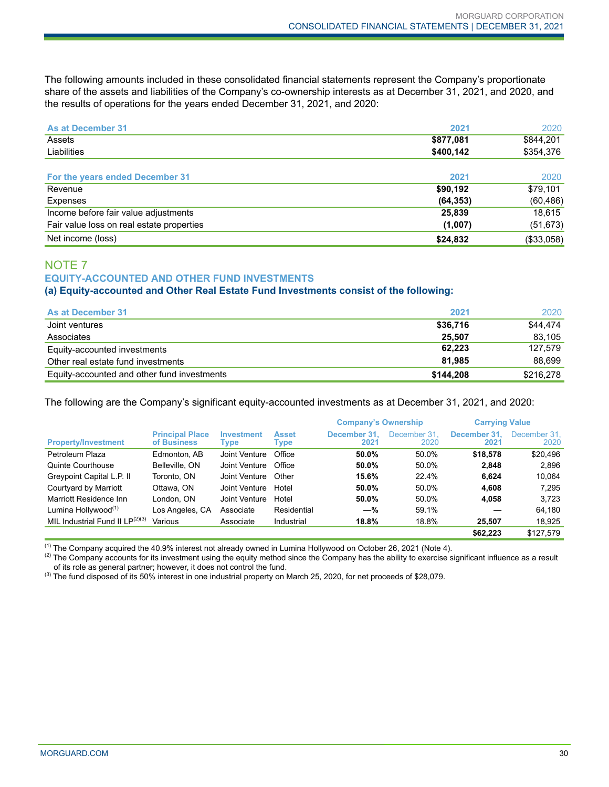The following amounts included in these consolidated financial statements represent the Company's proportionate share of the assets and liabilities of the Company's co-ownership interests as at December 31, 2021, and 2020, and the results of operations for the years ended December 31, 2021, and 2020:

| <b>As at December 31</b>                  | 2021      | 2020       |
|-------------------------------------------|-----------|------------|
| Assets                                    | \$877,081 | \$844,201  |
| Liabilities                               | \$400,142 | \$354,376  |
|                                           |           |            |
| For the years ended December 31           | 2021      | 2020       |
| Revenue                                   | \$90,192  | \$79,101   |
| Expenses                                  | (64, 353) | (60, 486)  |
| Income before fair value adjustments      | 25,839    | 18,615     |
| Fair value loss on real estate properties | (1,007)   | (51, 673)  |
| Net income (loss)                         | \$24,832  | (\$33,058) |

# NOTE 7

# **EQUITY-ACCOUNTED AND OTHER FUND INVESTMENTS**

#### **(a) Equity-accounted and Other Real Estate Fund Investments consist of the following:**

| As at December 31                           | 2021      | 2020      |
|---------------------------------------------|-----------|-----------|
| Joint ventures                              | \$36,716  | \$44,474  |
| Associates                                  | 25.507    | 83.105    |
| Equity-accounted investments                | 62.223    | 127.579   |
| Other real estate fund investments          | 81.985    | 88.699    |
| Equity-accounted and other fund investments | \$144,208 | \$216,278 |

The following are the Company's significant equity-accounted investments as at December 31, 2021, and 2020:

|                                      |                                       |                           |                      | <b>Company's Ownership</b> |                      | <b>Carrying Value</b> |                      |
|--------------------------------------|---------------------------------------|---------------------------|----------------------|----------------------------|----------------------|-----------------------|----------------------|
| <b>Property/Investment</b>           | <b>Principal Place</b><br>of Business | <b>Investment</b><br>Type | <b>Asset</b><br>Type | December 31.<br>2021       | December 31.<br>2020 | December 31.<br>2021  | December 31.<br>2020 |
| Petroleum Plaza                      | Edmonton, AB                          | Joint Venture             | Office               | 50.0%                      | 50.0%                | \$18,578              | \$20,496             |
| Quinte Courthouse                    | Belleville, ON                        | Joint Venture             | Office               | 50.0%                      | 50.0%                | 2.848                 | 2,896                |
| Greypoint Capital L.P. II            | Toronto, ON                           | Joint Venture             | Other                | 15.6%                      | 22.4%                | 6.624                 | 10.064               |
| Courtyard by Marriott                | Ottawa, ON                            | Joint Venture             | Hotel                | 50.0%                      | 50.0%                | 4.608                 | 7.295                |
| Marriott Residence Inn               | London, ON                            | Joint Venture             | Hotel                | 50.0%                      | 50.0%                | 4.058                 | 3.723                |
| Lumina Hollywood <sup>(1)</sup>      | Los Angeles, CA                       | Associate                 | Residential          | $-\%$                      | 59.1%                |                       | 64.180               |
| MIL Industrial Fund II $LP^{(2)(3)}$ | Various                               | Associate                 | Industrial           | 18.8%                      | 18.8%                | 25.507                | 18.925               |
|                                      |                                       |                           |                      |                            |                      | \$62,223              | \$127.579            |

 $(1)$  The Company acquired the 40.9% interest not already owned in Lumina Hollywood on October 26, 2021 (Note 4).

 $^{(2)}$  The Company accounts for its investment using the equity method since the Company has the ability to exercise significant influence as a result of its role as general partner; however, it does not control the fund.

<sup>(3)</sup> The fund disposed of its 50% interest in one industrial property on March 25, 2020, for net proceeds of \$28,079.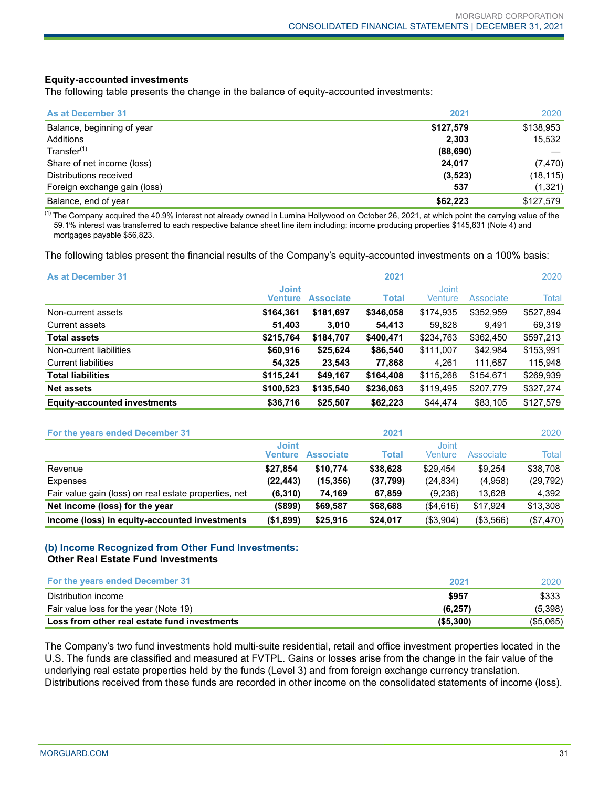# **Equity-accounted investments**

The following table presents the change in the balance of equity-accounted investments:

| <b>As at December 31</b>     | 2021      | 2020      |
|------------------------------|-----------|-----------|
| Balance, beginning of year   | \$127,579 | \$138,953 |
| Additions                    | 2,303     | 15,532    |
| Transfer $(1)$               | (88, 690) |           |
| Share of net income (loss)   | 24,017    | (7, 470)  |
| Distributions received       | (3, 523)  | (18, 115) |
| Foreign exchange gain (loss) | 537       | (1, 321)  |
| Balance, end of year         | \$62,223  | \$127,579 |

 $<sup>(1)</sup>$  The Company acquired the 40.9% interest not already owned in Lumina Hollywood on October 26, 2021, at which point the carrying value of the</sup> 59.1% interest was transferred to each respective balance sheet line item including: income producing properties \$145,631 (Note 4) and mortgages payable \$56,823.

The following tables present the financial results of the Company's equity-accounted investments on a 100% basis:

| As at December 31                   |                |                  | 2021         |              |                  | 2020         |
|-------------------------------------|----------------|------------------|--------------|--------------|------------------|--------------|
|                                     | <b>Joint</b>   |                  |              | <b>Joint</b> |                  |              |
|                                     | <b>Venture</b> | <b>Associate</b> | <b>Total</b> | Venture      | <b>Associate</b> | <b>Total</b> |
| Non-current assets                  | \$164,361      | \$181.697        | \$346,058    | \$174,935    | \$352,959        | \$527,894    |
| Current assets                      | 51,403         | 3,010            | 54,413       | 59,828       | 9,491            | 69,319       |
| <b>Total assets</b>                 | \$215,764      | \$184,707        | \$400,471    | \$234,763    | \$362,450        | \$597,213    |
| Non-current liabilities             | \$60,916       | \$25,624         | \$86,540     | \$111,007    | \$42,984         | \$153,991    |
| <b>Current liabilities</b>          | 54,325         | 23,543           | 77,868       | 4,261        | 111,687          | 115,948      |
| <b>Total liabilities</b>            | \$115,241      | \$49,167         | \$164,408    | \$115,268    | \$154,671        | \$269,939    |
| <b>Net assets</b>                   | \$100,523      | \$135,540        | \$236,063    | \$119,495    | \$207,779        | \$327,274    |
| <b>Equity-accounted investments</b> | \$36,716       | \$25,507         | \$62,223     | \$44,474     | \$83,105         | \$127,579    |

| For the years ended December 31                       |                         |                  | 2021         |                  |           | 2020      |
|-------------------------------------------------------|-------------------------|------------------|--------------|------------------|-----------|-----------|
|                                                       | <b>Joint</b><br>Venture | <b>Associate</b> | <b>Total</b> | Joint<br>Venture | Associate | Total     |
| Revenue                                               | \$27.854                | \$10,774         | \$38,628     | \$29.454         | \$9.254   | \$38,708  |
| Expenses                                              | (22, 443)               | (15, 356)        | (37,799)     | (24, 834)        | (4,958)   | (29, 792) |
| Fair value gain (loss) on real estate properties, net | (6, 310)                | 74,169           | 67,859       | (9,236)          | 13.628    | 4,392     |
| Net income (loss) for the year                        | (\$899)                 | \$69,587         | \$68,688     | ( \$4,616)       | \$17,924  | \$13,308  |
| Income (loss) in equity-accounted investments         | ( \$1,899)              | \$25,916         | \$24,017     | (\$3,904)        | (\$3,566) | (\$7,470) |

#### **(b) Income Recognized from Other Fund Investments: Other Real Estate Fund Investments**

| <b>For the years ended December 31</b>       | 2021       | 2020         |
|----------------------------------------------|------------|--------------|
| Distribution income                          | \$957      | \$333        |
| Fair value loss for the year (Note 19)       | (6.257)    | (5,398)      |
| Loss from other real estate fund investments | ( \$5.300) | $($ \$5,065) |

The Company's two fund investments hold multi-suite residential, retail and office investment properties located in the U.S. The funds are classified and measured at FVTPL. Gains or losses arise from the change in the fair value of the underlying real estate properties held by the funds (Level 3) and from foreign exchange currency translation. Distributions received from these funds are recorded in other income on the consolidated statements of income (loss).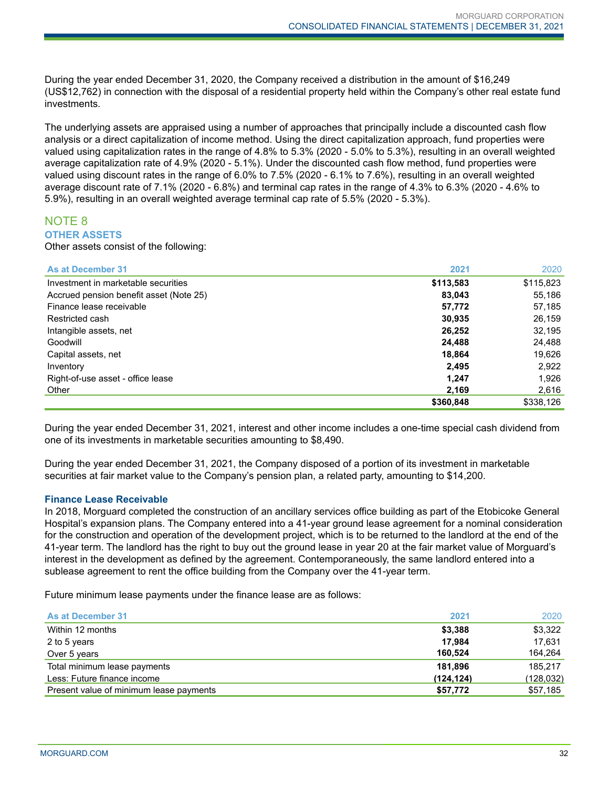During the year ended December 31, 2020, the Company received a distribution in the amount of \$16,249 (US\$12,762) in connection with the disposal of a residential property held within the Company's other real estate fund investments.

The underlying assets are appraised using a number of approaches that principally include a discounted cash flow analysis or a direct capitalization of income method. Using the direct capitalization approach, fund properties were valued using capitalization rates in the range of 4.8% to 5.3% (2020 - 5.0% to 5.3%), resulting in an overall weighted average capitalization rate of 4.9% (2020 - 5.1%). Under the discounted cash flow method, fund properties were valued using discount rates in the range of 6.0% to 7.5% (2020 - 6.1% to 7.6%), resulting in an overall weighted average discount rate of 7.1% (2020 - 6.8%) and terminal cap rates in the range of 4.3% to 6.3% (2020 - 4.6% to 5.9%), resulting in an overall weighted average terminal cap rate of 5.5% (2020 - 5.3%).

# NOTE 8 **OTHER ASSETS**

Other assets consist of the following:

| As at December 31                       | 2021      | 2020      |
|-----------------------------------------|-----------|-----------|
| Investment in marketable securities     | \$113,583 | \$115,823 |
| Accrued pension benefit asset (Note 25) | 83,043    | 55,186    |
| Finance lease receivable                | 57,772    | 57,185    |
| Restricted cash                         | 30,935    | 26,159    |
| Intangible assets, net                  | 26,252    | 32,195    |
| Goodwill                                | 24,488    | 24,488    |
| Capital assets, net                     | 18,864    | 19,626    |
| Inventory                               | 2,495     | 2,922     |
| Right-of-use asset - office lease       | 1,247     | 1,926     |
| Other                                   | 2,169     | 2,616     |
|                                         | \$360,848 | \$338,126 |

During the year ended December 31, 2021, interest and other income includes a one-time special cash dividend from one of its investments in marketable securities amounting to \$8,490.

During the year ended December 31, 2021, the Company disposed of a portion of its investment in marketable securities at fair market value to the Company's pension plan, a related party, amounting to \$14,200.

# **Finance Lease Receivable**

In 2018, Morguard completed the construction of an ancillary services office building as part of the Etobicoke General Hospital's expansion plans. The Company entered into a 41-year ground lease agreement for a nominal consideration for the construction and operation of the development project, which is to be returned to the landlord at the end of the 41-year term. The landlord has the right to buy out the ground lease in year 20 at the fair market value of Morguard's interest in the development as defined by the agreement. Contemporaneously, the same landlord entered into a sublease agreement to rent the office building from the Company over the 41-year term.

Future minimum lease payments under the finance lease are as follows:

| <b>As at December 31</b>                | 2021       | 2020       |
|-----------------------------------------|------------|------------|
| Within 12 months                        | \$3,388    | \$3,322    |
| 2 to 5 years                            | 17.984     | 17.631     |
| Over 5 years                            | 160.524    | 164,264    |
| Total minimum lease payments            | 181.896    | 185.217    |
| Less: Future finance income             | (124, 124) | (128, 032) |
| Present value of minimum lease payments | \$57,772   | \$57,185   |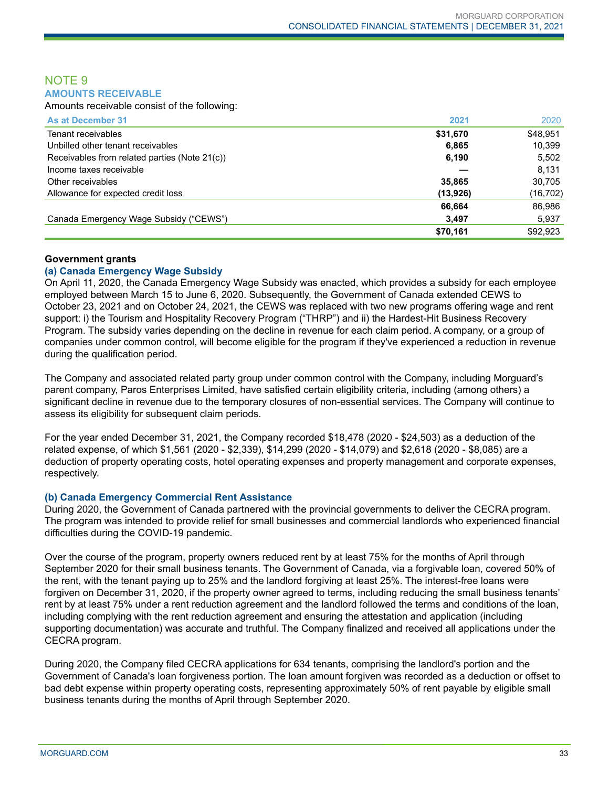# NOTE 9 **AMOUNTS RECEIVABLE**

Amounts receivable consist of the following:

| <b>As at December 31</b>                      | 2021     | 2020      |
|-----------------------------------------------|----------|-----------|
| Tenant receivables                            | \$31,670 | \$48,951  |
| Unbilled other tenant receivables             | 6,865    | 10,399    |
| Receivables from related parties (Note 21(c)) | 6,190    | 5,502     |
| Income taxes receivable                       |          | 8,131     |
| Other receivables                             | 35,865   | 30,705    |
| Allowance for expected credit loss            | (13,926) | (16, 702) |
|                                               | 66.664   | 86,986    |
| Canada Emergency Wage Subsidy ("CEWS")        | 3,497    | 5,937     |
|                                               | \$70,161 | \$92,923  |

#### **Government grants**

#### **(a) Canada Emergency Wage Subsidy**

On April 11, 2020, the Canada Emergency Wage Subsidy was enacted, which provides a subsidy for each employee employed between March 15 to June 6, 2020. Subsequently, the Government of Canada extended CEWS to October 23, 2021 and on October 24, 2021, the CEWS was replaced with two new programs offering wage and rent support: i) the Tourism and Hospitality Recovery Program ("THRP") and ii) the Hardest-Hit Business Recovery Program. The subsidy varies depending on the decline in revenue for each claim period. A company, or a group of companies under common control, will become eligible for the program if they've experienced a reduction in revenue during the qualification period.

The Company and associated related party group under common control with the Company, including Morguard's parent company, Paros Enterprises Limited, have satisfied certain eligibility criteria, including (among others) a significant decline in revenue due to the temporary closures of non-essential services. The Company will continue to assess its eligibility for subsequent claim periods.

For the year ended December 31, 2021, the Company recorded \$18,478 (2020 - \$24,503) as a deduction of the related expense, of which \$1,561 (2020 - \$2,339), \$14,299 (2020 - \$14,079) and \$2,618 (2020 - \$8,085) are a deduction of property operating costs, hotel operating expenses and property management and corporate expenses, respectively.

#### **(b) Canada Emergency Commercial Rent Assistance**

During 2020, the Government of Canada partnered with the provincial governments to deliver the CECRA program. The program was intended to provide relief for small businesses and commercial landlords who experienced financial difficulties during the COVID-19 pandemic.

Over the course of the program, property owners reduced rent by at least 75% for the months of April through September 2020 for their small business tenants. The Government of Canada, via a forgivable loan, covered 50% of the rent, with the tenant paying up to 25% and the landlord forgiving at least 25%. The interest-free loans were forgiven on December 31, 2020, if the property owner agreed to terms, including reducing the small business tenants' rent by at least 75% under a rent reduction agreement and the landlord followed the terms and conditions of the loan, including complying with the rent reduction agreement and ensuring the attestation and application (including supporting documentation) was accurate and truthful. The Company finalized and received all applications under the CECRA program.

During 2020, the Company filed CECRA applications for 634 tenants, comprising the landlord's portion and the Government of Canada's loan forgiveness portion. The loan amount forgiven was recorded as a deduction or offset to bad debt expense within property operating costs, representing approximately 50% of rent payable by eligible small business tenants during the months of April through September 2020.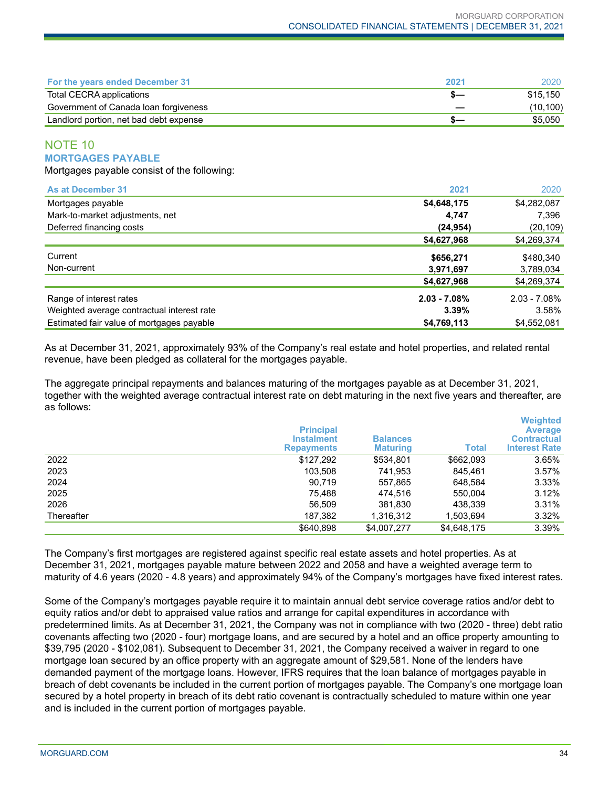| <b>For the years ended December 31</b> | 2021 | 2020      |
|----------------------------------------|------|-----------|
| Total CECRA applications               |      | \$15,150  |
| Government of Canada loan forgiveness  |      | (10, 100) |
| Landlord portion, net bad debt expense |      | \$5.050   |

# NOTE 10 **MORTGAGES PAYABLE**

Mortgages payable consist of the following:

| <b>As at December 31</b>                   | 2021           | 2020            |
|--------------------------------------------|----------------|-----------------|
| Mortgages payable                          | \$4,648,175    | \$4,282,087     |
| Mark-to-market adjustments, net            | 4.747          | 7,396           |
| Deferred financing costs                   | (24, 954)      | (20, 109)       |
|                                            | \$4,627,968    | \$4,269,374     |
| Current                                    | \$656,271      | \$480,340       |
| Non-current                                | 3,971,697      | 3,789,034       |
|                                            | \$4,627,968    | \$4,269,374     |
| Range of interest rates                    | $2.03 - 7.08%$ | $2.03 - 7.08\%$ |
| Weighted average contractual interest rate | $3.39\%$       | 3.58%           |
| Estimated fair value of mortgages payable  | \$4,769,113    | \$4,552,081     |

As at December 31, 2021, approximately 93% of the Company's real estate and hotel properties, and related rental revenue, have been pledged as collateral for the mortgages payable.

The aggregate principal repayments and balances maturing of the mortgages payable as at December 31, 2021, together with the weighted average contractual interest rate on debt maturing in the next five years and thereafter, are as follows:

|            | <b>Principal</b><br><b>Instalment</b><br><b>Repayments</b> | <b>Balances</b><br><b>Maturing</b> | <b>Total</b> | Weighted<br><b>Average</b><br><b>Contractual</b><br><b>Interest Rate</b> |
|------------|------------------------------------------------------------|------------------------------------|--------------|--------------------------------------------------------------------------|
| 2022       | \$127,292                                                  | \$534,801                          | \$662,093    | 3.65%                                                                    |
| 2023       | 103.508                                                    | 741.953                            | 845.461      | 3.57%                                                                    |
| 2024       | 90.719                                                     | 557,865                            | 648,584      | $3.33\%$                                                                 |
| 2025       | 75.488                                                     | 474.516                            | 550.004      | 3.12%                                                                    |
| 2026       | 56.509                                                     | 381,830                            | 438.339      | 3.31%                                                                    |
| Thereafter | 187.382                                                    | 1,316,312                          | 1,503,694    | $3.32\%$                                                                 |
|            | \$640.898                                                  | \$4.007.277                        | \$4,648,175  | 3.39%                                                                    |

The Company's first mortgages are registered against specific real estate assets and hotel properties. As at December 31, 2021, mortgages payable mature between 2022 and 2058 and have a weighted average term to maturity of 4.6 years (2020 - 4.8 years) and approximately 94% of the Company's mortgages have fixed interest rates.

Some of the Company's mortgages payable require it to maintain annual debt service coverage ratios and/or debt to equity ratios and/or debt to appraised value ratios and arrange for capital expenditures in accordance with predetermined limits. As at December 31, 2021, the Company was not in compliance with two (2020 - three) debt ratio covenants affecting two (2020 - four) mortgage loans, and are secured by a hotel and an office property amounting to \$39,795 (2020 - \$102,081). Subsequent to December 31, 2021, the Company received a waiver in regard to one mortgage loan secured by an office property with an aggregate amount of \$29,581. None of the lenders have demanded payment of the mortgage loans. However, IFRS requires that the loan balance of mortgages payable in breach of debt covenants be included in the current portion of mortgages payable. The Company's one mortgage loan secured by a hotel property in breach of its debt ratio covenant is contractually scheduled to mature within one year and is included in the current portion of mortgages payable.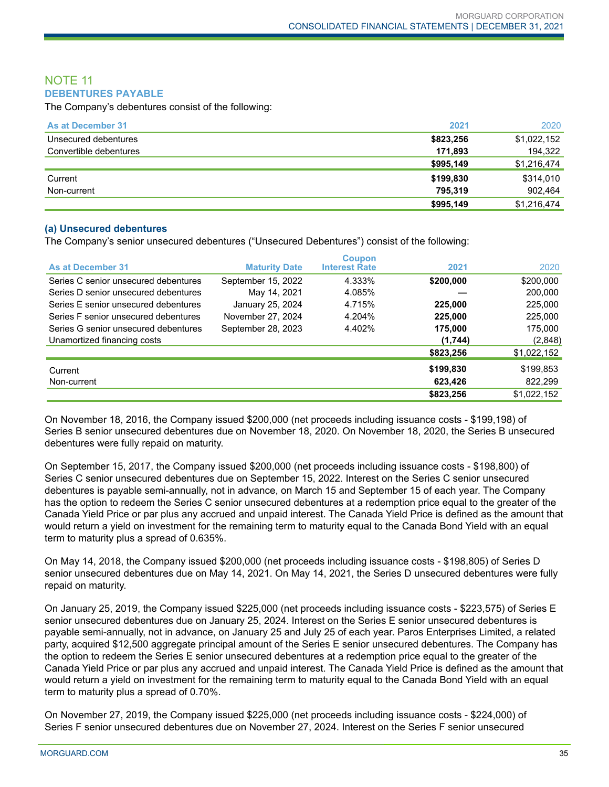# NOTE 11 **DEBENTURES PAYABLE**

The Company's debentures consist of the following:

| <b>As at December 31</b> | 2021      | 2020        |
|--------------------------|-----------|-------------|
| Unsecured debentures     | \$823,256 | \$1,022,152 |
| Convertible debentures   | 171.893   | 194,322     |
|                          | \$995,149 | \$1,216,474 |
| Current                  | \$199,830 | \$314,010   |
| Non-current              | 795.319   | 902.464     |
|                          | \$995,149 | \$1,216,474 |

#### **(a) Unsecured debentures**

The Company's senior unsecured debentures ("Unsecured Debentures") consist of the following:

| <b>As at December 31</b>             | <b>Maturity Date</b> | <b>Coupon</b><br><b>Interest Rate</b> | 2021      | 2020        |
|--------------------------------------|----------------------|---------------------------------------|-----------|-------------|
| Series C senior unsecured debentures | September 15, 2022   | 4.333%                                | \$200,000 | \$200,000   |
| Series D senior unsecured debentures | May 14, 2021         | 4.085%                                |           | 200,000     |
| Series E senior unsecured debentures | January 25, 2024     | 4.715%                                | 225,000   | 225,000     |
| Series F senior unsecured debentures | November 27, 2024    | 4.204%                                | 225,000   | 225,000     |
| Series G senior unsecured debentures | September 28, 2023   | 4.402%                                | 175,000   | 175,000     |
| Unamortized financing costs          |                      |                                       | (1,744)   | (2,848)     |
|                                      |                      |                                       | \$823,256 | \$1,022,152 |
| Current                              |                      |                                       | \$199,830 | \$199,853   |
| Non-current                          |                      |                                       | 623,426   | 822,299     |
|                                      |                      |                                       | \$823,256 | \$1,022,152 |

On November 18, 2016, the Company issued \$200,000 (net proceeds including issuance costs - \$199,198) of Series B senior unsecured debentures due on November 18, 2020. On November 18, 2020, the Series B unsecured debentures were fully repaid on maturity.

On September 15, 2017, the Company issued \$200,000 (net proceeds including issuance costs - \$198,800) of Series C senior unsecured debentures due on September 15, 2022. Interest on the Series C senior unsecured debentures is payable semi-annually, not in advance, on March 15 and September 15 of each year. The Company has the option to redeem the Series C senior unsecured debentures at a redemption price equal to the greater of the Canada Yield Price or par plus any accrued and unpaid interest. The Canada Yield Price is defined as the amount that would return a yield on investment for the remaining term to maturity equal to the Canada Bond Yield with an equal term to maturity plus a spread of 0.635%.

On May 14, 2018, the Company issued \$200,000 (net proceeds including issuance costs - \$198,805) of Series D senior unsecured debentures due on May 14, 2021. On May 14, 2021, the Series D unsecured debentures were fully repaid on maturity.

On January 25, 2019, the Company issued \$225,000 (net proceeds including issuance costs - \$223,575) of Series E senior unsecured debentures due on January 25, 2024. Interest on the Series E senior unsecured debentures is payable semi-annually, not in advance, on January 25 and July 25 of each year. Paros Enterprises Limited, a related party, acquired \$12,500 aggregate principal amount of the Series E senior unsecured debentures. The Company has the option to redeem the Series E senior unsecured debentures at a redemption price equal to the greater of the Canada Yield Price or par plus any accrued and unpaid interest. The Canada Yield Price is defined as the amount that would return a yield on investment for the remaining term to maturity equal to the Canada Bond Yield with an equal term to maturity plus a spread of 0.70%.

On November 27, 2019, the Company issued \$225,000 (net proceeds including issuance costs - \$224,000) of Series F senior unsecured debentures due on November 27, 2024. Interest on the Series F senior unsecured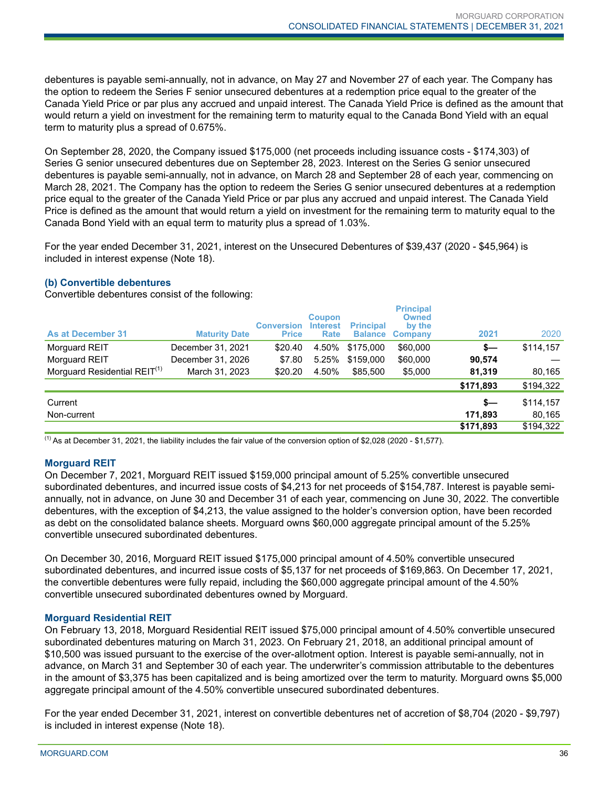debentures is payable semi-annually, not in advance, on May 27 and November 27 of each year. The Company has the option to redeem the Series F senior unsecured debentures at a redemption price equal to the greater of the Canada Yield Price or par plus any accrued and unpaid interest. The Canada Yield Price is defined as the amount that would return a yield on investment for the remaining term to maturity equal to the Canada Bond Yield with an equal term to maturity plus a spread of 0.675%.

On September 28, 2020, the Company issued \$175,000 (net proceeds including issuance costs - \$174,303) of Series G senior unsecured debentures due on September 28, 2023. Interest on the Series G senior unsecured debentures is payable semi-annually, not in advance, on March 28 and September 28 of each year, commencing on March 28, 2021. The Company has the option to redeem the Series G senior unsecured debentures at a redemption price equal to the greater of the Canada Yield Price or par plus any accrued and unpaid interest. The Canada Yield Price is defined as the amount that would return a yield on investment for the remaining term to maturity equal to the Canada Bond Yield with an equal term to maturity plus a spread of 1.03%.

For the year ended December 31, 2021, interest on the Unsecured Debentures of \$39,437 (2020 - \$45,964) is included in interest expense (Note 18).

## **(b) Convertible debentures**

Convertible debentures consist of the following:

|                                          |                      | <b>Conversion</b> | <b>Coupon</b><br><b>Interest</b> | <b>Principal</b> | <b>Principal</b><br><b>Owned</b><br>by the |           |           |
|------------------------------------------|----------------------|-------------------|----------------------------------|------------------|--------------------------------------------|-----------|-----------|
| <b>As at December 31</b>                 | <b>Maturity Date</b> | <b>Price</b>      | Rate                             | <b>Balance</b>   | <b>Company</b>                             | 2021      | 2020      |
| Morguard REIT                            | December 31, 2021    | \$20.40           | 4.50%                            | \$175,000        | \$60,000                                   | \$—       | \$114,157 |
| Morguard REIT                            | December 31, 2026    | \$7.80            | 5.25%                            | \$159,000        | \$60,000                                   | 90,574    |           |
| Morguard Residential REIT <sup>(1)</sup> | March 31, 2023       | \$20.20           | 4.50%                            | \$85,500         | \$5,000                                    | 81,319    | 80,165    |
|                                          |                      |                   |                                  |                  |                                            | \$171,893 | \$194,322 |
| Current                                  |                      |                   |                                  |                  |                                            | $s-$      | \$114,157 |
| Non-current                              |                      |                   |                                  |                  |                                            | 171,893   | 80,165    |
|                                          |                      |                   |                                  |                  |                                            | \$171,893 | \$194,322 |

 $<sup>(1)</sup>$  As at December 31, 2021, the liability includes the fair value of the conversion option of \$2,028 (2020 - \$1,577).</sup>

#### **Morguard REIT**

On December 7, 2021, Morguard REIT issued \$159,000 principal amount of 5.25% convertible unsecured subordinated debentures, and incurred issue costs of \$4,213 for net proceeds of \$154,787. Interest is payable semiannually, not in advance, on June 30 and December 31 of each year, commencing on June 30, 2022. The convertible debentures, with the exception of \$4,213, the value assigned to the holder's conversion option, have been recorded as debt on the consolidated balance sheets. Morguard owns \$60,000 aggregate principal amount of the 5.25% convertible unsecured subordinated debentures.

On December 30, 2016, Morguard REIT issued \$175,000 principal amount of 4.50% convertible unsecured subordinated debentures, and incurred issue costs of \$5,137 for net proceeds of \$169,863. On December 17, 2021, the convertible debentures were fully repaid, including the \$60,000 aggregate principal amount of the 4.50% convertible unsecured subordinated debentures owned by Morguard.

#### **Morguard Residential REIT**

On February 13, 2018, Morguard Residential REIT issued \$75,000 principal amount of 4.50% convertible unsecured subordinated debentures maturing on March 31, 2023. On February 21, 2018, an additional principal amount of \$10,500 was issued pursuant to the exercise of the over-allotment option. Interest is payable semi-annually, not in advance, on March 31 and September 30 of each year. The underwriter's commission attributable to the debentures in the amount of \$3,375 has been capitalized and is being amortized over the term to maturity. Morguard owns \$5,000 aggregate principal amount of the 4.50% convertible unsecured subordinated debentures.

For the year ended December 31, 2021, interest on convertible debentures net of accretion of \$8,704 (2020 - \$9,797) is included in interest expense (Note 18).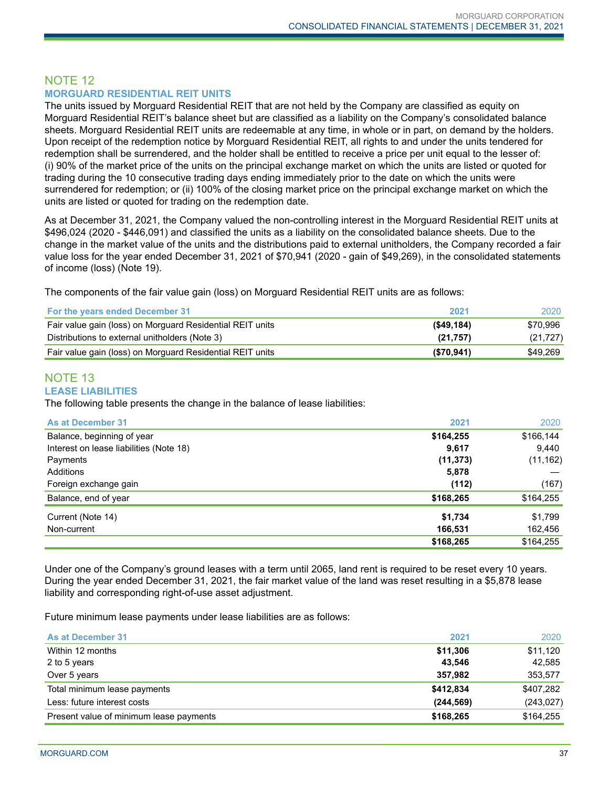# NOTE 12 **MORGUARD RESIDENTIAL REIT UNITS**

The units issued by Morguard Residential REIT that are not held by the Company are classified as equity on Morguard Residential REIT's balance sheet but are classified as a liability on the Company's consolidated balance sheets. Morguard Residential REIT units are redeemable at any time, in whole or in part, on demand by the holders. Upon receipt of the redemption notice by Morguard Residential REIT, all rights to and under the units tendered for redemption shall be surrendered, and the holder shall be entitled to receive a price per unit equal to the lesser of: (i) 90% of the market price of the units on the principal exchange market on which the units are listed or quoted for trading during the 10 consecutive trading days ending immediately prior to the date on which the units were surrendered for redemption; or (ii) 100% of the closing market price on the principal exchange market on which the units are listed or quoted for trading on the redemption date.

As at December 31, 2021, the Company valued the non-controlling interest in the Morguard Residential REIT units at \$496,024 (2020 - \$446,091) and classified the units as a liability on the consolidated balance sheets. Due to the change in the market value of the units and the distributions paid to external unitholders, the Company recorded a fair value loss for the year ended December 31, 2021 of \$70,941 (2020 - gain of \$49,269), in the consolidated statements of income (loss) (Note 19).

The components of the fair value gain (loss) on Morguard Residential REIT units are as follows:

| <b>For the years ended December 31</b>                    | 2021             | 2020      |
|-----------------------------------------------------------|------------------|-----------|
| Fair value gain (loss) on Morguard Residential REIT units | $($ \$49,184 $)$ | \$70.996  |
| Distributions to external unitholders (Note 3)            | (21.757)         | (21, 727) |
| Fair value gain (loss) on Morguard Residential REIT units | ( \$70, 941)     | \$49,269  |

#### NOTE 13 **LEASE LIABILITIES**

The following table presents the change in the balance of lease liabilities:

| <b>As at December 31</b>                | 2021      | 2020      |
|-----------------------------------------|-----------|-----------|
| Balance, beginning of year              | \$164,255 | \$166,144 |
| Interest on lease liabilities (Note 18) | 9,617     | 9,440     |
| Payments                                | (11, 373) | (11, 162) |
| Additions                               | 5,878     |           |
| Foreign exchange gain                   | (112)     | (167)     |
| Balance, end of year                    | \$168,265 | \$164,255 |
| Current (Note 14)                       | \$1,734   | \$1,799   |
| Non-current                             | 166,531   | 162,456   |
|                                         | \$168,265 | \$164,255 |

Under one of the Company's ground leases with a term until 2065, land rent is required to be reset every 10 years. During the year ended December 31, 2021, the fair market value of the land was reset resulting in a \$5,878 lease liability and corresponding right-of-use asset adjustment.

Future minimum lease payments under lease liabilities are as follows:

| <b>As at December 31</b>                | 2021       | 2020       |
|-----------------------------------------|------------|------------|
| Within 12 months                        | \$11,306   | \$11,120   |
| 2 to 5 years                            | 43.546     | 42,585     |
| Over 5 years                            | 357.982    | 353,577    |
| Total minimum lease payments            | \$412,834  | \$407,282  |
| Less: future interest costs             | (244, 569) | (243, 027) |
| Present value of minimum lease payments | \$168,265  | \$164,255  |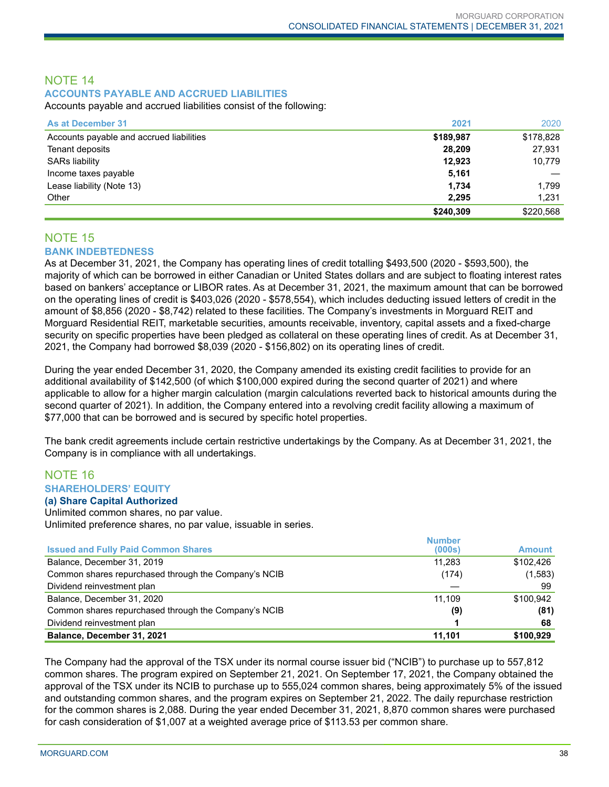# NOTE 14 **ACCOUNTS PAYABLE AND ACCRUED LIABILITIES**

Accounts payable and accrued liabilities consist of the following:

| <b>As at December 31</b>                 | 2021      | 2020      |
|------------------------------------------|-----------|-----------|
| Accounts payable and accrued liabilities | \$189,987 | \$178,828 |
| Tenant deposits                          | 28,209    | 27,931    |
| <b>SARs liability</b>                    | 12,923    | 10,779    |
| Income taxes payable                     | 5,161     |           |
| Lease liability (Note 13)                | 1,734     | 1,799     |
| Other                                    | 2.295     | 1.231     |
|                                          | \$240,309 | \$220,568 |

# NOTE 15 **BANK INDEBTEDNESS**

As at December 31, 2021, the Company has operating lines of credit totalling \$493,500 (2020 - \$593,500), the majority of which can be borrowed in either Canadian or United States dollars and are subject to floating interest rates based on bankers' acceptance or LIBOR rates. As at December 31, 2021, the maximum amount that can be borrowed on the operating lines of credit is \$403,026 (2020 - \$578,554), which includes deducting issued letters of credit in the amount of \$8,856 (2020 - \$8,742) related to these facilities. The Company's investments in Morguard REIT and Morguard Residential REIT, marketable securities, amounts receivable, inventory, capital assets and a fixed-charge security on specific properties have been pledged as collateral on these operating lines of credit. As at December 31, 2021, the Company had borrowed \$8,039 (2020 - \$156,802) on its operating lines of credit.

During the year ended December 31, 2020, the Company amended its existing credit facilities to provide for an additional availability of \$142,500 (of which \$100,000 expired during the second quarter of 2021) and where applicable to allow for a higher margin calculation (margin calculations reverted back to historical amounts during the second quarter of 2021). In addition, the Company entered into a revolving credit facility allowing a maximum of \$77,000 that can be borrowed and is secured by specific hotel properties.

The bank credit agreements include certain restrictive undertakings by the Company. As at December 31, 2021, the Company is in compliance with all undertakings.

# NOTE 16 **SHAREHOLDERS' EQUITY**

#### **(a) Share Capital Authorized**

Unlimited common shares, no par value. Unlimited preference shares, no par value, issuable in series.

|                                                      | <b>Number</b> |               |
|------------------------------------------------------|---------------|---------------|
| <b>Issued and Fully Paid Common Shares</b>           | (000s)        | <b>Amount</b> |
| Balance, December 31, 2019                           | 11.283        | \$102,426     |
| Common shares repurchased through the Company's NCIB | (174)         | (1,583)       |
| Dividend reinvestment plan                           |               | 99            |
| Balance, December 31, 2020                           | 11.109        | \$100.942     |
| Common shares repurchased through the Company's NCIB | (9)           | (81)          |
| Dividend reinvestment plan                           |               | 68            |
| Balance, December 31, 2021                           | 11,101        | \$100,929     |

The Company had the approval of the TSX under its normal course issuer bid ("NCIB") to purchase up to 557,812 common shares. The program expired on September 21, 2021. On September 17, 2021, the Company obtained the approval of the TSX under its NCIB to purchase up to 555,024 common shares, being approximately 5% of the issued and outstanding common shares, and the program expires on September 21, 2022. The daily repurchase restriction for the common shares is 2,088. During the year ended December 31, 2021, 8,870 common shares were purchased for cash consideration of \$1,007 at a weighted average price of \$113.53 per common share.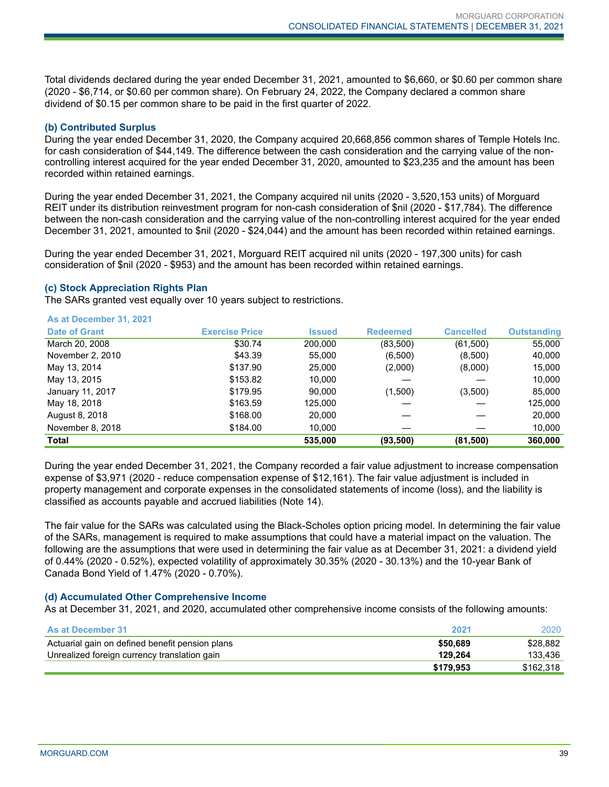Total dividends declared during the year ended December 31, 2021, amounted to \$6,660, or \$0.60 per common share (2020 - \$6,714, or \$0.60 per common share). On February 24, 2022, the Company declared a common share dividend of \$0.15 per common share to be paid in the first quarter of 2022.

### **(b) Contributed Surplus**

During the year ended December 31, 2020, the Company acquired 20,668,856 common shares of Temple Hotels Inc. for cash consideration of \$44,149. The difference between the cash consideration and the carrying value of the noncontrolling interest acquired for the year ended December 31, 2020, amounted to \$23,235 and the amount has been recorded within retained earnings.

During the year ended December 31, 2021, the Company acquired nil units (2020 - 3,520,153 units) of Morguard REIT under its distribution reinvestment program for non-cash consideration of \$nil (2020 - \$17,784). The difference between the non-cash consideration and the carrying value of the non-controlling interest acquired for the year ended December 31, 2021, amounted to \$nil (2020 - \$24,044) and the amount has been recorded within retained earnings.

During the year ended December 31, 2021, Morguard REIT acquired nil units (2020 - 197,300 units) for cash consideration of \$nil (2020 - \$953) and the amount has been recorded within retained earnings.

## **(c) Stock Appreciation Rights Plan**

**As at December 31, 2021**

The SARs granted vest equally over 10 years subject to restrictions.

| <b>AS AL DEUCHINGLY L. ZVZ L</b> |                       |               |                 |                  |                    |
|----------------------------------|-----------------------|---------------|-----------------|------------------|--------------------|
| <b>Date of Grant</b>             | <b>Exercise Price</b> | <b>Issued</b> | <b>Redeemed</b> | <b>Cancelled</b> | <b>Outstanding</b> |
| March 20, 2008                   | \$30.74               | 200,000       | (83,500)        | (61,500)         | 55,000             |
| November 2, 2010                 | \$43.39               | 55,000        | (6,500)         | (8,500)          | 40,000             |
| May 13, 2014                     | \$137.90              | 25,000        | (2,000)         | (8,000)          | 15,000             |
| May 13, 2015                     | \$153.82              | 10,000        |                 |                  | 10,000             |
| January 11, 2017                 | \$179.95              | 90.000        | (1,500)         | (3,500)          | 85,000             |
| May 18, 2018                     | \$163.59              | 125,000       |                 |                  | 125,000            |
| August 8, 2018                   | \$168.00              | 20,000        |                 |                  | 20,000             |
| November 8, 2018                 | \$184.00              | 10.000        |                 |                  | 10.000             |
| Total                            |                       | 535,000       | (93, 500)       | (81,500)         | 360,000            |

During the year ended December 31, 2021, the Company recorded a fair value adjustment to increase compensation expense of \$3,971 (2020 - reduce compensation expense of \$12,161). The fair value adjustment is included in property management and corporate expenses in the consolidated statements of income (loss), and the liability is classified as accounts payable and accrued liabilities (Note 14).

The fair value for the SARs was calculated using the Black-Scholes option pricing model. In determining the fair value of the SARs, management is required to make assumptions that could have a material impact on the valuation. The following are the assumptions that were used in determining the fair value as at December 31, 2021: a dividend yield of 0.44% (2020 - 0.52%), expected volatility of approximately 30.35% (2020 - 30.13%) and the 10-year Bank of Canada Bond Yield of 1.47% (2020 - 0.70%).

#### **(d) Accumulated Other Comprehensive Income**

As at December 31, 2021, and 2020, accumulated other comprehensive income consists of the following amounts:

| <b>As at December 31</b>                        | 2021      | 2020      |
|-------------------------------------------------|-----------|-----------|
| Actuarial gain on defined benefit pension plans | \$50,689  | \$28.882  |
| Unrealized foreign currency translation gain    | 129.264   | 133.436   |
|                                                 | \$179.953 | \$162,318 |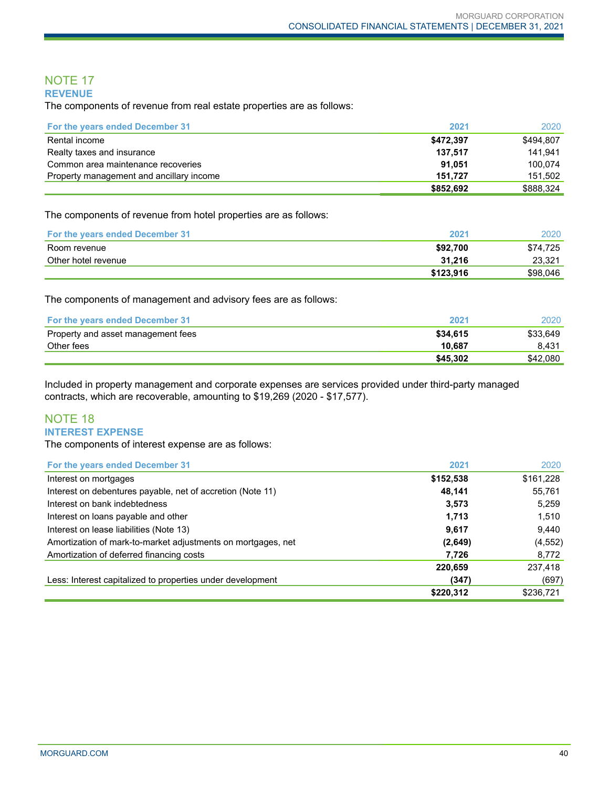# NOTE 17 **REVENUE**

The components of revenue from real estate properties are as follows:

| For the years ended December 31          | 2021      | 2020      |
|------------------------------------------|-----------|-----------|
| Rental income                            | \$472,397 | \$494.807 |
| Realty taxes and insurance               | 137.517   | 141.941   |
| Common area maintenance recoveries       | 91.051    | 100.074   |
| Property management and ancillary income | 151.727   | 151.502   |
|                                          | \$852,692 | \$888,324 |

The components of revenue from hotel properties are as follows:

| <b>For the years ended December 31</b> | 2021      | 2020     |
|----------------------------------------|-----------|----------|
| Room revenue                           | \$92.700  | \$74,725 |
| Other hotel revenue                    | 31.216    | 23.321   |
|                                        | \$123,916 | \$98,046 |

The components of management and advisory fees are as follows:

| <b>For the years ended December 31</b> | 2021     | 2020     |
|----------------------------------------|----------|----------|
| Property and asset management fees     | \$34.615 | \$33,649 |
| Other fees                             | 10.687   | 8.431    |
|                                        | \$45,302 | \$42,080 |

Included in property management and corporate expenses are services provided under third-party managed contracts, which are recoverable, amounting to \$19,269 (2020 - \$17,577).

# NOTE 18 **INTEREST EXPENSE**

The components of interest expense are as follows:

| For the years ended December 31                              | 2021      | 2020      |
|--------------------------------------------------------------|-----------|-----------|
| Interest on mortgages                                        | \$152,538 | \$161,228 |
| Interest on debentures payable, net of accretion (Note 11)   | 48.141    | 55,761    |
| Interest on bank indebtedness                                | 3,573     | 5,259     |
| Interest on loans payable and other                          | 1,713     | 1,510     |
| Interest on lease liabilities (Note 13)                      | 9.617     | 9.440     |
| Amortization of mark-to-market adjustments on mortgages, net | (2,649)   | (4, 552)  |
| Amortization of deferred financing costs                     | 7,726     | 8,772     |
|                                                              | 220,659   | 237,418   |
| Less: Interest capitalized to properties under development   | (347)     | (697)     |
|                                                              | \$220,312 | \$236,721 |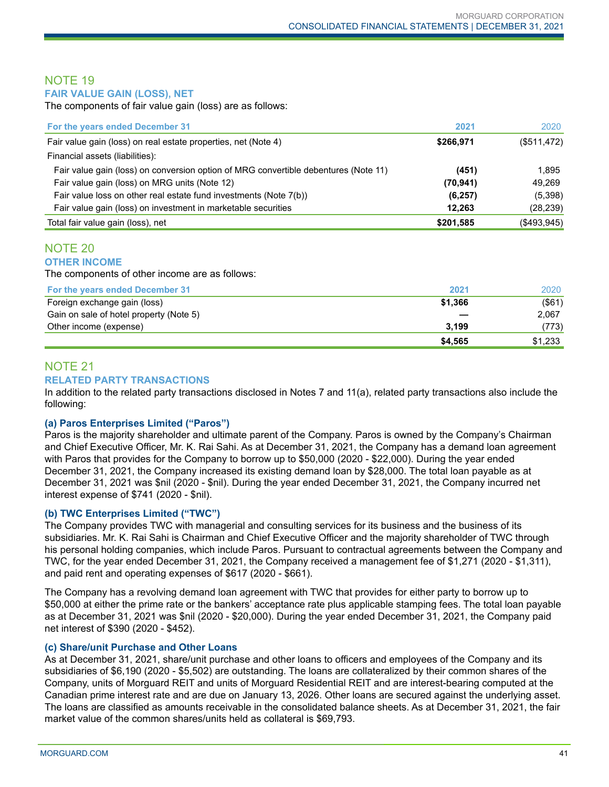# NOTE 19 **FAIR VALUE GAIN (LOSS), NET**

The components of fair value gain (loss) are as follows:

| For the years ended December 31                                                     | 2021      | 2020        |
|-------------------------------------------------------------------------------------|-----------|-------------|
| Fair value gain (loss) on real estate properties, net (Note 4)                      | \$266,971 | (\$511,472) |
| Financial assets (liabilities):                                                     |           |             |
| Fair value gain (loss) on conversion option of MRG convertible debentures (Note 11) | (451)     | 1.895       |
| Fair value gain (loss) on MRG units (Note 12)                                       | (70, 941) | 49.269      |
| Fair value loss on other real estate fund investments (Note 7(b))                   | (6, 257)  | (5,398)     |
| Fair value gain (loss) on investment in marketable securities                       | 12,263    | (28, 239)   |
| Total fair value gain (loss), net                                                   | \$201,585 | (\$493,945) |

# NOTE 20

#### **OTHER INCOME**

The components of other income are as follows:

| <b>For the years ended December 31</b>  | 2021    | 2020    |
|-----------------------------------------|---------|---------|
| Foreign exchange gain (loss)            | \$1.366 | (\$61)  |
| Gain on sale of hotel property (Note 5) |         | 2.067   |
| Other income (expense)                  | 3.199   | (773)   |
|                                         | \$4.565 | \$1,233 |

# NOTE 21

#### **RELATED PARTY TRANSACTIONS**

In addition to the related party transactions disclosed in Notes 7 and 11(a), related party transactions also include the following:

# **(a) Paros Enterprises Limited ("Paros")**

Paros is the majority shareholder and ultimate parent of the Company. Paros is owned by the Company's Chairman and Chief Executive Officer, Mr. K. Rai Sahi. As at December 31, 2021, the Company has a demand loan agreement with Paros that provides for the Company to borrow up to \$50,000 (2020 - \$22,000). During the year ended December 31, 2021, the Company increased its existing demand loan by \$28,000. The total loan payable as at December 31, 2021 was \$nil (2020 - \$nil). During the year ended December 31, 2021, the Company incurred net interest expense of \$741 (2020 - \$nil).

# **(b) TWC Enterprises Limited ("TWC")**

The Company provides TWC with managerial and consulting services for its business and the business of its subsidiaries. Mr. K. Rai Sahi is Chairman and Chief Executive Officer and the majority shareholder of TWC through his personal holding companies, which include Paros. Pursuant to contractual agreements between the Company and TWC, for the year ended December 31, 2021, the Company received a management fee of \$1,271 (2020 - \$1,311), and paid rent and operating expenses of \$617 (2020 - \$661).

The Company has a revolving demand loan agreement with TWC that provides for either party to borrow up to \$50,000 at either the prime rate or the bankers' acceptance rate plus applicable stamping fees. The total loan payable as at December 31, 2021 was \$nil (2020 - \$20,000). During the year ended December 31, 2021, the Company paid net interest of \$390 (2020 - \$452).

# **(c) Share/unit Purchase and Other Loans**

As at December 31, 2021, share/unit purchase and other loans to officers and employees of the Company and its subsidiaries of \$6,190 (2020 - \$5,502) are outstanding. The loans are collateralized by their common shares of the Company, units of Morguard REIT and units of Morguard Residential REIT and are interest-bearing computed at the Canadian prime interest rate and are due on January 13, 2026. Other loans are secured against the underlying asset. The loans are classified as amounts receivable in the consolidated balance sheets. As at December 31, 2021, the fair market value of the common shares/units held as collateral is \$69,793.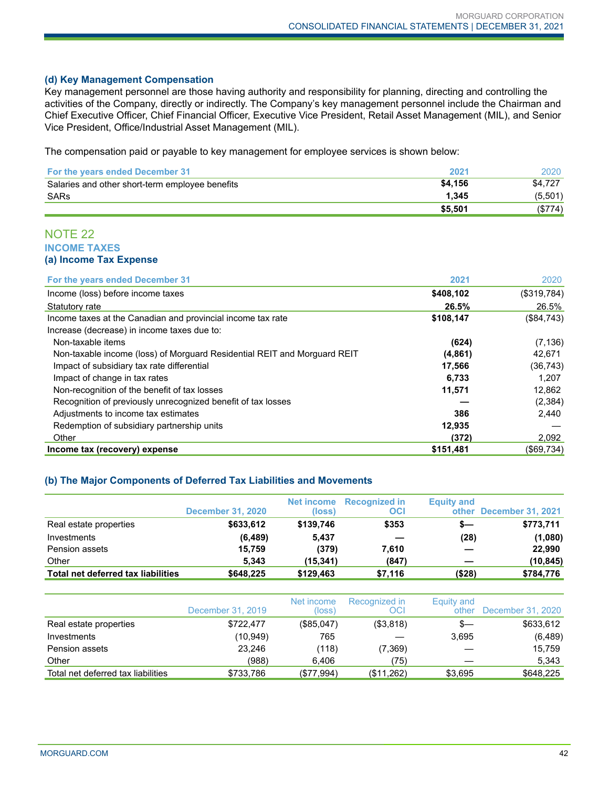### **(d) Key Management Compensation**

Key management personnel are those having authority and responsibility for planning, directing and controlling the activities of the Company, directly or indirectly. The Company's key management personnel include the Chairman and Chief Executive Officer, Chief Financial Officer, Executive Vice President, Retail Asset Management (MIL), and Senior Vice President, Office/Industrial Asset Management (MIL).

The compensation paid or payable to key management for employee services is shown below:

| <b>For the years ended December 31</b>          | 2021    | 2020    |
|-------------------------------------------------|---------|---------|
| Salaries and other short-term employee benefits | \$4.156 | \$4.727 |
| SARs                                            | 1.345   | (5,501) |
|                                                 | \$5.501 | (S774)  |

# NOTE 22 **INCOME TAXES (a) Income Tax Expense**

| For the years ended December 31                                          | 2021      | 2020          |
|--------------------------------------------------------------------------|-----------|---------------|
| Income (loss) before income taxes                                        | \$408,102 | (\$319,784)   |
| Statutory rate                                                           | 26.5%     | 26.5%         |
| Income taxes at the Canadian and provincial income tax rate              | \$108,147 | (\$84,743)    |
| Increase (decrease) in income taxes due to:                              |           |               |
| Non-taxable items                                                        | (624)     | (7, 136)      |
| Non-taxable income (loss) of Morguard Residential REIT and Morguard REIT | (4,861)   | 42.671        |
| Impact of subsidiary tax rate differential                               | 17,566    | (36, 743)     |
| Impact of change in tax rates                                            | 6.733     | 1.207         |
| Non-recognition of the benefit of tax losses                             | 11,571    | 12,862        |
| Recognition of previously unrecognized benefit of tax losses             |           | (2, 384)      |
| Adjustments to income tax estimates                                      | 386       | 2,440         |
| Redemption of subsidiary partnership units                               | 12,935    |               |
| Other                                                                    | (372)     | 2,092         |
| Income tax (recovery) expense                                            | \$151,481 | $($ \$69,734) |

# **(b) The Major Components of Deferred Tax Liabilities and Movements**

|                                    | <b>December 31, 2020</b> | (loss)    | Net income Recognized in<br>OCI | <b>Equity and</b> | other December 31, 2021 |
|------------------------------------|--------------------------|-----------|---------------------------------|-------------------|-------------------------|
| Real estate properties             | \$633.612                | \$139.746 | \$353                           | s—                | \$773,711               |
| Investments                        | (6, 489)                 | 5,437     |                                 | (28)              | (1,080)                 |
| Pension assets                     | 15.759                   | (379)     | 7,610                           |                   | 22,990                  |
| Other                              | 5.343                    | (15, 341) | (847)                           |                   | (10, 845)               |
| Total net deferred tax liabilities | \$648,225                | \$129,463 | \$7,116                         | ( \$28)           | \$784,776               |

|                                    | December 31, 2019 | Net income<br>(loss) | Recognized in<br>OCI | Equity and<br>other | December 31, 2020 |
|------------------------------------|-------------------|----------------------|----------------------|---------------------|-------------------|
| Real estate properties             | \$722.477         | (\$85,047)           | (\$3,818)            | $s-$                | \$633,612         |
| Investments                        | (10, 949)         | 765                  |                      | 3,695               | (6, 489)          |
| Pension assets                     | 23.246            | (118)                | (7,369)              |                     | 15.759            |
| Other                              | (988)             | 6.406                | (75)                 |                     | 5,343             |
| Total net deferred tax liabilities | \$733,786         | (\$77,994)           | (\$11,262)           | \$3,695             | \$648,225         |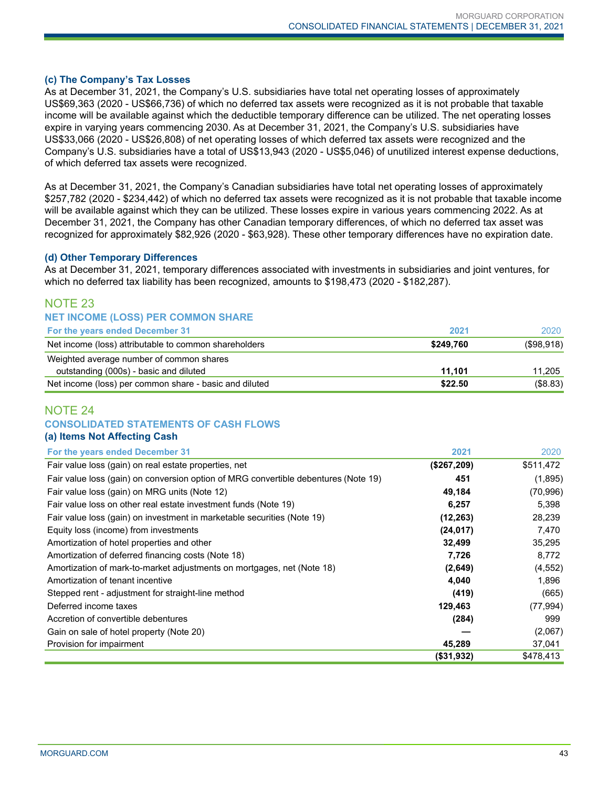#### **(c) The Company's Tax Losses**

As at December 31, 2021, the Company's U.S. subsidiaries have total net operating losses of approximately US\$69,363 (2020 - US\$66,736) of which no deferred tax assets were recognized as it is not probable that taxable income will be available against which the deductible temporary difference can be utilized. The net operating losses expire in varying years commencing 2030. As at December 31, 2021, the Company's U.S. subsidiaries have US\$33,066 (2020 - US\$26,808) of net operating losses of which deferred tax assets were recognized and the Company's U.S. subsidiaries have a total of US\$13,943 (2020 - US\$5,046) of unutilized interest expense deductions, of which deferred tax assets were recognized.

As at December 31, 2021, the Company's Canadian subsidiaries have total net operating losses of approximately \$257,782 (2020 - \$234,442) of which no deferred tax assets were recognized as it is not probable that taxable income will be available against which they can be utilized. These losses expire in various years commencing 2022. As at December 31, 2021, the Company has other Canadian temporary differences, of which no deferred tax asset was recognized for approximately \$82,926 (2020 - \$63,928). These other temporary differences have no expiration date.

# **(d) Other Temporary Differences**

As at December 31, 2021, temporary differences associated with investments in subsidiaries and joint ventures, for which no deferred tax liability has been recognized, amounts to \$198,473 (2020 - \$182,287).

# NOTE 23

#### **NET INCOME (LOSS) PER COMMON SHARE**

| <b>For the years ended December 31</b>                 | 2021      | 2020       |
|--------------------------------------------------------|-----------|------------|
| Net income (loss) attributable to common shareholders  | \$249.760 | (\$98,918) |
| Weighted average number of common shares               |           |            |
| outstanding (000s) - basic and diluted                 | 11.101    | 11,205     |
| Net income (loss) per common share - basic and diluted | \$22.50   | (\$8.83)   |

# NOTE 24 **CONSOLIDATED STATEMENTS OF CASH FLOWS (a) Items Not Affecting Cash**

| For the years ended December 31                                                     | 2021        | 2020      |
|-------------------------------------------------------------------------------------|-------------|-----------|
| Fair value loss (gain) on real estate properties, net                               | (\$267,209) | \$511,472 |
| Fair value loss (gain) on conversion option of MRG convertible debentures (Note 19) | 451         | (1,895)   |
| Fair value loss (gain) on MRG units (Note 12)                                       | 49,184      | (70, 996) |
| Fair value loss on other real estate investment funds (Note 19)                     | 6,257       | 5,398     |
| Fair value loss (gain) on investment in marketable securities (Note 19)             | (12, 263)   | 28,239    |
| Equity loss (income) from investments                                               | (24, 017)   | 7,470     |
| Amortization of hotel properties and other                                          | 32,499      | 35,295    |
| Amortization of deferred financing costs (Note 18)                                  | 7,726       | 8,772     |
| Amortization of mark-to-market adjustments on mortgages, net (Note 18)              | (2,649)     | (4, 552)  |
| Amortization of tenant incentive                                                    | 4,040       | 1,896     |
| Stepped rent - adjustment for straight-line method                                  | (419)       | (665)     |
| Deferred income taxes                                                               | 129,463     | (77, 994) |
| Accretion of convertible debentures                                                 | (284)       | 999       |
| Gain on sale of hotel property (Note 20)                                            |             | (2,067)   |
| Provision for impairment                                                            | 45,289      | 37,041    |
|                                                                                     | (\$31,932)  | \$478,413 |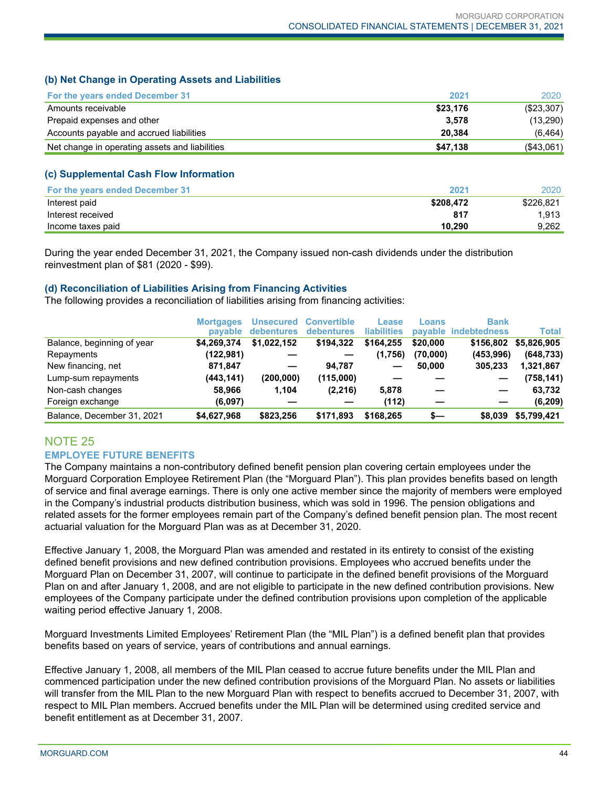# **(b) Net Change in Operating Assets and Liabilities**

| <b>For the years ended December 31</b>         | 2021     | 2020         |
|------------------------------------------------|----------|--------------|
| Amounts receivable                             | \$23.176 | $(\$23,307)$ |
| Prepaid expenses and other                     | 3.578    | (13,290)     |
| Accounts payable and accrued liabilities       | 20.384   | (6, 464)     |
| Net change in operating assets and liabilities | \$47.138 | (\$43,061)   |

# **(c) Supplemental Cash Flow Information**

| <b>For the years ended December 31</b> | 2021      | 2020      |
|----------------------------------------|-----------|-----------|
| Interest paid                          | \$208.472 | \$226.821 |
| Interest received                      | 817       | 1.913     |
| Income taxes paid                      | 10.290    | 9.262     |

During the year ended December 31, 2021, the Company issued non-cash dividends under the distribution reinvestment plan of \$81 (2020 - \$99).

#### **(d) Reconciliation of Liabilities Arising from Financing Activities**

The following provides a reconciliation of liabilities arising from financing activities:

|                            | <b>Mortgages</b><br>pavable | Unsecured<br>debentures | <b>Convertible</b><br><b>debentures</b> | <b>Lease</b><br><b>liabilities</b> | Loans    | <b>Bank</b><br>payable indebtedness | <b>Total</b> |
|----------------------------|-----------------------------|-------------------------|-----------------------------------------|------------------------------------|----------|-------------------------------------|--------------|
| Balance, beginning of year | \$4.269.374                 | \$1,022,152             | \$194.322                               | \$164.255                          | \$20,000 | \$156,802                           | \$5,826,905  |
| Repayments                 | (122,981)                   |                         |                                         | (1,756)                            | (70,000) | (453,996)                           | (648, 733)   |
| New financing, net         | 871.847                     |                         | 94.787                                  |                                    | 50,000   | 305.233                             | 1,321,867    |
| Lump-sum repayments        | (443,141)                   | (200, 000)              | (115,000)                               |                                    |          |                                     | (758, 141)   |
| Non-cash changes           | 58,966                      | 1,104                   | (2, 216)                                | 5,878                              |          |                                     | 63,732       |
| Foreign exchange           | (6,097)                     |                         |                                         | (112)                              |          |                                     | (6, 209)     |
| Balance, December 31, 2021 | \$4,627,968                 | \$823,256               | \$171.893                               | \$168,265                          | s—       | \$8,039                             | \$5,799,421  |

# NOTE 25 **EMPLOYEE FUTURE BENEFITS**

The Company maintains a non-contributory defined benefit pension plan covering certain employees under the Morguard Corporation Employee Retirement Plan (the "Morguard Plan"). This plan provides benefits based on length of service and final average earnings. There is only one active member since the majority of members were employed in the Company's industrial products distribution business, which was sold in 1996. The pension obligations and related assets for the former employees remain part of the Company's defined benefit pension plan. The most recent actuarial valuation for the Morguard Plan was as at December 31, 2020.

Effective January 1, 2008, the Morguard Plan was amended and restated in its entirety to consist of the existing defined benefit provisions and new defined contribution provisions. Employees who accrued benefits under the Morguard Plan on December 31, 2007, will continue to participate in the defined benefit provisions of the Morguard Plan on and after January 1, 2008, and are not eligible to participate in the new defined contribution provisions. New employees of the Company participate under the defined contribution provisions upon completion of the applicable waiting period effective January 1, 2008.

Morguard Investments Limited Employees' Retirement Plan (the "MIL Plan") is a defined benefit plan that provides benefits based on years of service, years of contributions and annual earnings.

Effective January 1, 2008, all members of the MIL Plan ceased to accrue future benefits under the MIL Plan and commenced participation under the new defined contribution provisions of the Morguard Plan. No assets or liabilities will transfer from the MIL Plan to the new Morguard Plan with respect to benefits accrued to December 31, 2007, with respect to MIL Plan members. Accrued benefits under the MIL Plan will be determined using credited service and benefit entitlement as at December 31, 2007.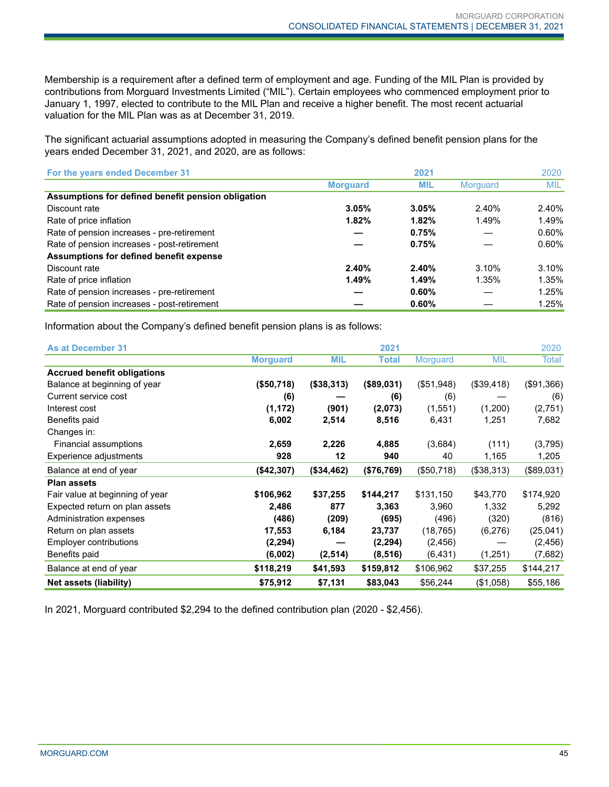Membership is a requirement after a defined term of employment and age. Funding of the MIL Plan is provided by contributions from Morguard Investments Limited ("MIL"). Certain employees who commenced employment prior to January 1, 1997, elected to contribute to the MIL Plan and receive a higher benefit. The most recent actuarial valuation for the MIL Plan was as at December 31, 2019.

The significant actuarial assumptions adopted in measuring the Company's defined benefit pension plans for the years ended December 31, 2021, and 2020, are as follows:

| For the years ended December 31                    |                 | 2021     |          | 2020       |
|----------------------------------------------------|-----------------|----------|----------|------------|
|                                                    | <b>Morguard</b> | MIL      | Morguard | <b>MIL</b> |
| Assumptions for defined benefit pension obligation |                 |          |          |            |
| Discount rate                                      | 3.05%           | 3.05%    | 2.40%    | 2.40%      |
| Rate of price inflation                            | 1.82%           | 1.82%    | 1.49%    | 1.49%      |
| Rate of pension increases - pre-retirement         |                 | 0.75%    |          | $0.60\%$   |
| Rate of pension increases - post-retirement        |                 | 0.75%    |          | $0.60\%$   |
| Assumptions for defined benefit expense            |                 |          |          |            |
| Discount rate                                      | 2.40%           | 2.40%    | 3.10%    | 3.10%      |
| Rate of price inflation                            | 1.49%           | 1.49%    | 1.35%    | $1.35\%$   |
| Rate of pension increases - pre-retirement         |                 | $0.60\%$ |          | 1.25%      |
| Rate of pension increases - post-retirement        |                 | 0.60%    |          | 1.25%      |

Information about the Company's defined benefit pension plans is as follows:

| <b>As at December 31</b>           |                 |            | 2021       |            |            | 2020       |
|------------------------------------|-----------------|------------|------------|------------|------------|------------|
|                                    | <b>Morguard</b> | <b>MIL</b> | Total      | Morguard   | <b>MIL</b> | Total      |
| <b>Accrued benefit obligations</b> |                 |            |            |            |            |            |
| Balance at beginning of year       | (\$50,718)      | (\$38,313) | (\$89,031) | (\$51,948) | (\$39,418) | (\$91,366) |
| Current service cost               | (6)             |            | (6)        | (6)        |            | (6)        |
| Interest cost                      | (1, 172)        | (901)      | (2,073)    | (1,551)    | (1,200)    | (2,751)    |
| Benefits paid                      | 6,002           | 2,514      | 8,516      | 6,431      | 1,251      | 7,682      |
| Changes in:                        |                 |            |            |            |            |            |
| Financial assumptions              | 2,659           | 2,226      | 4,885      | (3,684)    | (111)      | (3,795)    |
| Experience adjustments             | 928             | 12         | 940        | 40         | 1,165      | 1,205      |
| Balance at end of year             | (\$42,307)      | (\$34,462) | (\$76,769) | (\$50,718) | (\$38,313) | (\$89,031) |
| <b>Plan assets</b>                 |                 |            |            |            |            |            |
| Fair value at beginning of year    | \$106,962       | \$37,255   | \$144,217  | \$131,150  | \$43,770   | \$174,920  |
| Expected return on plan assets     | 2,486           | 877        | 3,363      | 3,960      | 1,332      | 5,292      |
| Administration expenses            | (486)           | (209)      | (695)      | (496)      | (320)      | (816)      |
| Return on plan assets              | 17,553          | 6,184      | 23,737     | (18, 765)  | (6,276)    | (25, 041)  |
| Employer contributions             | (2, 294)        |            | (2, 294)   | (2, 456)   |            | (2, 456)   |
| Benefits paid                      | (6,002)         | (2, 514)   | (8, 516)   | (6, 431)   | (1,251)    | (7,682)    |
| Balance at end of year             | \$118,219       | \$41,593   | \$159,812  | \$106,962  | \$37,255   | \$144,217  |
| Net assets (liability)             | \$75,912        | \$7,131    | \$83,043   | \$56,244   | (\$1,058)  | \$55,186   |

In 2021, Morguard contributed \$2,294 to the defined contribution plan (2020 - \$2,456).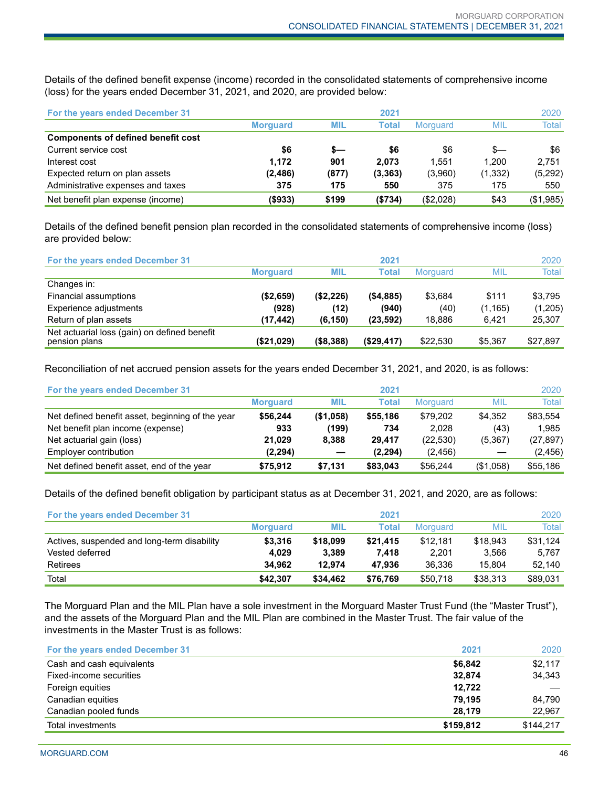Details of the defined benefit expense (income) recorded in the consolidated statements of comprehensive income (loss) for the years ended December 31, 2021, and 2020, are provided below:

| For the years ended December 31           |                 |       | 2021     |                 |         | 2020         |
|-------------------------------------------|-----------------|-------|----------|-----------------|---------|--------------|
|                                           | <b>Morguard</b> | MIL   | Total    | <b>Morguard</b> | MIL     | <b>Total</b> |
| <b>Components of defined benefit cost</b> |                 |       |          |                 |         |              |
| Current service cost                      | \$6             | s—    | \$6      | \$6             | s—      | \$6          |
| Interest cost                             | 1.172           | 901   | 2.073    | 1.551           | 1.200   | 2.751        |
| Expected return on plan assets            | (2, 486)        | (877) | (3,363)  | (3,960)         | (1,332) | (5,292)      |
| Administrative expenses and taxes         | 375             | 175   | 550      | 375             | 175     | 550          |
| Net benefit plan expense (income)         | (\$933)         | \$199 | ( \$734) | (\$2,028)       | \$43    | (\$1,985)    |

Details of the defined benefit pension plan recorded in the consolidated statements of comprehensive income (loss) are provided below:

| For the years ended December 31                               |                 |            | 2021       |          |            | 2020         |
|---------------------------------------------------------------|-----------------|------------|------------|----------|------------|--------------|
|                                                               | <b>Morguard</b> | MIL        | Total      | Morguard | <b>MIL</b> | <b>Total</b> |
| Changes in:                                                   |                 |            |            |          |            |              |
| Financial assumptions                                         | ( \$2,659)      | (\$2,226)  | ( \$4,885) | \$3,684  | \$111      | \$3,795      |
| Experience adjustments                                        | (928)           | (12)       | (940)      | (40)     | (1, 165)   | (1,205)      |
| Return of plan assets                                         | (17,442)        | (6, 150)   | (23, 592)  | 18.886   | 6.421      | 25,307       |
| Net actuarial loss (gain) on defined benefit<br>pension plans | (\$21,029)      | ( \$8,388) | (\$29,417) | \$22,530 | \$5,367    | \$27,897     |

Reconciliation of net accrued pension assets for the years ended December 31, 2021, and 2020, is as follows:

| For the years ended December 31                  |                 |           | 2021     |           |           | 2020         |
|--------------------------------------------------|-----------------|-----------|----------|-----------|-----------|--------------|
|                                                  | <b>Morguard</b> | MIL       | Total    | Morguard  | MIL       | <b>Total</b> |
| Net defined benefit asset, beginning of the year | \$56.244        | (\$1,058) | \$55,186 | \$79.202  | \$4.352   | \$83,554     |
| Net benefit plan income (expense)                | 933             | (199)     | 734      | 2.028     | (43)      | 1.985        |
| Net actuarial gain (loss)                        | 21.029          | 8.388     | 29.417   | (22, 530) | (5, 367)  | (27, 897)    |
| Employer contribution                            | (2, 294)        |           | (2, 294) | (2, 456)  |           | (2, 456)     |
| Net defined benefit asset, end of the year       | \$75.912        | \$7.131   | \$83.043 | \$56,244  | (\$1,058) | \$55,186     |

Details of the defined benefit obligation by participant status as at December 31, 2021, and 2020, are as follows:

| <b>For the years ended December 31</b>      |                 |          | 2021     |          |          | 2020     |
|---------------------------------------------|-----------------|----------|----------|----------|----------|----------|
|                                             | <b>Morguard</b> | MIL      | Total    | Morguard | MIL      | Total    |
| Actives, suspended and long-term disability | \$3.316         | \$18,099 | \$21.415 | \$12.181 | \$18,943 | \$31.124 |
| Vested deferred                             | 4.029           | 3.389    | 7.418    | 2.201    | 3.566    | 5.767    |
| Retirees                                    | 34.962          | 12.974   | 47.936   | 36.336   | 15.804   | 52.140   |
| Total                                       | \$42,307        | \$34.462 | \$76.769 | \$50.718 | \$38,313 | \$89.031 |

The Morguard Plan and the MIL Plan have a sole investment in the Morguard Master Trust Fund (the "Master Trust"), and the assets of the Morguard Plan and the MIL Plan are combined in the Master Trust. The fair value of the investments in the Master Trust is as follows:

| For the years ended December 31 | 2021      | 2020      |
|---------------------------------|-----------|-----------|
| Cash and cash equivalents       | \$6,842   | \$2,117   |
| Fixed-income securities         | 32,874    | 34,343    |
| Foreign equities                | 12.722    |           |
| Canadian equities               | 79.195    | 84.790    |
| Canadian pooled funds           | 28.179    | 22,967    |
| Total investments               | \$159,812 | \$144,217 |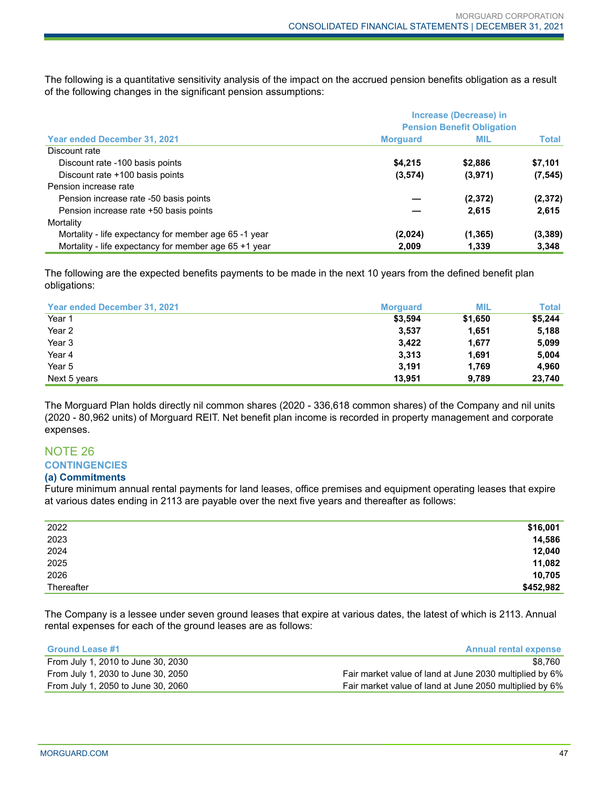The following is a quantitative sensitivity analysis of the impact on the accrued pension benefits obligation as a result of the following changes in the significant pension assumptions:

|                                                       | Increase (Decrease) in            |          |              |  |  |
|-------------------------------------------------------|-----------------------------------|----------|--------------|--|--|
| <b>Year ended December 31, 2021</b>                   | <b>Pension Benefit Obligation</b> |          |              |  |  |
|                                                       | <b>Morguard</b>                   | MIL      | <b>Total</b> |  |  |
| Discount rate                                         |                                   |          |              |  |  |
| Discount rate -100 basis points                       | \$4.215                           | \$2,886  | \$7.101      |  |  |
| Discount rate +100 basis points                       | (3, 574)                          | (3,971)  | (7, 545)     |  |  |
| Pension increase rate                                 |                                   |          |              |  |  |
| Pension increase rate -50 basis points                |                                   | (2,372)  | (2,372)      |  |  |
| Pension increase rate +50 basis points                |                                   | 2,615    | 2,615        |  |  |
| Mortality                                             |                                   |          |              |  |  |
| Mortality - life expectancy for member age 65 -1 year | (2,024)                           | (1, 365) | (3, 389)     |  |  |
| Mortality - life expectancy for member age 65 +1 year | 2,009                             | 1,339    | 3,348        |  |  |

The following are the expected benefits payments to be made in the next 10 years from the defined benefit plan obligations:

| <b>Year ended December 31, 2021</b> | <b>Morguard</b> | <b>MIL</b> | <b>Total</b> |
|-------------------------------------|-----------------|------------|--------------|
| Year 1                              | \$3,594         | \$1,650    | \$5,244      |
| Year 2                              | 3,537           | 1,651      | 5,188        |
| Year 3                              | 3,422           | 1,677      | 5,099        |
| Year 4                              | 3,313           | 1,691      | 5,004        |
| Year 5                              | 3,191           | 1,769      | 4,960        |
| Next 5 years                        | 13.951          | 9,789      | 23,740       |

The Morguard Plan holds directly nil common shares (2020 - 336,618 common shares) of the Company and nil units (2020 - 80,962 units) of Morguard REIT. Net benefit plan income is recorded in property management and corporate expenses.

## NOTE 26 **CONTINGENCIES**

#### **(a) Commitments**

Future minimum annual rental payments for land leases, office premises and equipment operating leases that expire at various dates ending in 2113 are payable over the next five years and thereafter as follows:

| 2022       | \$16,001  |
|------------|-----------|
| 2023       | 14,586    |
| 2024       | 12,040    |
| 2025       | 11,082    |
| 2026       | 10,705    |
| Thereafter | \$452,982 |

The Company is a lessee under seven ground leases that expire at various dates, the latest of which is 2113. Annual rental expenses for each of the ground leases are as follows:

| <b>Ground Lease #1</b>             | <b>Annual rental expense</b>                            |
|------------------------------------|---------------------------------------------------------|
| From July 1, 2010 to June 30, 2030 | \$8.760                                                 |
| From July 1, 2030 to June 30, 2050 | Fair market value of land at June 2030 multiplied by 6% |
| From July 1, 2050 to June 30, 2060 | Fair market value of land at June 2050 multiplied by 6% |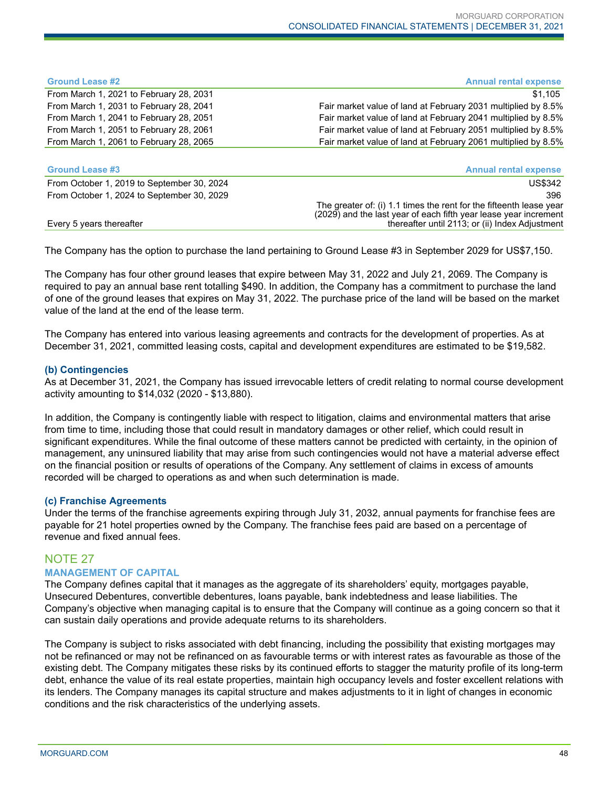| <b>Ground Lease #2</b>                     | <b>Annual rental expense</b>                                  |
|--------------------------------------------|---------------------------------------------------------------|
| From March 1, 2021 to February 28, 2031    | \$1.105                                                       |
| From March 1, 2031 to February 28, 2041    | Fair market value of land at February 2031 multiplied by 8.5% |
| From March 1, 2041 to February 28, 2051    | Fair market value of land at February 2041 multiplied by 8.5% |
| From March 1, 2051 to February 28, 2061    | Fair market value of land at February 2051 multiplied by 8.5% |
| From March 1, 2061 to February 28, 2065    | Fair market value of land at February 2061 multiplied by 8.5% |
|                                            |                                                               |
| <b>Ground Lease #3</b>                     | <b>Annual rental expense</b>                                  |
| From October 1, 2019 to September 30, 2024 | US\$342                                                       |

From October 1, 2024 to September 30, 2029 396 The greater of: (i) 1.1 times the rent for the fifteenth lease year (2029) and the last year of each fifth year lease year increment thereafter until 2113; or (ii) Index Adjustment

The Company has the option to purchase the land pertaining to Ground Lease #3 in September 2029 for US\$7,150.

The Company has four other ground leases that expire between May 31, 2022 and July 21, 2069. The Company is required to pay an annual base rent totalling \$490. In addition, the Company has a commitment to purchase the land of one of the ground leases that expires on May 31, 2022. The purchase price of the land will be based on the market value of the land at the end of the lease term.

The Company has entered into various leasing agreements and contracts for the development of properties. As at December 31, 2021, committed leasing costs, capital and development expenditures are estimated to be \$19,582.

# **(b) Contingencies**

Every 5 years thereafter

As at December 31, 2021, the Company has issued irrevocable letters of credit relating to normal course development activity amounting to \$14,032 (2020 - \$13,880).

In addition, the Company is contingently liable with respect to litigation, claims and environmental matters that arise from time to time, including those that could result in mandatory damages or other relief, which could result in significant expenditures. While the final outcome of these matters cannot be predicted with certainty, in the opinion of management, any uninsured liability that may arise from such contingencies would not have a material adverse effect on the financial position or results of operations of the Company. Any settlement of claims in excess of amounts recorded will be charged to operations as and when such determination is made.

#### **(c) Franchise Agreements**

Under the terms of the franchise agreements expiring through July 31, 2032, annual payments for franchise fees are payable for 21 hotel properties owned by the Company. The franchise fees paid are based on a percentage of revenue and fixed annual fees.

# NOTE 27

# **MANAGEMENT OF CAPITAL**

The Company defines capital that it manages as the aggregate of its shareholders' equity, mortgages payable, Unsecured Debentures, convertible debentures, loans payable, bank indebtedness and lease liabilities. The Company's objective when managing capital is to ensure that the Company will continue as a going concern so that it can sustain daily operations and provide adequate returns to its shareholders.

The Company is subject to risks associated with debt financing, including the possibility that existing mortgages may not be refinanced or may not be refinanced on as favourable terms or with interest rates as favourable as those of the existing debt. The Company mitigates these risks by its continued efforts to stagger the maturity profile of its long-term debt, enhance the value of its real estate properties, maintain high occupancy levels and foster excellent relations with its lenders. The Company manages its capital structure and makes adjustments to it in light of changes in economic conditions and the risk characteristics of the underlying assets.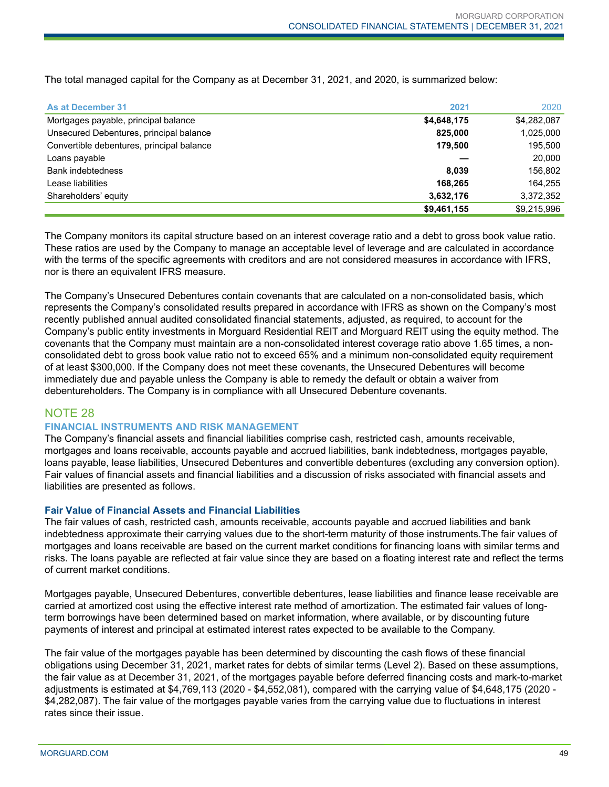The total managed capital for the Company as at December 31, 2021, and 2020, is summarized below:

| As at December 31                         | 2021        | 2020        |
|-------------------------------------------|-------------|-------------|
| Mortgages payable, principal balance      | \$4,648,175 | \$4,282,087 |
| Unsecured Debentures, principal balance   | 825,000     | 1,025,000   |
| Convertible debentures, principal balance | 179.500     | 195,500     |
| Loans payable                             |             | 20,000      |
| <b>Bank indebtedness</b>                  | 8.039       | 156,802     |
| Lease liabilities                         | 168.265     | 164,255     |
| Shareholders' equity                      | 3,632,176   | 3,372,352   |
|                                           | \$9,461,155 | \$9,215,996 |

The Company monitors its capital structure based on an interest coverage ratio and a debt to gross book value ratio. These ratios are used by the Company to manage an acceptable level of leverage and are calculated in accordance with the terms of the specific agreements with creditors and are not considered measures in accordance with IFRS, nor is there an equivalent IFRS measure.

The Company's Unsecured Debentures contain covenants that are calculated on a non-consolidated basis, which represents the Company's consolidated results prepared in accordance with IFRS as shown on the Company's most recently published annual audited consolidated financial statements, adjusted, as required, to account for the Company's public entity investments in Morguard Residential REIT and Morguard REIT using the equity method. The covenants that the Company must maintain are a non-consolidated interest coverage ratio above 1.65 times, a nonconsolidated debt to gross book value ratio not to exceed 65% and a minimum non-consolidated equity requirement of at least \$300,000. If the Company does not meet these covenants, the Unsecured Debentures will become immediately due and payable unless the Company is able to remedy the default or obtain a waiver from debentureholders. The Company is in compliance with all Unsecured Debenture covenants.

# NOTE 28

## **FINANCIAL INSTRUMENTS AND RISK MANAGEMENT**

The Company's financial assets and financial liabilities comprise cash, restricted cash, amounts receivable, mortgages and loans receivable, accounts payable and accrued liabilities, bank indebtedness, mortgages payable, loans payable, lease liabilities, Unsecured Debentures and convertible debentures (excluding any conversion option). Fair values of financial assets and financial liabilities and a discussion of risks associated with financial assets and liabilities are presented as follows.

## **Fair Value of Financial Assets and Financial Liabilities**

The fair values of cash, restricted cash, amounts receivable, accounts payable and accrued liabilities and bank indebtedness approximate their carrying values due to the short-term maturity of those instruments.The fair values of mortgages and loans receivable are based on the current market conditions for financing loans with similar terms and risks. The loans payable are reflected at fair value since they are based on a floating interest rate and reflect the terms of current market conditions.

Mortgages payable, Unsecured Debentures, convertible debentures, lease liabilities and finance lease receivable are carried at amortized cost using the effective interest rate method of amortization. The estimated fair values of longterm borrowings have been determined based on market information, where available, or by discounting future payments of interest and principal at estimated interest rates expected to be available to the Company.

The fair value of the mortgages payable has been determined by discounting the cash flows of these financial obligations using December 31, 2021, market rates for debts of similar terms (Level 2). Based on these assumptions, the fair value as at December 31, 2021, of the mortgages payable before deferred financing costs and mark-to-market adjustments is estimated at \$4,769,113 (2020 - \$4,552,081), compared with the carrying value of \$4,648,175 (2020 - \$4,282,087). The fair value of the mortgages payable varies from the carrying value due to fluctuations in interest rates since their issue.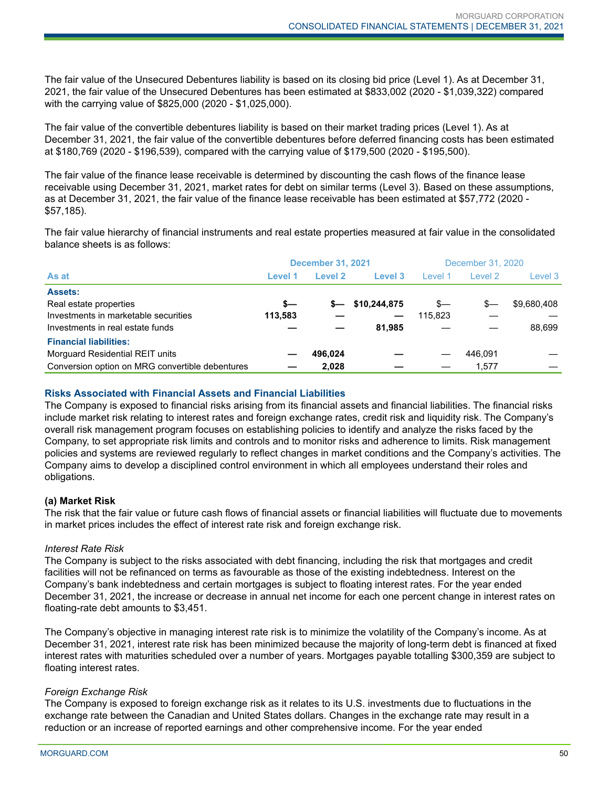The fair value of the Unsecured Debentures liability is based on its closing bid price (Level 1). As at December 31, 2021, the fair value of the Unsecured Debentures has been estimated at \$833,002 (2020 - \$1,039,322) compared with the carrying value of \$825,000 (2020 - \$1,025,000).

The fair value of the convertible debentures liability is based on their market trading prices (Level 1). As at December 31, 2021, the fair value of the convertible debentures before deferred financing costs has been estimated at \$180,769 (2020 - \$196,539), compared with the carrying value of \$179,500 (2020 - \$195,500).

The fair value of the finance lease receivable is determined by discounting the cash flows of the finance lease receivable using December 31, 2021, market rates for debt on similar terms (Level 3). Based on these assumptions, as at December 31, 2021, the fair value of the finance lease receivable has been estimated at \$57,772 (2020 - \$57,185).

The fair value hierarchy of financial instruments and real estate properties measured at fair value in the consolidated balance sheets is as follows:

|                                                 | <b>December 31, 2021</b> |         |              | December 31, 2020 |         |             |
|-------------------------------------------------|--------------------------|---------|--------------|-------------------|---------|-------------|
| As at                                           | Level 1                  | Level 2 | Level 3      | Level 1           | Level 2 | Level 3     |
| <b>Assets:</b>                                  |                          |         |              |                   |         |             |
| Real estate properties                          | $s-$                     | $s-$    | \$10,244,875 | $s-$              | $s-$    | \$9,680,408 |
| Investments in marketable securities            | 113,583                  |         |              | 115,823           |         |             |
| Investments in real estate funds                |                          |         | 81.985       |                   |         | 88.699      |
| <b>Financial liabilities:</b>                   |                          |         |              |                   |         |             |
| Morguard Residential REIT units                 |                          | 496.024 |              |                   | 446.091 |             |
| Conversion option on MRG convertible debentures |                          | 2,028   |              |                   | 1.577   |             |

# **Risks Associated with Financial Assets and Financial Liabilities**

The Company is exposed to financial risks arising from its financial assets and financial liabilities. The financial risks include market risk relating to interest rates and foreign exchange rates, credit risk and liquidity risk. The Company's overall risk management program focuses on establishing policies to identify and analyze the risks faced by the Company, to set appropriate risk limits and controls and to monitor risks and adherence to limits. Risk management policies and systems are reviewed regularly to reflect changes in market conditions and the Company's activities. The Company aims to develop a disciplined control environment in which all employees understand their roles and obligations.

#### **(a) Market Risk**

The risk that the fair value or future cash flows of financial assets or financial liabilities will fluctuate due to movements in market prices includes the effect of interest rate risk and foreign exchange risk.

#### *Interest Rate Risk*

The Company is subject to the risks associated with debt financing, including the risk that mortgages and credit facilities will not be refinanced on terms as favourable as those of the existing indebtedness. Interest on the Company's bank indebtedness and certain mortgages is subject to floating interest rates. For the year ended December 31, 2021, the increase or decrease in annual net income for each one percent change in interest rates on floating-rate debt amounts to \$3,451.

The Company's objective in managing interest rate risk is to minimize the volatility of the Company's income. As at December 31, 2021, interest rate risk has been minimized because the majority of long-term debt is financed at fixed interest rates with maturities scheduled over a number of years. Mortgages payable totalling \$300,359 are subject to floating interest rates.

# *Foreign Exchange Risk*

The Company is exposed to foreign exchange risk as it relates to its U.S. investments due to fluctuations in the exchange rate between the Canadian and United States dollars. Changes in the exchange rate may result in a reduction or an increase of reported earnings and other comprehensive income. For the year ended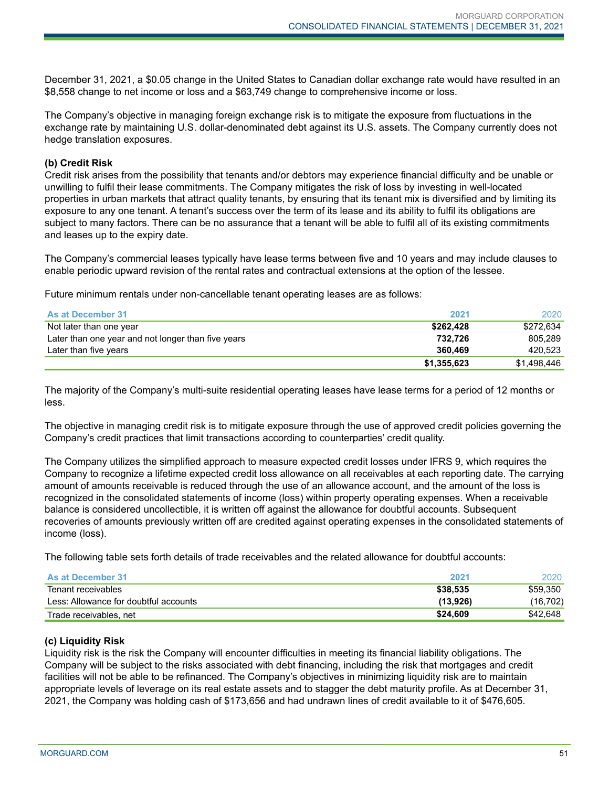December 31, 2021, a \$0.05 change in the United States to Canadian dollar exchange rate would have resulted in an \$8,558 change to net income or loss and a \$63,749 change to comprehensive income or loss.

The Company's objective in managing foreign exchange risk is to mitigate the exposure from fluctuations in the exchange rate by maintaining U.S. dollar-denominated debt against its U.S. assets. The Company currently does not hedge translation exposures.

## **(b) Credit Risk**

Credit risk arises from the possibility that tenants and/or debtors may experience financial difficulty and be unable or unwilling to fulfil their lease commitments. The Company mitigates the risk of loss by investing in well-located properties in urban markets that attract quality tenants, by ensuring that its tenant mix is diversified and by limiting its exposure to any one tenant. A tenant's success over the term of its lease and its ability to fulfil its obligations are subject to many factors. There can be no assurance that a tenant will be able to fulfil all of its existing commitments and leases up to the expiry date.

The Company's commercial leases typically have lease terms between five and 10 years and may include clauses to enable periodic upward revision of the rental rates and contractual extensions at the option of the lessee.

Future minimum rentals under non-cancellable tenant operating leases are as follows:

| <b>As at December 31</b>                           | 2021        | 2020        |
|----------------------------------------------------|-------------|-------------|
| Not later than one year                            | \$262.428   | \$272.634   |
| Later than one year and not longer than five years | 732.726     | 805.289     |
| Later than five years                              | 360,469     | 420.523     |
|                                                    | \$1,355,623 | \$1.498.446 |

The majority of the Company's multi-suite residential operating leases have lease terms for a period of 12 months or less.

The objective in managing credit risk is to mitigate exposure through the use of approved credit policies governing the Company's credit practices that limit transactions according to counterparties' credit quality.

The Company utilizes the simplified approach to measure expected credit losses under IFRS 9, which requires the Company to recognize a lifetime expected credit loss allowance on all receivables at each reporting date. The carrying amount of amounts receivable is reduced through the use of an allowance account, and the amount of the loss is recognized in the consolidated statements of income (loss) within property operating expenses. When a receivable balance is considered uncollectible, it is written off against the allowance for doubtful accounts. Subsequent recoveries of amounts previously written off are credited against operating expenses in the consolidated statements of income (loss).

The following table sets forth details of trade receivables and the related allowance for doubtful accounts:

| <b>As at December 31</b>              | 2021     | 2020     |
|---------------------------------------|----------|----------|
| Tenant receivables                    | \$38,535 | \$59.350 |
| Less: Allowance for doubtful accounts | (13.926) | (16.702) |
| Trade receivables, net                | \$24.609 | \$42.648 |

#### **(c) Liquidity Risk**

Liquidity risk is the risk the Company will encounter difficulties in meeting its financial liability obligations. The Company will be subject to the risks associated with debt financing, including the risk that mortgages and credit facilities will not be able to be refinanced. The Company's objectives in minimizing liquidity risk are to maintain appropriate levels of leverage on its real estate assets and to stagger the debt maturity profile. As at December 31, 2021, the Company was holding cash of \$173,656 and had undrawn lines of credit available to it of \$476,605.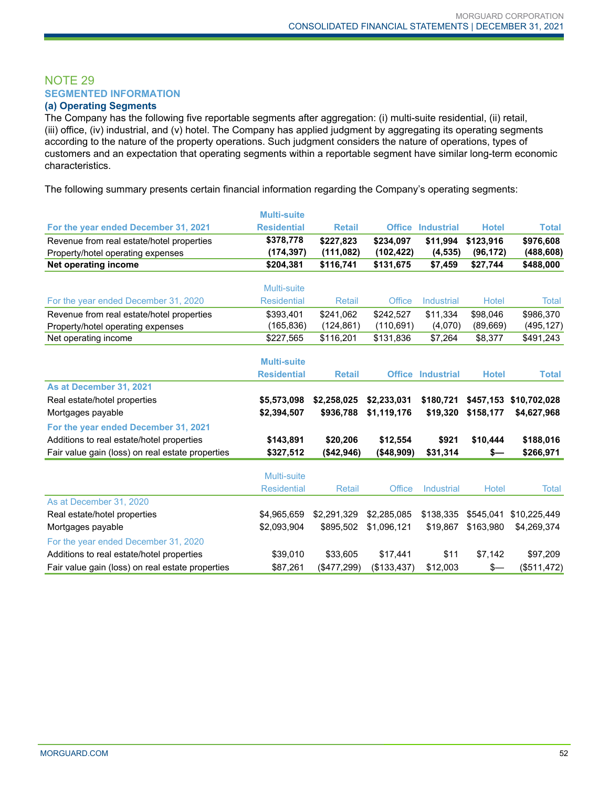# NOTE 29 **SEGMENTED INFORMATION**

# **(a) Operating Segments**

The Company has the following five reportable segments after aggregation: (i) multi-suite residential, (ii) retail, (iii) office, (iv) industrial, and (v) hotel. The Company has applied judgment by aggregating its operating segments according to the nature of the property operations. Such judgment considers the nature of operations, types of customers and an expectation that operating segments within a reportable segment have similar long-term economic characteristics.

The following summary presents certain financial information regarding the Company's operating segments:

|                                                  | <b>Multi-suite</b> |               |               |                          |              |              |
|--------------------------------------------------|--------------------|---------------|---------------|--------------------------|--------------|--------------|
| For the year ended December 31, 2021             | <b>Residential</b> | <b>Retail</b> |               | <b>Office Industrial</b> | <b>Hotel</b> | <b>Total</b> |
| Revenue from real estate/hotel properties        | \$378,778          | \$227,823     | \$234.097     | \$11,994                 | \$123,916    | \$976,608    |
| Property/hotel operating expenses                | (174, 397)         | (111, 082)    | (102, 422)    | (4, 535)                 | (96, 172)    | (488, 608)   |
| Net operating income                             | \$204,381          | \$116,741     | \$131,675     | \$7,459                  | \$27,744     | \$488,000    |
|                                                  |                    |               |               |                          |              |              |
|                                                  | <b>Multi-suite</b> |               |               |                          |              |              |
| For the year ended December 31, 2020             | <b>Residential</b> | <b>Retail</b> | <b>Office</b> | <b>Industrial</b>        | Hotel        | <b>Total</b> |
| Revenue from real estate/hotel properties        | \$393,401          | \$241,062     | \$242,527     | \$11,334                 | \$98.046     | \$986,370    |
| Property/hotel operating expenses                | (165, 836)         | (124, 861)    | (110, 691)    | (4,070)                  | (89, 669)    | (495, 127)   |
| Net operating income                             | \$227,565          | \$116,201     | \$131,836     | \$7,264                  | \$8,377      | \$491,243    |
|                                                  |                    |               |               |                          |              |              |
|                                                  | <b>Multi-suite</b> |               |               |                          |              |              |
|                                                  | <b>Residential</b> | <b>Retail</b> |               | <b>Office Industrial</b> | <b>Hotel</b> | <b>Total</b> |
| As at December 31, 2021                          |                    |               |               |                          |              |              |
| Real estate/hotel properties                     | \$5,573,098        | \$2,258,025   | \$2,233,031   | \$180,721                | \$457,153    | \$10,702,028 |
| Mortgages payable                                | \$2,394,507        | \$936,788     | \$1,119,176   | \$19,320                 | \$158,177    | \$4,627,968  |
| For the year ended December 31, 2021             |                    |               |               |                          |              |              |
| Additions to real estate/hotel properties        | \$143,891          | \$20,206      | \$12,554      | \$921                    | \$10,444     | \$188,016    |
| Fair value gain (loss) on real estate properties | \$327,512          | (\$42,946)    | (\$48,909)    | \$31,314                 | s—           | \$266,971    |
|                                                  |                    |               |               |                          |              |              |
|                                                  | Multi-suite        |               |               |                          |              |              |
|                                                  | <b>Residential</b> | <b>Retail</b> | <b>Office</b> | Industrial               | Hotel        | <b>Total</b> |
| As at December 31, 2020                          |                    |               |               |                          |              |              |
| Real estate/hotel properties                     | \$4,965,659        | \$2,291,329   | \$2,285,085   | \$138,335                | \$545,041    | \$10,225,449 |
| Mortgages payable                                | \$2,093,904        | \$895,502     | \$1,096,121   | \$19,867                 | \$163,980    | \$4,269,374  |
| For the year ended December 31, 2020             |                    |               |               |                          |              |              |
| Additions to real estate/hotel properties        | \$39,010           | \$33,605      | \$17,441      | \$11                     | \$7,142      | \$97,209     |
| Fair value gain (loss) on real estate properties | \$87,261           | $(\$477,299)$ | (\$133,437)   | \$12,003                 | $s-$         | (\$511, 472) |